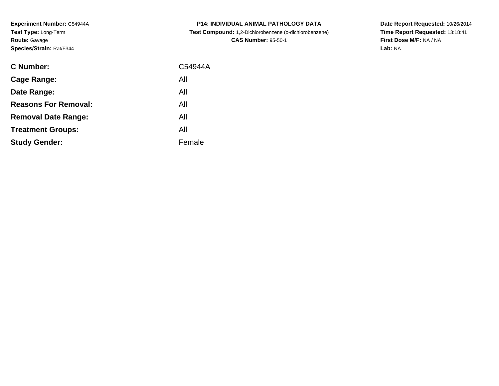**Experiment Number:** C54944A**Test Type:** Long-Term**Route:** Gavage**Species/Strain:** Rat/F344

| C Number:                   | C54944A |
|-----------------------------|---------|
| <b>Cage Range:</b>          | All     |
| Date Range:                 | All     |
| <b>Reasons For Removal:</b> | All     |
| <b>Removal Date Range:</b>  | All     |
| <b>Treatment Groups:</b>    | All     |
| <b>Study Gender:</b>        | Female  |
|                             |         |

**P14: INDIVIDUAL ANIMAL PATHOLOGY DATA Test Compound:** 1,2-Dichlorobenzene (o-dichlorobenzene)**CAS Number:** 95-50-1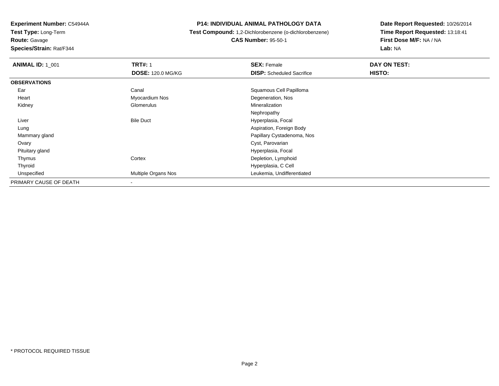**Test Type:** Long-Term**Route:** Gavage

**Species/Strain:** Rat/F344

### **P14: INDIVIDUAL ANIMAL PATHOLOGY DATA**

**Test Compound:** 1,2-Dichlorobenzene (o-dichlorobenzene)

**CAS Number:** 95-50-1

| <b>ANIMAL ID: 1_001</b> | <b>TRT#: 1</b>           | <b>SEX: Female</b>               | DAY ON TEST: |  |
|-------------------------|--------------------------|----------------------------------|--------------|--|
|                         | <b>DOSE: 120.0 MG/KG</b> | <b>DISP:</b> Scheduled Sacrifice | HISTO:       |  |
| <b>OBSERVATIONS</b>     |                          |                                  |              |  |
| Ear                     | Canal                    | Squamous Cell Papilloma          |              |  |
| Heart                   | Myocardium Nos           | Degeneration, Nos                |              |  |
| Kidney                  | Glomerulus               | Mineralization                   |              |  |
|                         |                          | Nephropathy                      |              |  |
| Liver                   | <b>Bile Duct</b>         | Hyperplasia, Focal               |              |  |
| Lung                    |                          | Aspiration, Foreign Body         |              |  |
| Mammary gland           |                          | Papillary Cystadenoma, Nos       |              |  |
| Ovary                   |                          | Cyst, Parovarian                 |              |  |
| Pituitary gland         |                          | Hyperplasia, Focal               |              |  |
| Thymus                  | Cortex                   | Depletion, Lymphoid              |              |  |
| Thyroid                 |                          | Hyperplasia, C Cell              |              |  |
| Unspecified             | Multiple Organs Nos      | Leukemia, Undifferentiated       |              |  |
| PRIMARY CAUSE OF DEATH  | $\,$                     |                                  |              |  |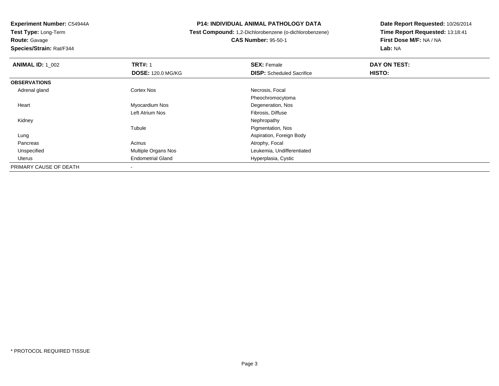**Test Type:** Long-Term

**Route:** Gavage

**Species/Strain:** Rat/F344

### **P14: INDIVIDUAL ANIMAL PATHOLOGY DATA**

# **Test Compound:** 1,2-Dichlorobenzene (o-dichlorobenzene) **CAS Number:** 95-50-1

| <b>ANIMAL ID: 1 002</b> | <b>TRT#: 1</b>           | <b>SEX: Female</b>               | DAY ON TEST: |  |
|-------------------------|--------------------------|----------------------------------|--------------|--|
|                         | <b>DOSE: 120.0 MG/KG</b> | <b>DISP:</b> Scheduled Sacrifice | HISTO:       |  |
| <b>OBSERVATIONS</b>     |                          |                                  |              |  |
| Adrenal gland           | <b>Cortex Nos</b>        | Necrosis, Focal                  |              |  |
|                         |                          | Pheochromocytoma                 |              |  |
| Heart                   | Myocardium Nos           | Degeneration, Nos                |              |  |
|                         | Left Atrium Nos          | Fibrosis, Diffuse                |              |  |
| Kidney                  |                          | Nephropathy                      |              |  |
|                         | Tubule                   | Pigmentation, Nos                |              |  |
| Lung                    |                          | Aspiration, Foreign Body         |              |  |
| Pancreas                | Acinus                   | Atrophy, Focal                   |              |  |
| Unspecified             | Multiple Organs Nos      | Leukemia, Undifferentiated       |              |  |
| Uterus                  | <b>Endometrial Gland</b> | Hyperplasia, Cystic              |              |  |
| PRIMARY CAUSE OF DEATH  |                          |                                  |              |  |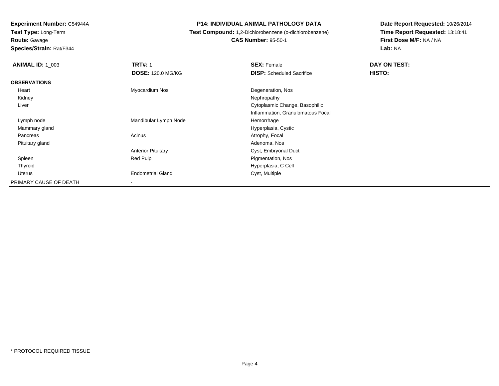**Route:** Gavage

**Species/Strain:** Rat/F344

### **P14: INDIVIDUAL ANIMAL PATHOLOGY DATA**

# **Test Compound:** 1,2-Dichlorobenzene (o-dichlorobenzene) **CAS Number:** 95-50-1

| <b>ANIMAL ID: 1_003</b> | <b>TRT#: 1</b>            | <b>SEX: Female</b>                | DAY ON TEST: |  |
|-------------------------|---------------------------|-----------------------------------|--------------|--|
|                         | <b>DOSE: 120.0 MG/KG</b>  | <b>DISP:</b> Scheduled Sacrifice  | HISTO:       |  |
| <b>OBSERVATIONS</b>     |                           |                                   |              |  |
| Heart                   | Myocardium Nos            | Degeneration, Nos                 |              |  |
| Kidney                  |                           | Nephropathy                       |              |  |
| Liver                   |                           | Cytoplasmic Change, Basophilic    |              |  |
|                         |                           | Inflammation, Granulomatous Focal |              |  |
| Lymph node              | Mandibular Lymph Node     | Hemorrhage                        |              |  |
| Mammary gland           |                           | Hyperplasia, Cystic               |              |  |
| Pancreas                | Acinus                    | Atrophy, Focal                    |              |  |
| Pituitary gland         |                           | Adenoma, Nos                      |              |  |
|                         | <b>Anterior Pituitary</b> | Cyst, Embryonal Duct              |              |  |
| Spleen                  | Red Pulp                  | Pigmentation, Nos                 |              |  |
| Thyroid                 |                           | Hyperplasia, C Cell               |              |  |
| Uterus                  | <b>Endometrial Gland</b>  | Cyst, Multiple                    |              |  |
| PRIMARY CAUSE OF DEATH  | $\overline{\phantom{a}}$  |                                   |              |  |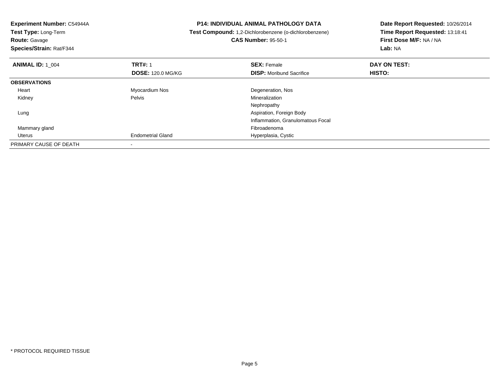| <b>Experiment Number: C54944A</b> | <b>P14: INDIVIDUAL ANIMAL PATHOLOGY DATA</b> |                                                        | Date Report Requested: 10/26/2014 |  |
|-----------------------------------|----------------------------------------------|--------------------------------------------------------|-----------------------------------|--|
| <b>Test Type: Long-Term</b>       |                                              | Test Compound: 1,2-Dichlorobenzene (o-dichlorobenzene) | Time Report Requested: 13:18:41   |  |
| <b>Route: Gavage</b>              |                                              | <b>CAS Number: 95-50-1</b>                             | First Dose M/F: NA / NA           |  |
| Species/Strain: Rat/F344          |                                              |                                                        | Lab: NA                           |  |
| <b>ANIMAL ID: 1 004</b>           | <b>TRT#: 1</b>                               | <b>SEX: Female</b>                                     | DAY ON TEST:                      |  |
|                                   | <b>DOSE: 120.0 MG/KG</b>                     | <b>DISP:</b> Moribund Sacrifice                        | HISTO:                            |  |
| <b>OBSERVATIONS</b>               |                                              |                                                        |                                   |  |
| Heart                             | Myocardium Nos                               | Degeneration, Nos                                      |                                   |  |
| Kidney                            | Pelvis                                       | Mineralization                                         |                                   |  |
|                                   |                                              | Nephropathy                                            |                                   |  |
| Lung                              |                                              | Aspiration, Foreign Body                               |                                   |  |
|                                   |                                              | Inflammation, Granulomatous Focal                      |                                   |  |
| Mammary gland                     |                                              | Fibroadenoma                                           |                                   |  |
| Uterus                            | <b>Endometrial Gland</b>                     | Hyperplasia, Cystic                                    |                                   |  |
| PRIMARY CAUSE OF DEATH            |                                              |                                                        |                                   |  |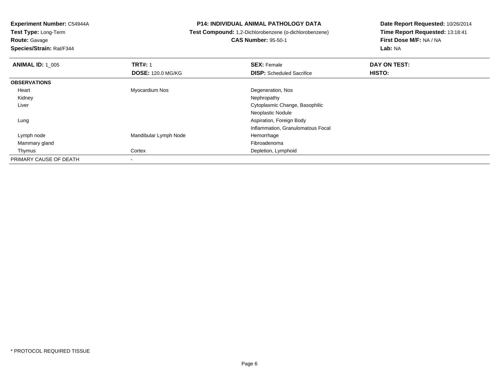**Test Type:** Long-Term**Route:** Gavage

**Species/Strain:** Rat/F344

### **P14: INDIVIDUAL ANIMAL PATHOLOGY DATA**

# **Test Compound:** 1,2-Dichlorobenzene (o-dichlorobenzene)**CAS Number:** 95-50-1

| <b>ANIMAL ID: 1_005</b> | <b>TRT#: 1</b>           | <b>SEX: Female</b>                | DAY ON TEST: |  |
|-------------------------|--------------------------|-----------------------------------|--------------|--|
|                         | <b>DOSE: 120.0 MG/KG</b> | <b>DISP:</b> Scheduled Sacrifice  | HISTO:       |  |
| <b>OBSERVATIONS</b>     |                          |                                   |              |  |
| Heart                   | Myocardium Nos           | Degeneration, Nos                 |              |  |
| Kidney                  |                          | Nephropathy                       |              |  |
| Liver                   |                          | Cytoplasmic Change, Basophilic    |              |  |
|                         |                          | Neoplastic Nodule                 |              |  |
| Lung                    |                          | Aspiration, Foreign Body          |              |  |
|                         |                          | Inflammation, Granulomatous Focal |              |  |
| Lymph node              | Mandibular Lymph Node    | Hemorrhage                        |              |  |
| Mammary gland           |                          | Fibroadenoma                      |              |  |
| Thymus                  | Cortex                   | Depletion, Lymphoid               |              |  |
| PRIMARY CAUSE OF DEATH  | -                        |                                   |              |  |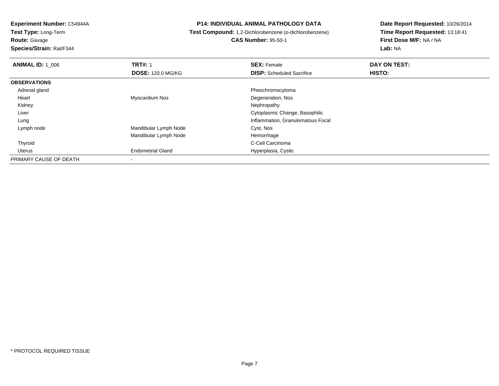**Route:** Gavage

**Species/Strain:** Rat/F344

### **P14: INDIVIDUAL ANIMAL PATHOLOGY DATA**

# **Test Compound:** 1,2-Dichlorobenzene (o-dichlorobenzene)**CAS Number:** 95-50-1

| <b>ANIMAL ID: 1 006</b> | <b>TRT#: 1</b>           | <b>SEX: Female</b>                | DAY ON TEST: |
|-------------------------|--------------------------|-----------------------------------|--------------|
|                         | <b>DOSE: 120.0 MG/KG</b> | <b>DISP:</b> Scheduled Sacrifice  | HISTO:       |
| <b>OBSERVATIONS</b>     |                          |                                   |              |
| Adrenal gland           |                          | Pheochromocytoma                  |              |
| Heart                   | Myocardium Nos           | Degeneration, Nos                 |              |
| Kidney                  |                          | Nephropathy                       |              |
| Liver                   |                          | Cytoplasmic Change, Basophilic    |              |
| Lung                    |                          | Inflammation, Granulomatous Focal |              |
| Lymph node              | Mandibular Lymph Node    | Cyst, Nos                         |              |
|                         | Mandibular Lymph Node    | Hemorrhage                        |              |
| Thyroid                 |                          | C-Cell Carcinoma                  |              |
| Uterus                  | <b>Endometrial Gland</b> | Hyperplasia, Cystic               |              |
| PRIMARY CAUSE OF DEATH  |                          |                                   |              |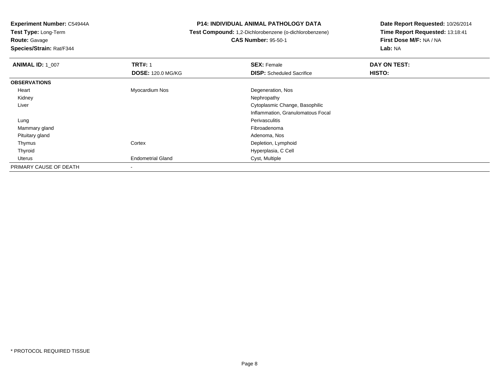**Test Type:** Long-Term

**Route:** Gavage

**Species/Strain:** Rat/F344

### **P14: INDIVIDUAL ANIMAL PATHOLOGY DATA**

# **Test Compound:** 1,2-Dichlorobenzene (o-dichlorobenzene) **CAS Number:** 95-50-1

| <b>ANIMAL ID: 1_007</b> | <b>TRT#: 1</b>           | <b>SEX: Female</b>                | DAY ON TEST: |  |
|-------------------------|--------------------------|-----------------------------------|--------------|--|
|                         | <b>DOSE: 120.0 MG/KG</b> | <b>DISP:</b> Scheduled Sacrifice  | HISTO:       |  |
| <b>OBSERVATIONS</b>     |                          |                                   |              |  |
| Heart                   | Myocardium Nos           | Degeneration, Nos                 |              |  |
| Kidney                  |                          | Nephropathy                       |              |  |
| Liver                   |                          | Cytoplasmic Change, Basophilic    |              |  |
|                         |                          | Inflammation, Granulomatous Focal |              |  |
| Lung                    |                          | Perivasculitis                    |              |  |
| Mammary gland           |                          | Fibroadenoma                      |              |  |
| Pituitary gland         |                          | Adenoma, Nos                      |              |  |
| Thymus                  | Cortex                   | Depletion, Lymphoid               |              |  |
| Thyroid                 |                          | Hyperplasia, C Cell               |              |  |
| Uterus                  | <b>Endometrial Gland</b> | Cyst, Multiple                    |              |  |
| PRIMARY CAUSE OF DEATH  | ۰                        |                                   |              |  |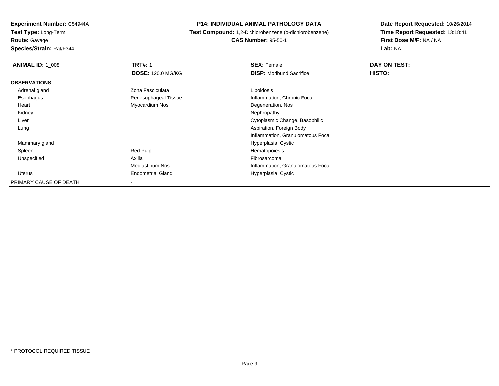**Route:** Gavage

**Species/Strain:** Rat/F344

### **P14: INDIVIDUAL ANIMAL PATHOLOGY DATA**

 **Test Compound:** 1,2-Dichlorobenzene (o-dichlorobenzene)**CAS Number:** 95-50-1

| <b>ANIMAL ID: 1_008</b> | <b>TRT#: 1</b>           | <b>SEX: Female</b>                | DAY ON TEST: |  |
|-------------------------|--------------------------|-----------------------------------|--------------|--|
|                         | <b>DOSE: 120.0 MG/KG</b> | <b>DISP:</b> Moribund Sacrifice   | HISTO:       |  |
| <b>OBSERVATIONS</b>     |                          |                                   |              |  |
| Adrenal gland           | Zona Fasciculata         | Lipoidosis                        |              |  |
| Esophagus               | Periesophageal Tissue    | Inflammation, Chronic Focal       |              |  |
| Heart                   | Myocardium Nos           | Degeneration, Nos                 |              |  |
| Kidney                  |                          | Nephropathy                       |              |  |
| Liver                   |                          | Cytoplasmic Change, Basophilic    |              |  |
| Lung                    |                          | Aspiration, Foreign Body          |              |  |
|                         |                          | Inflammation, Granulomatous Focal |              |  |
| Mammary gland           |                          | Hyperplasia, Cystic               |              |  |
| Spleen                  | Red Pulp                 | Hematopoiesis                     |              |  |
| Unspecified             | Axilla                   | Fibrosarcoma                      |              |  |
|                         | Mediastinum Nos          | Inflammation, Granulomatous Focal |              |  |
| Uterus                  | <b>Endometrial Gland</b> | Hyperplasia, Cystic               |              |  |
| PRIMARY CAUSE OF DEATH  |                          |                                   |              |  |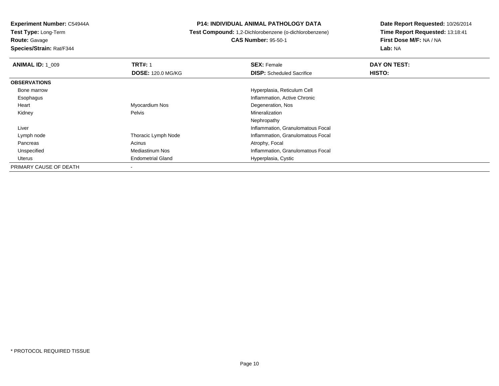**Test Type:** Long-Term**Route:** Gavage

**Species/Strain:** Rat/F344

### **P14: INDIVIDUAL ANIMAL PATHOLOGY DATA**

**Test Compound:** 1,2-Dichlorobenzene (o-dichlorobenzene)

**CAS Number:** 95-50-1

| <b>ANIMAL ID: 1 009</b> | <b>TRT#: 1</b>           | <b>SEX: Female</b>                | DAY ON TEST: |  |
|-------------------------|--------------------------|-----------------------------------|--------------|--|
|                         | <b>DOSE: 120.0 MG/KG</b> | <b>DISP:</b> Scheduled Sacrifice  | HISTO:       |  |
| <b>OBSERVATIONS</b>     |                          |                                   |              |  |
| Bone marrow             |                          | Hyperplasia, Reticulum Cell       |              |  |
| Esophagus               |                          | Inflammation, Active Chronic      |              |  |
| Heart                   | Myocardium Nos           | Degeneration, Nos                 |              |  |
| Kidney                  | Pelvis                   | Mineralization                    |              |  |
|                         |                          | Nephropathy                       |              |  |
| Liver                   |                          | Inflammation, Granulomatous Focal |              |  |
| Lymph node              | Thoracic Lymph Node      | Inflammation, Granulomatous Focal |              |  |
| Pancreas                | Acinus                   | Atrophy, Focal                    |              |  |
| Unspecified             | <b>Mediastinum Nos</b>   | Inflammation, Granulomatous Focal |              |  |
| Uterus                  | <b>Endometrial Gland</b> | Hyperplasia, Cystic               |              |  |
| PRIMARY CAUSE OF DEATH  | -                        |                                   |              |  |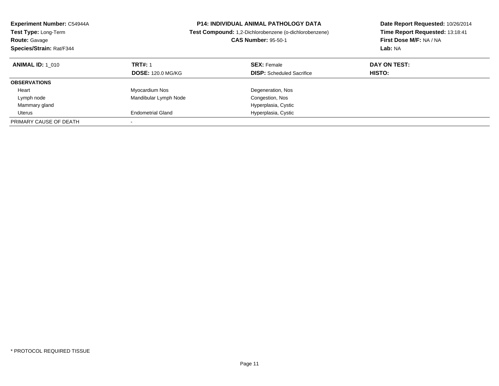| <b>Experiment Number: C54944A</b><br><b>Test Type: Long-Term</b><br><b>Route: Gavage</b><br>Species/Strain: Rat/F344 | <b>P14: INDIVIDUAL ANIMAL PATHOLOGY DATA</b><br><b>Test Compound:</b> 1,2-Dichlorobenzene (o-dichlorobenzene)<br><b>CAS Number: 95-50-1</b> |                                                        | Date Report Requested: 10/26/2014<br>Time Report Requested: 13:18:41<br>First Dose M/F: NA / NA<br>Lab: NA |
|----------------------------------------------------------------------------------------------------------------------|---------------------------------------------------------------------------------------------------------------------------------------------|--------------------------------------------------------|------------------------------------------------------------------------------------------------------------|
| <b>ANIMAL ID: 1 010</b>                                                                                              | <b>TRT#: 1</b><br><b>DOSE: 120.0 MG/KG</b>                                                                                                  | <b>SEX: Female</b><br><b>DISP:</b> Scheduled Sacrifice | DAY ON TEST:<br><b>HISTO:</b>                                                                              |
| <b>OBSERVATIONS</b>                                                                                                  |                                                                                                                                             |                                                        |                                                                                                            |
| Heart                                                                                                                | Myocardium Nos                                                                                                                              | Degeneration, Nos                                      |                                                                                                            |
| Lymph node                                                                                                           | Mandibular Lymph Node                                                                                                                       | Congestion, Nos                                        |                                                                                                            |
| Mammary gland                                                                                                        |                                                                                                                                             | Hyperplasia, Cystic                                    |                                                                                                            |
| Uterus                                                                                                               | <b>Endometrial Gland</b>                                                                                                                    | Hyperplasia, Cystic                                    |                                                                                                            |
| PRIMARY CAUSE OF DEATH                                                                                               |                                                                                                                                             |                                                        |                                                                                                            |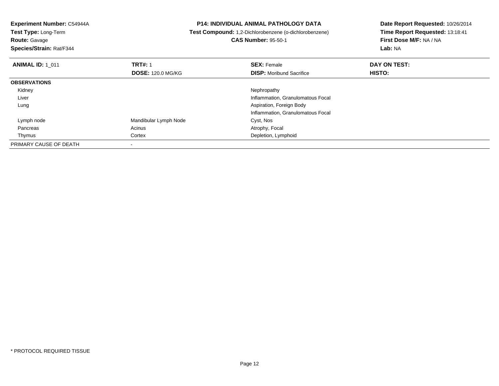| Experiment Number: C54944A<br>Test Type: Long-Term<br><b>Route: Gavage</b><br>Species/Strain: Rat/F344 |                          | <b>P14: INDIVIDUAL ANIMAL PATHOLOGY DATA</b><br>Test Compound: 1,2-Dichlorobenzene (o-dichlorobenzene)<br><b>CAS Number: 95-50-1</b> | Date Report Requested: 10/26/2014<br>Time Report Requested: 13:18:41<br>First Dose M/F: NA / NA<br>Lab: NA |
|--------------------------------------------------------------------------------------------------------|--------------------------|--------------------------------------------------------------------------------------------------------------------------------------|------------------------------------------------------------------------------------------------------------|
| <b>ANIMAL ID: 1_011</b>                                                                                | <b>TRT#: 1</b>           | <b>SEX: Female</b>                                                                                                                   | DAY ON TEST:                                                                                               |
|                                                                                                        | <b>DOSE: 120.0 MG/KG</b> | <b>DISP:</b> Moribund Sacrifice                                                                                                      | HISTO:                                                                                                     |
| <b>OBSERVATIONS</b>                                                                                    |                          |                                                                                                                                      |                                                                                                            |
| Kidney                                                                                                 |                          | Nephropathy                                                                                                                          |                                                                                                            |
| Liver                                                                                                  |                          | Inflammation, Granulomatous Focal                                                                                                    |                                                                                                            |
| Lung                                                                                                   |                          | Aspiration, Foreign Body                                                                                                             |                                                                                                            |
|                                                                                                        |                          | Inflammation, Granulomatous Focal                                                                                                    |                                                                                                            |
| Lymph node                                                                                             | Mandibular Lymph Node    | Cyst, Nos                                                                                                                            |                                                                                                            |
| Pancreas                                                                                               | Acinus                   | Atrophy, Focal                                                                                                                       |                                                                                                            |
| Thymus                                                                                                 | Cortex                   | Depletion, Lymphoid                                                                                                                  |                                                                                                            |
| PRIMARY CAUSE OF DEATH                                                                                 |                          |                                                                                                                                      |                                                                                                            |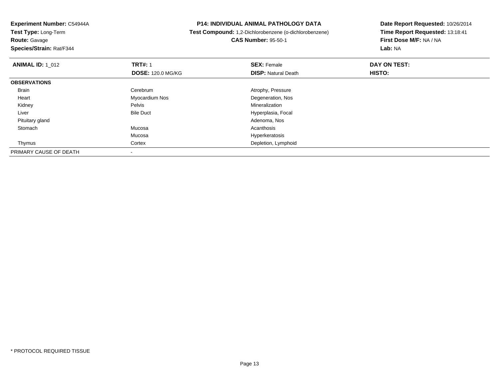**Route:** Gavage

**Species/Strain:** Rat/F344

### **P14: INDIVIDUAL ANIMAL PATHOLOGY DATA**

 **Test Compound:** 1,2-Dichlorobenzene (o-dichlorobenzene)**CAS Number:** 95-50-1

| <b>ANIMAL ID: 1 012</b> | <b>TRT#: 1</b>           | <b>SEX: Female</b>         | DAY ON TEST: |  |
|-------------------------|--------------------------|----------------------------|--------------|--|
|                         | <b>DOSE: 120.0 MG/KG</b> | <b>DISP: Natural Death</b> | HISTO:       |  |
| <b>OBSERVATIONS</b>     |                          |                            |              |  |
| <b>Brain</b>            | Cerebrum                 | Atrophy, Pressure          |              |  |
| Heart                   | Myocardium Nos           | Degeneration, Nos          |              |  |
| Kidney                  | Pelvis                   | Mineralization             |              |  |
| Liver                   | <b>Bile Duct</b>         | Hyperplasia, Focal         |              |  |
| Pituitary gland         |                          | Adenoma, Nos               |              |  |
| Stomach                 | Mucosa                   | Acanthosis                 |              |  |
|                         | Mucosa                   | Hyperkeratosis             |              |  |
| Thymus                  | Cortex                   | Depletion, Lymphoid        |              |  |
| PRIMARY CAUSE OF DEATH  |                          |                            |              |  |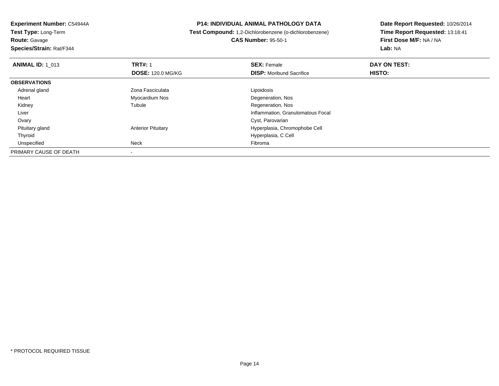**Route:** Gavage

**Species/Strain:** Rat/F344

### **P14: INDIVIDUAL ANIMAL PATHOLOGY DATA**

 **Test Compound:** 1,2-Dichlorobenzene (o-dichlorobenzene)**CAS Number:** 95-50-1

| <b>ANIMAL ID: 1 013</b> | <b>TRT#: 1</b>            | <b>SEX: Female</b>                | DAY ON TEST: |  |
|-------------------------|---------------------------|-----------------------------------|--------------|--|
|                         | <b>DOSE: 120.0 MG/KG</b>  | <b>DISP:</b> Moribund Sacrifice   | HISTO:       |  |
| <b>OBSERVATIONS</b>     |                           |                                   |              |  |
| Adrenal gland           | Zona Fasciculata          | Lipoidosis                        |              |  |
| Heart                   | Myocardium Nos            | Degeneration, Nos                 |              |  |
| Kidney                  | Tubule                    | Regeneration, Nos                 |              |  |
| Liver                   |                           | Inflammation, Granulomatous Focal |              |  |
| Ovary                   |                           | Cyst, Parovarian                  |              |  |
| Pituitary gland         | <b>Anterior Pituitary</b> | Hyperplasia, Chromophobe Cell     |              |  |
| Thyroid                 |                           | Hyperplasia, C Cell               |              |  |
| Unspecified             | Neck                      | Fibroma                           |              |  |
| PRIMARY CAUSE OF DEATH  |                           |                                   |              |  |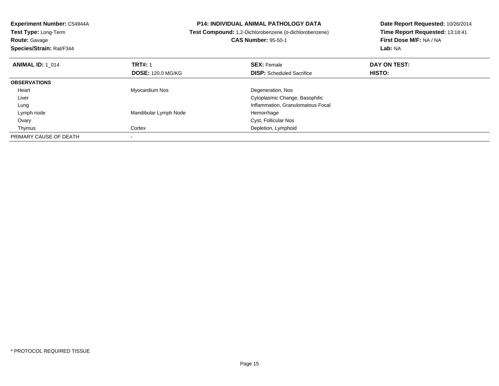| <b>Experiment Number: C54944A</b><br><b>Test Type: Long-Term</b><br><b>Route: Gavage</b> |                            | <b>P14: INDIVIDUAL ANIMAL PATHOLOGY DATA</b><br>Test Compound: 1,2-Dichlorobenzene (o-dichlorobenzene) |                                    |
|------------------------------------------------------------------------------------------|----------------------------|--------------------------------------------------------------------------------------------------------|------------------------------------|
| Species/Strain: Rat/F344                                                                 | <b>CAS Number: 95-50-1</b> |                                                                                                        | First Dose M/F: NA / NA<br>Lab: NA |
| <b>ANIMAL ID: 1 014</b>                                                                  | <b>TRT#: 1</b>             | <b>SEX: Female</b>                                                                                     | DAY ON TEST:                       |
|                                                                                          | <b>DOSE: 120.0 MG/KG</b>   | <b>DISP:</b> Scheduled Sacrifice                                                                       | HISTO:                             |
| <b>OBSERVATIONS</b>                                                                      |                            |                                                                                                        |                                    |
| Heart                                                                                    | Myocardium Nos             | Degeneration, Nos                                                                                      |                                    |
| Liver                                                                                    |                            | Cytoplasmic Change, Basophilic                                                                         |                                    |
| Lung                                                                                     |                            | Inflammation, Granulomatous Focal                                                                      |                                    |
| Lymph node                                                                               | Mandibular Lymph Node      | Hemorrhage                                                                                             |                                    |
| Ovary                                                                                    |                            | Cyst, Follicular Nos                                                                                   |                                    |
| Thymus                                                                                   | Cortex                     | Depletion, Lymphoid                                                                                    |                                    |
| PRIMARY CAUSE OF DEATH                                                                   |                            |                                                                                                        |                                    |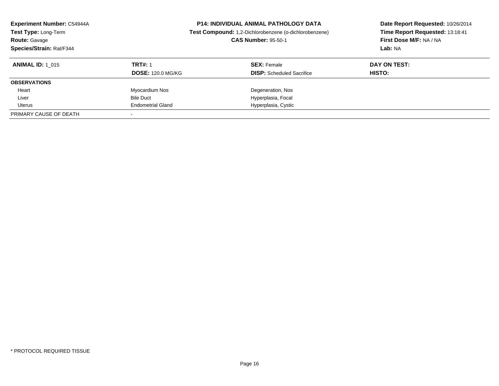| <b>Experiment Number: C54944A</b><br>Test Type: Long-Term<br><b>Route: Gavage</b><br>Species/Strain: Rat/F344 |                          | <b>P14: INDIVIDUAL ANIMAL PATHOLOGY DATA</b><br>Test Compound: 1,2-Dichlorobenzene (o-dichlorobenzene)<br><b>CAS Number: 95-50-1</b> | Date Report Requested: 10/26/2014<br>Time Report Requested: 13:18:41<br>First Dose M/F: NA / NA<br>Lab: NA |
|---------------------------------------------------------------------------------------------------------------|--------------------------|--------------------------------------------------------------------------------------------------------------------------------------|------------------------------------------------------------------------------------------------------------|
| <b>ANIMAL ID:</b> 1 015                                                                                       | <b>TRT#: 1</b>           | <b>SEX: Female</b>                                                                                                                   | DAY ON TEST:                                                                                               |
|                                                                                                               | <b>DOSE: 120.0 MG/KG</b> | <b>DISP:</b> Scheduled Sacrifice                                                                                                     | <b>HISTO:</b>                                                                                              |
| <b>OBSERVATIONS</b>                                                                                           |                          |                                                                                                                                      |                                                                                                            |
| Heart                                                                                                         | Myocardium Nos           | Degeneration, Nos                                                                                                                    |                                                                                                            |
| Liver                                                                                                         | <b>Bile Duct</b>         | Hyperplasia, Focal                                                                                                                   |                                                                                                            |
| Uterus                                                                                                        | <b>Endometrial Gland</b> | Hyperplasia, Cystic                                                                                                                  |                                                                                                            |
| PRIMARY CAUSE OF DEATH                                                                                        |                          |                                                                                                                                      |                                                                                                            |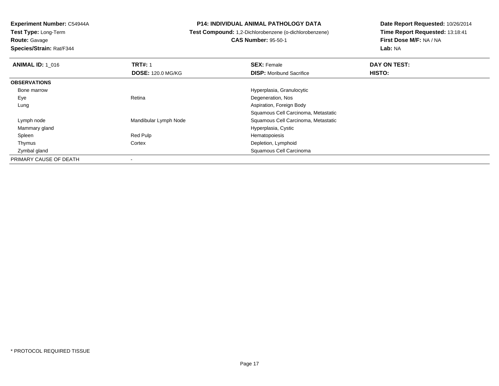**Test Type:** Long-Term

**Route:** Gavage

**Species/Strain:** Rat/F344

### **P14: INDIVIDUAL ANIMAL PATHOLOGY DATA**

# **Test Compound:** 1,2-Dichlorobenzene (o-dichlorobenzene)

**CAS Number:** 95-50-1

| <b>ANIMAL ID: 1 016</b> | <b>TRT#: 1</b>           | <b>SEX: Female</b>                  | DAY ON TEST: |  |
|-------------------------|--------------------------|-------------------------------------|--------------|--|
|                         | <b>DOSE: 120.0 MG/KG</b> | <b>DISP:</b> Moribund Sacrifice     | HISTO:       |  |
| <b>OBSERVATIONS</b>     |                          |                                     |              |  |
| Bone marrow             |                          | Hyperplasia, Granulocytic           |              |  |
| Eye                     | Retina                   | Degeneration, Nos                   |              |  |
| Lung                    |                          | Aspiration, Foreign Body            |              |  |
|                         |                          | Squamous Cell Carcinoma, Metastatic |              |  |
| Lymph node              | Mandibular Lymph Node    | Squamous Cell Carcinoma, Metastatic |              |  |
| Mammary gland           |                          | Hyperplasia, Cystic                 |              |  |
| Spleen                  | Red Pulp                 | Hematopoiesis                       |              |  |
| Thymus                  | Cortex                   | Depletion, Lymphoid                 |              |  |
| Zymbal gland            |                          | Squamous Cell Carcinoma             |              |  |
| PRIMARY CAUSE OF DEATH  |                          |                                     |              |  |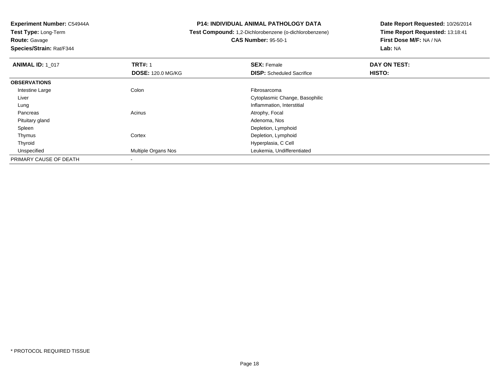**Route:** Gavage

**Species/Strain:** Rat/F344

### **P14: INDIVIDUAL ANIMAL PATHOLOGY DATA**

# **Test Compound:** 1,2-Dichlorobenzene (o-dichlorobenzene)

**CAS Number:** 95-50-1

| <b>ANIMAL ID: 1_017</b> | <b>TRT#: 1</b>             | <b>SEX: Female</b>               | DAY ON TEST: |  |
|-------------------------|----------------------------|----------------------------------|--------------|--|
|                         | <b>DOSE: 120.0 MG/KG</b>   | <b>DISP:</b> Scheduled Sacrifice | HISTO:       |  |
| <b>OBSERVATIONS</b>     |                            |                                  |              |  |
| Intestine Large         | Colon                      | Fibrosarcoma                     |              |  |
| Liver                   |                            | Cytoplasmic Change, Basophilic   |              |  |
| Lung                    |                            | Inflammation, Interstitial       |              |  |
| Pancreas                | Acinus                     | Atrophy, Focal                   |              |  |
| Pituitary gland         |                            | Adenoma, Nos                     |              |  |
| Spleen                  |                            | Depletion, Lymphoid              |              |  |
| Thymus                  | Cortex                     | Depletion, Lymphoid              |              |  |
| Thyroid                 |                            | Hyperplasia, C Cell              |              |  |
| Unspecified             | <b>Multiple Organs Nos</b> | Leukemia, Undifferentiated       |              |  |
| PRIMARY CAUSE OF DEATH  |                            |                                  |              |  |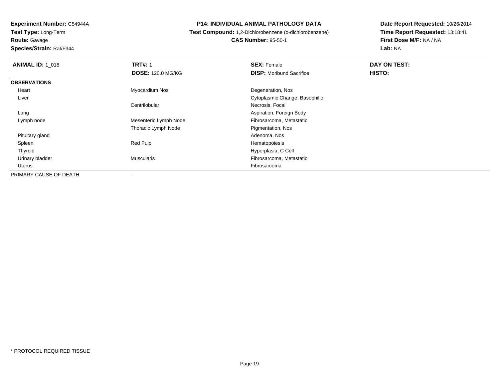**Route:** Gavage

**Species/Strain:** Rat/F344

### **P14: INDIVIDUAL ANIMAL PATHOLOGY DATA**

## **Test Compound:** 1,2-Dichlorobenzene (o-dichlorobenzene)**CAS Number:** 95-50-1

| <b>ANIMAL ID: 1 018</b> | <b>TRT#: 1</b>           | <b>SEX: Female</b>              | DAY ON TEST: |
|-------------------------|--------------------------|---------------------------------|--------------|
|                         | <b>DOSE: 120.0 MG/KG</b> | <b>DISP:</b> Moribund Sacrifice | HISTO:       |
| <b>OBSERVATIONS</b>     |                          |                                 |              |
| Heart                   | Myocardium Nos           | Degeneration, Nos               |              |
| Liver                   |                          | Cytoplasmic Change, Basophilic  |              |
|                         | Centrilobular            | Necrosis, Focal                 |              |
| Lung                    |                          | Aspiration, Foreign Body        |              |
| Lymph node              | Mesenteric Lymph Node    | Fibrosarcoma, Metastatic        |              |
|                         | Thoracic Lymph Node      | Pigmentation, Nos               |              |
| Pituitary gland         |                          | Adenoma, Nos                    |              |
| Spleen                  | Red Pulp                 | Hematopoiesis                   |              |
| Thyroid                 |                          | Hyperplasia, C Cell             |              |
| Urinary bladder         | Muscularis               | Fibrosarcoma, Metastatic        |              |
| Uterus                  |                          | Fibrosarcoma                    |              |
| PRIMARY CAUSE OF DEATH  | $\blacksquare$           |                                 |              |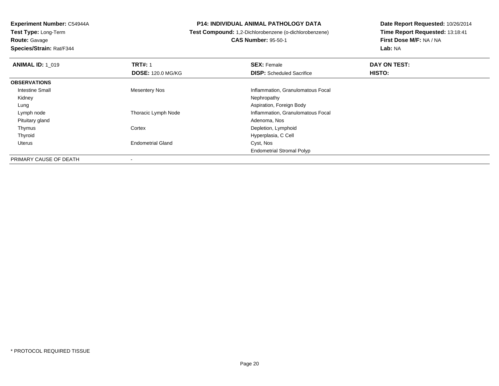**Experiment Number:** C54944A**Test Type:** Long-Term**Route:** Gavage

**Species/Strain:** Rat/F344

### **P14: INDIVIDUAL ANIMAL PATHOLOGY DATA**

**Test Compound:** 1,2-Dichlorobenzene (o-dichlorobenzene)

**CAS Number:** 95-50-1

| <b>ANIMAL ID: 1 019</b> | <b>TRT#: 1</b>           | <b>SEX: Female</b>                | DAY ON TEST: |  |
|-------------------------|--------------------------|-----------------------------------|--------------|--|
|                         | <b>DOSE: 120.0 MG/KG</b> | <b>DISP:</b> Scheduled Sacrifice  | HISTO:       |  |
| <b>OBSERVATIONS</b>     |                          |                                   |              |  |
| <b>Intestine Small</b>  | <b>Mesentery Nos</b>     | Inflammation, Granulomatous Focal |              |  |
| Kidney                  |                          | Nephropathy                       |              |  |
| Lung                    |                          | Aspiration, Foreign Body          |              |  |
| Lymph node              | Thoracic Lymph Node      | Inflammation, Granulomatous Focal |              |  |
| Pituitary gland         |                          | Adenoma, Nos                      |              |  |
| Thymus                  | Cortex                   | Depletion, Lymphoid               |              |  |
| Thyroid                 |                          | Hyperplasia, C Cell               |              |  |
| Uterus                  | <b>Endometrial Gland</b> | Cyst, Nos                         |              |  |
|                         |                          | <b>Endometrial Stromal Polyp</b>  |              |  |
| PRIMARY CAUSE OF DEATH  |                          |                                   |              |  |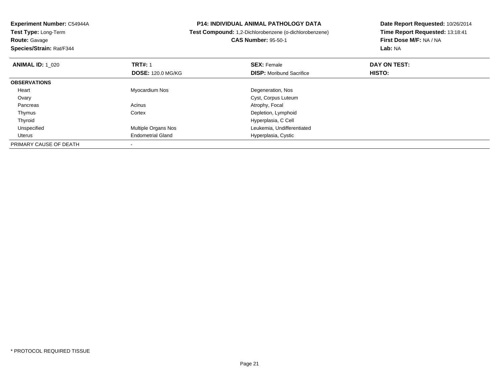| <b>P14: INDIVIDUAL ANIMAL PATHOLOGY DATA</b><br>Experiment Number: C54944A<br>Test Type: Long-Term<br>Test Compound: 1,2-Dichlorobenzene (o-dichlorobenzene) |                          | Date Report Requested: 10/26/2014 |                                 |
|--------------------------------------------------------------------------------------------------------------------------------------------------------------|--------------------------|-----------------------------------|---------------------------------|
|                                                                                                                                                              |                          |                                   | Time Report Requested: 13:18:41 |
| <b>Route: Gavage</b>                                                                                                                                         |                          | <b>CAS Number: 95-50-1</b>        | First Dose M/F: NA / NA         |
| Species/Strain: Rat/F344                                                                                                                                     |                          |                                   | Lab: NA                         |
| <b>ANIMAL ID: 1 020</b>                                                                                                                                      | <b>TRT#: 1</b>           | <b>SEX: Female</b>                | DAY ON TEST:                    |
|                                                                                                                                                              | <b>DOSE: 120.0 MG/KG</b> | <b>DISP:</b> Moribund Sacrifice   | HISTO:                          |
| <b>OBSERVATIONS</b>                                                                                                                                          |                          |                                   |                                 |
| Heart                                                                                                                                                        | Myocardium Nos           | Degeneration, Nos                 |                                 |
| Ovary                                                                                                                                                        |                          | Cyst, Corpus Luteum               |                                 |
| Pancreas                                                                                                                                                     | Acinus                   | Atrophy, Focal                    |                                 |
| Thymus                                                                                                                                                       | Cortex                   | Depletion, Lymphoid               |                                 |
| Thyroid                                                                                                                                                      |                          | Hyperplasia, C Cell               |                                 |
| Unspecified                                                                                                                                                  | Multiple Organs Nos      | Leukemia, Undifferentiated        |                                 |
| Uterus                                                                                                                                                       | <b>Endometrial Gland</b> | Hyperplasia, Cystic               |                                 |
| PRIMARY CAUSE OF DEATH                                                                                                                                       |                          |                                   |                                 |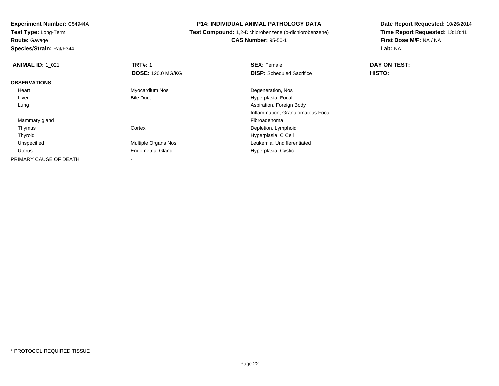**Route:** Gavage

**Species/Strain:** Rat/F344

### **P14: INDIVIDUAL ANIMAL PATHOLOGY DATA**

# **Test Compound:** 1,2-Dichlorobenzene (o-dichlorobenzene)**CAS Number:** 95-50-1

| <b>ANIMAL ID: 1 021</b> | <b>TRT#: 1</b>           | <b>SEX: Female</b>                | DAY ON TEST: |  |
|-------------------------|--------------------------|-----------------------------------|--------------|--|
|                         | <b>DOSE: 120.0 MG/KG</b> | <b>DISP:</b> Scheduled Sacrifice  | HISTO:       |  |
| <b>OBSERVATIONS</b>     |                          |                                   |              |  |
| Heart                   | Myocardium Nos           | Degeneration, Nos                 |              |  |
| Liver                   | <b>Bile Duct</b>         | Hyperplasia, Focal                |              |  |
| Lung                    |                          | Aspiration, Foreign Body          |              |  |
|                         |                          | Inflammation, Granulomatous Focal |              |  |
| Mammary gland           |                          | Fibroadenoma                      |              |  |
| Thymus                  | Cortex                   | Depletion, Lymphoid               |              |  |
| Thyroid                 |                          | Hyperplasia, C Cell               |              |  |
| Unspecified             | Multiple Organs Nos      | Leukemia, Undifferentiated        |              |  |
| Uterus                  | <b>Endometrial Gland</b> | Hyperplasia, Cystic               |              |  |
| PRIMARY CAUSE OF DEATH  |                          |                                   |              |  |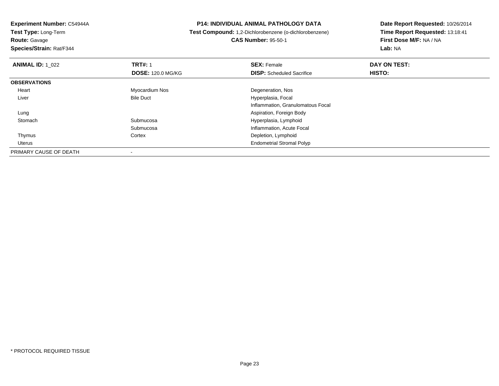**Route:** Gavage

**Species/Strain:** Rat/F344

### **P14: INDIVIDUAL ANIMAL PATHOLOGY DATA**

 **Test Compound:** 1,2-Dichlorobenzene (o-dichlorobenzene)**CAS Number:** 95-50-1

| <b>ANIMAL ID: 1_022</b> | <b>TRT#: 1</b>           | <b>SEX: Female</b>                | DAY ON TEST: |  |
|-------------------------|--------------------------|-----------------------------------|--------------|--|
|                         | <b>DOSE: 120.0 MG/KG</b> | <b>DISP:</b> Scheduled Sacrifice  | HISTO:       |  |
| <b>OBSERVATIONS</b>     |                          |                                   |              |  |
| Heart                   | Myocardium Nos           | Degeneration, Nos                 |              |  |
| Liver                   | <b>Bile Duct</b>         | Hyperplasia, Focal                |              |  |
|                         |                          | Inflammation, Granulomatous Focal |              |  |
| Lung                    |                          | Aspiration, Foreign Body          |              |  |
| Stomach                 | Submucosa                | Hyperplasia, Lymphoid             |              |  |
|                         | Submucosa                | Inflammation, Acute Focal         |              |  |
| Thymus                  | Cortex                   | Depletion, Lymphoid               |              |  |
| <b>Uterus</b>           |                          | <b>Endometrial Stromal Polyp</b>  |              |  |
| PRIMARY CAUSE OF DEATH  |                          |                                   |              |  |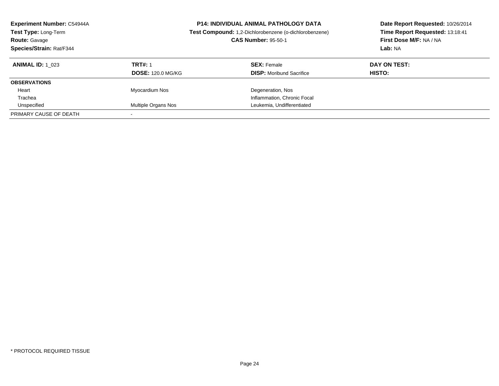| <b>Experiment Number: C54944A</b><br>Test Type: Long-Term<br><b>Route: Gavage</b><br>Species/Strain: Rat/F344 |                                            | <b>P14: INDIVIDUAL ANIMAL PATHOLOGY DATA</b><br>Test Compound: 1,2-Dichlorobenzene (o-dichlorobenzene)<br><b>CAS Number: 95-50-1</b> | Date Report Requested: 10/26/2014<br>Time Report Requested: 13:18:41<br>First Dose M/F: NA / NA<br>Lab: NA |
|---------------------------------------------------------------------------------------------------------------|--------------------------------------------|--------------------------------------------------------------------------------------------------------------------------------------|------------------------------------------------------------------------------------------------------------|
| <b>ANIMAL ID:</b> 1 023                                                                                       | <b>TRT#: 1</b><br><b>DOSE: 120.0 MG/KG</b> | <b>SEX: Female</b><br><b>DISP:</b> Moribund Sacrifice                                                                                | DAY ON TEST:<br>HISTO:                                                                                     |
| <b>OBSERVATIONS</b>                                                                                           |                                            |                                                                                                                                      |                                                                                                            |
| Heart                                                                                                         | Myocardium Nos                             | Degeneration, Nos                                                                                                                    |                                                                                                            |
| Trachea                                                                                                       |                                            | Inflammation, Chronic Focal                                                                                                          |                                                                                                            |
| Unspecified                                                                                                   | Multiple Organs Nos                        | Leukemia, Undifferentiated                                                                                                           |                                                                                                            |
| PRIMARY CAUSE OF DEATH                                                                                        |                                            |                                                                                                                                      |                                                                                                            |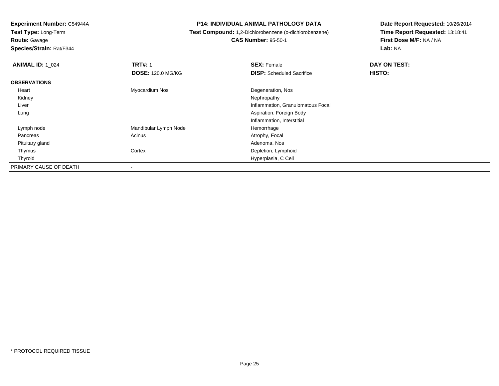**Route:** Gavage

**Species/Strain:** Rat/F344

### **P14: INDIVIDUAL ANIMAL PATHOLOGY DATA**

# **Test Compound:** 1,2-Dichlorobenzene (o-dichlorobenzene)**CAS Number:** 95-50-1

| <b>ANIMAL ID: 1_024</b> | <b>TRT#: 1</b>           | <b>SEX: Female</b>                | DAY ON TEST: |  |
|-------------------------|--------------------------|-----------------------------------|--------------|--|
|                         | <b>DOSE: 120.0 MG/KG</b> | <b>DISP:</b> Scheduled Sacrifice  | HISTO:       |  |
| <b>OBSERVATIONS</b>     |                          |                                   |              |  |
| Heart                   | Myocardium Nos           | Degeneration, Nos                 |              |  |
| Kidney                  |                          | Nephropathy                       |              |  |
| Liver                   |                          | Inflammation, Granulomatous Focal |              |  |
| Lung                    |                          | Aspiration, Foreign Body          |              |  |
|                         |                          | Inflammation, Interstitial        |              |  |
| Lymph node              | Mandibular Lymph Node    | Hemorrhage                        |              |  |
| Pancreas                | Acinus                   | Atrophy, Focal                    |              |  |
| Pituitary gland         |                          | Adenoma, Nos                      |              |  |
| Thymus                  | Cortex                   | Depletion, Lymphoid               |              |  |
| Thyroid                 |                          | Hyperplasia, C Cell               |              |  |
| PRIMARY CAUSE OF DEATH  | -                        |                                   |              |  |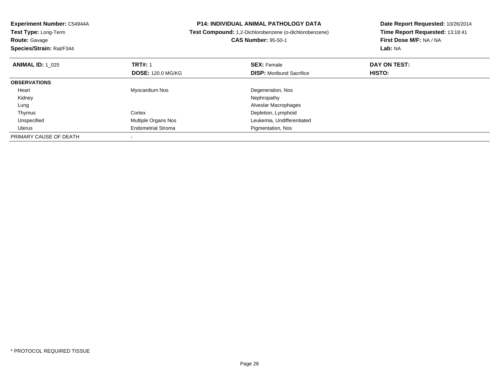| Experiment Number: C54944A<br>Test Type: Long-Term<br><b>Route: Gavage</b><br>Species/Strain: Rat/F344 |                           | <b>P14: INDIVIDUAL ANIMAL PATHOLOGY DATA</b><br>Test Compound: 1,2-Dichlorobenzene (o-dichlorobenzene)<br><b>CAS Number: 95-50-1</b> | Date Report Requested: 10/26/2014<br>Time Report Requested: 13:18:41<br>First Dose M/F: NA / NA<br>Lab: NA |
|--------------------------------------------------------------------------------------------------------|---------------------------|--------------------------------------------------------------------------------------------------------------------------------------|------------------------------------------------------------------------------------------------------------|
| <b>ANIMAL ID: 1 025</b>                                                                                | <b>TRT#: 1</b>            | <b>SEX: Female</b>                                                                                                                   | DAY ON TEST:                                                                                               |
|                                                                                                        | <b>DOSE: 120.0 MG/KG</b>  | <b>DISP:</b> Moribund Sacrifice                                                                                                      | <b>HISTO:</b>                                                                                              |
| <b>OBSERVATIONS</b>                                                                                    |                           |                                                                                                                                      |                                                                                                            |
| Heart                                                                                                  | Myocardium Nos            | Degeneration, Nos                                                                                                                    |                                                                                                            |
| Kidney                                                                                                 |                           | Nephropathy                                                                                                                          |                                                                                                            |
| Lung                                                                                                   |                           | Alveolar Macrophages                                                                                                                 |                                                                                                            |
| Thymus                                                                                                 | Cortex                    | Depletion, Lymphoid                                                                                                                  |                                                                                                            |
| Unspecified                                                                                            | Multiple Organs Nos       | Leukemia, Undifferentiated                                                                                                           |                                                                                                            |
| Uterus                                                                                                 | <b>Endometrial Stroma</b> | Pigmentation, Nos                                                                                                                    |                                                                                                            |
| PRIMARY CAUSE OF DEATH                                                                                 |                           |                                                                                                                                      |                                                                                                            |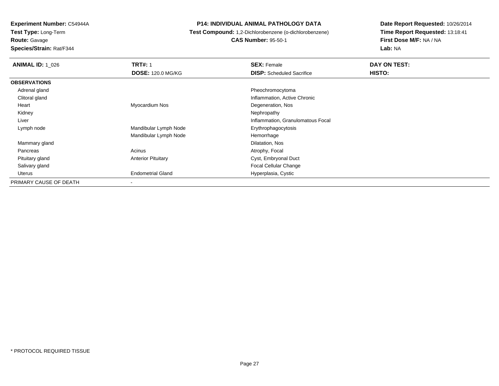**Route:** Gavage

**Species/Strain:** Rat/F344

### **P14: INDIVIDUAL ANIMAL PATHOLOGY DATA**

# **Test Compound:** 1,2-Dichlorobenzene (o-dichlorobenzene)

**CAS Number:** 95-50-1

| <b>ANIMAL ID: 1_026</b> | <b>TRT#: 1</b>            | <b>SEX:</b> Female                | DAY ON TEST: |  |
|-------------------------|---------------------------|-----------------------------------|--------------|--|
|                         | <b>DOSE: 120.0 MG/KG</b>  | <b>DISP:</b> Scheduled Sacrifice  | HISTO:       |  |
| <b>OBSERVATIONS</b>     |                           |                                   |              |  |
| Adrenal gland           |                           | Pheochromocytoma                  |              |  |
| Clitoral gland          |                           | Inflammation, Active Chronic      |              |  |
| Heart                   | Myocardium Nos            | Degeneration, Nos                 |              |  |
| Kidney                  |                           | Nephropathy                       |              |  |
| Liver                   |                           | Inflammation, Granulomatous Focal |              |  |
| Lymph node              | Mandibular Lymph Node     | Erythrophagocytosis               |              |  |
|                         | Mandibular Lymph Node     | Hemorrhage                        |              |  |
| Mammary gland           |                           | Dilatation, Nos                   |              |  |
| Pancreas                | Acinus                    | Atrophy, Focal                    |              |  |
| Pituitary gland         | <b>Anterior Pituitary</b> | Cyst, Embryonal Duct              |              |  |
| Salivary gland          |                           | <b>Focal Cellular Change</b>      |              |  |
| Uterus                  | <b>Endometrial Gland</b>  | Hyperplasia, Cystic               |              |  |
| PRIMARY CAUSE OF DEATH  | $\overline{\phantom{a}}$  |                                   |              |  |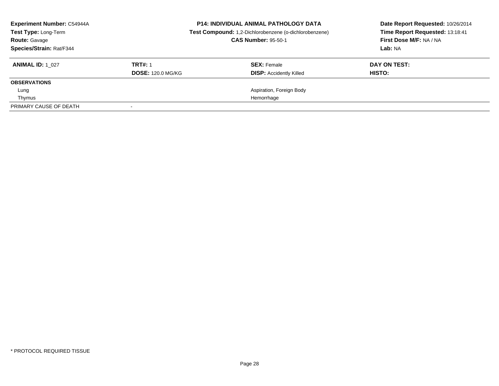| <b>Experiment Number: C54944A</b><br>Test Type: Long-Term<br><b>Route: Gavage</b><br>Species/Strain: Rat/F344 |                                            | <b>P14: INDIVIDUAL ANIMAL PATHOLOGY DATA</b><br>Test Compound: 1,2-Dichlorobenzene (o-dichlorobenzene)<br><b>CAS Number: 95-50-1</b> | Date Report Requested: 10/26/2014<br>Time Report Requested: 13:18:41<br>First Dose M/F: NA / NA<br>Lab: NA |
|---------------------------------------------------------------------------------------------------------------|--------------------------------------------|--------------------------------------------------------------------------------------------------------------------------------------|------------------------------------------------------------------------------------------------------------|
| <b>ANIMAL ID: 1 027</b>                                                                                       | <b>TRT#: 1</b><br><b>DOSE: 120.0 MG/KG</b> | <b>SEX: Female</b><br><b>DISP:</b> Accidently Killed                                                                                 | DAY ON TEST:<br>HISTO:                                                                                     |
| <b>OBSERVATIONS</b>                                                                                           |                                            |                                                                                                                                      |                                                                                                            |
| Lung                                                                                                          |                                            | Aspiration, Foreign Body                                                                                                             |                                                                                                            |
| Thymus                                                                                                        |                                            | Hemorrhage                                                                                                                           |                                                                                                            |
| PRIMARY CAUSE OF DEATH                                                                                        |                                            |                                                                                                                                      |                                                                                                            |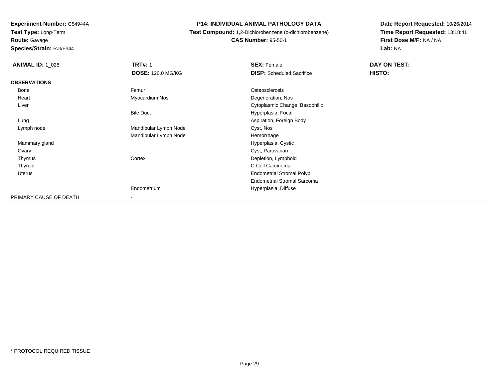**Route:** Gavage

**Species/Strain:** Rat/F344

### **P14: INDIVIDUAL ANIMAL PATHOLOGY DATA**

 **Test Compound:** 1,2-Dichlorobenzene (o-dichlorobenzene)**CAS Number:** 95-50-1

| <b>ANIMAL ID: 1_028</b> | <b>TRT#: 1</b>           | <b>SEX: Female</b>                 | DAY ON TEST: |  |
|-------------------------|--------------------------|------------------------------------|--------------|--|
|                         | <b>DOSE: 120.0 MG/KG</b> | <b>DISP:</b> Scheduled Sacrifice   | HISTO:       |  |
| <b>OBSERVATIONS</b>     |                          |                                    |              |  |
| Bone                    | Femur                    | Osteosclerosis                     |              |  |
| Heart                   | Myocardium Nos           | Degeneration, Nos                  |              |  |
| Liver                   |                          | Cytoplasmic Change, Basophilic     |              |  |
|                         | <b>Bile Duct</b>         | Hyperplasia, Focal                 |              |  |
| Lung                    |                          | Aspiration, Foreign Body           |              |  |
| Lymph node              | Mandibular Lymph Node    | Cyst, Nos                          |              |  |
|                         | Mandibular Lymph Node    | Hemorrhage                         |              |  |
| Mammary gland           |                          | Hyperplasia, Cystic                |              |  |
| Ovary                   |                          | Cyst, Parovarian                   |              |  |
| Thymus                  | Cortex                   | Depletion, Lymphoid                |              |  |
| Thyroid                 |                          | C-Cell Carcinoma                   |              |  |
| <b>Uterus</b>           |                          | <b>Endometrial Stromal Polyp</b>   |              |  |
|                         |                          | <b>Endometrial Stromal Sarcoma</b> |              |  |
|                         | Endometrium              | Hyperplasia, Diffuse               |              |  |
| PRIMARY CAUSE OF DEATH  | $\overline{\phantom{a}}$ |                                    |              |  |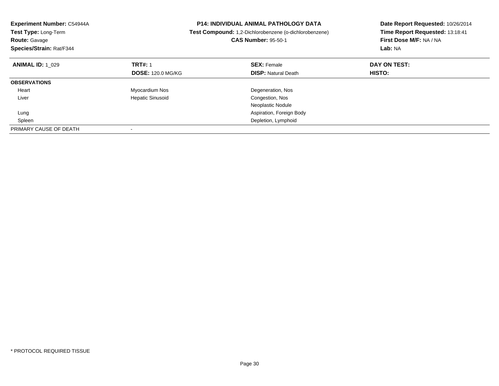| Experiment Number: C54944A<br>Test Type: Long-Term<br><b>Route: Gavage</b><br>Species/Strain: Rat/F344 | <b>P14: INDIVIDUAL ANIMAL PATHOLOGY DATA</b><br>Test Compound: 1,2-Dichlorobenzene (o-dichlorobenzene)<br><b>CAS Number: 95-50-1</b> |                            | Date Report Requested: 10/26/2014<br>Time Report Requested: 13:18:41<br>First Dose M/F: NA / NA<br>Lab: NA |
|--------------------------------------------------------------------------------------------------------|--------------------------------------------------------------------------------------------------------------------------------------|----------------------------|------------------------------------------------------------------------------------------------------------|
| <b>ANIMAL ID: 1 029</b>                                                                                | <b>TRT#: 1</b>                                                                                                                       | <b>SEX: Female</b>         | DAY ON TEST:                                                                                               |
|                                                                                                        | <b>DOSE: 120.0 MG/KG</b>                                                                                                             | <b>DISP: Natural Death</b> | <b>HISTO:</b>                                                                                              |
| <b>OBSERVATIONS</b>                                                                                    |                                                                                                                                      |                            |                                                                                                            |
| Heart                                                                                                  | Myocardium Nos                                                                                                                       | Degeneration, Nos          |                                                                                                            |
| Liver                                                                                                  | <b>Hepatic Sinusoid</b>                                                                                                              | Congestion, Nos            |                                                                                                            |
|                                                                                                        |                                                                                                                                      | Neoplastic Nodule          |                                                                                                            |
| Lung                                                                                                   |                                                                                                                                      | Aspiration, Foreign Body   |                                                                                                            |
| Spleen                                                                                                 |                                                                                                                                      | Depletion, Lymphoid        |                                                                                                            |
| PRIMARY CAUSE OF DEATH                                                                                 |                                                                                                                                      |                            |                                                                                                            |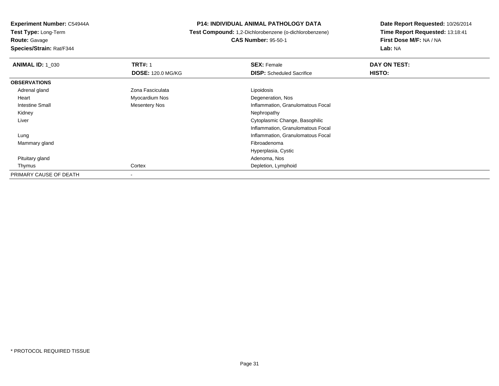**Route:** Gavage

**Species/Strain:** Rat/F344

### **P14: INDIVIDUAL ANIMAL PATHOLOGY DATA**

# **Test Compound:** 1,2-Dichlorobenzene (o-dichlorobenzene)**CAS Number:** 95-50-1

| <b>ANIMAL ID: 1 030</b> | <b>TRT#: 1</b>           | <b>SEX: Female</b>                | DAY ON TEST: |
|-------------------------|--------------------------|-----------------------------------|--------------|
|                         | <b>DOSE: 120.0 MG/KG</b> | <b>DISP:</b> Scheduled Sacrifice  | HISTO:       |
| <b>OBSERVATIONS</b>     |                          |                                   |              |
| Adrenal gland           | Zona Fasciculata         | Lipoidosis                        |              |
| Heart                   | Myocardium Nos           | Degeneration, Nos                 |              |
| <b>Intestine Small</b>  | Mesentery Nos            | Inflammation, Granulomatous Focal |              |
| Kidney                  |                          | Nephropathy                       |              |
| Liver                   |                          | Cytoplasmic Change, Basophilic    |              |
|                         |                          | Inflammation, Granulomatous Focal |              |
| Lung                    |                          | Inflammation, Granulomatous Focal |              |
| Mammary gland           |                          | Fibroadenoma                      |              |
|                         |                          | Hyperplasia, Cystic               |              |
| Pituitary gland         |                          | Adenoma, Nos                      |              |
| Thymus                  | Cortex                   | Depletion, Lymphoid               |              |
| PRIMARY CAUSE OF DEATH  | $\blacksquare$           |                                   |              |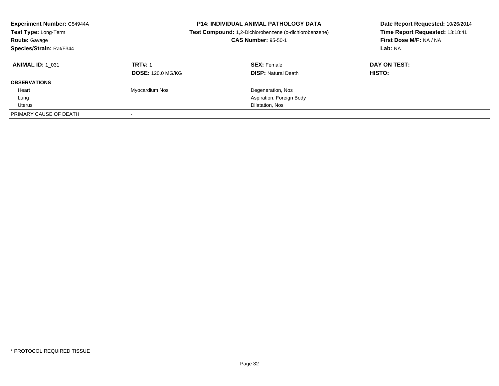| <b>Experiment Number: C54944A</b><br>Test Type: Long-Term<br><b>Route: Gavage</b><br>Species/Strain: Rat/F344 |                          | <b>P14: INDIVIDUAL ANIMAL PATHOLOGY DATA</b><br>Test Compound: 1,2-Dichlorobenzene (o-dichlorobenzene)<br><b>CAS Number: 95-50-1</b> | Date Report Requested: 10/26/2014<br>Time Report Requested: 13:18:41<br>First Dose M/F: NA / NA<br>Lab: NA |
|---------------------------------------------------------------------------------------------------------------|--------------------------|--------------------------------------------------------------------------------------------------------------------------------------|------------------------------------------------------------------------------------------------------------|
| <b>ANIMAL ID: 1 031</b>                                                                                       | <b>TRT#: 1</b>           | <b>SEX: Female</b>                                                                                                                   | DAY ON TEST:                                                                                               |
|                                                                                                               | <b>DOSE: 120.0 MG/KG</b> | <b>DISP: Natural Death</b>                                                                                                           | HISTO:                                                                                                     |
| <b>OBSERVATIONS</b>                                                                                           |                          |                                                                                                                                      |                                                                                                            |
| Heart                                                                                                         | Myocardium Nos           | Degeneration, Nos                                                                                                                    |                                                                                                            |
| Lung                                                                                                          |                          | Aspiration, Foreign Body                                                                                                             |                                                                                                            |
| Uterus                                                                                                        |                          | Dilatation, Nos                                                                                                                      |                                                                                                            |
| PRIMARY CAUSE OF DEATH                                                                                        |                          |                                                                                                                                      |                                                                                                            |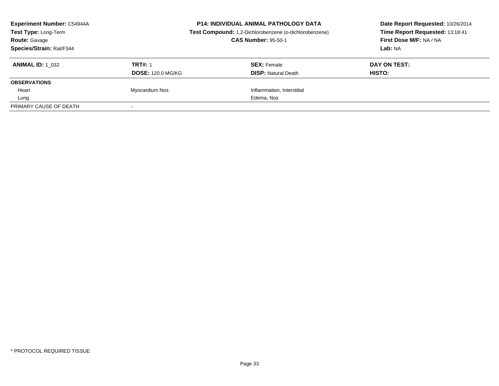| <b>Experiment Number: C54944A</b><br>Test Type: Long-Term<br><b>Route: Gavage</b><br>Species/Strain: Rat/F344 |                                            | <b>P14: INDIVIDUAL ANIMAL PATHOLOGY DATA</b><br>Test Compound: 1,2-Dichlorobenzene (o-dichlorobenzene)<br><b>CAS Number: 95-50-1</b> | Date Report Requested: 10/26/2014<br>Time Report Requested: 13:18:41<br>First Dose M/F: NA / NA<br>Lab: NA |  |
|---------------------------------------------------------------------------------------------------------------|--------------------------------------------|--------------------------------------------------------------------------------------------------------------------------------------|------------------------------------------------------------------------------------------------------------|--|
| <b>ANIMAL ID: 1 032</b>                                                                                       | <b>TRT#: 1</b><br><b>DOSE: 120.0 MG/KG</b> | <b>SEX: Female</b><br><b>DISP:</b> Natural Death                                                                                     | DAY ON TEST:<br><b>HISTO:</b>                                                                              |  |
| <b>OBSERVATIONS</b>                                                                                           |                                            |                                                                                                                                      |                                                                                                            |  |
| Heart                                                                                                         | Myocardium Nos                             | Inflammation, Interstitial                                                                                                           |                                                                                                            |  |
| Lung                                                                                                          |                                            | Edema, Nos                                                                                                                           |                                                                                                            |  |
| PRIMARY CAUSE OF DEATH                                                                                        |                                            |                                                                                                                                      |                                                                                                            |  |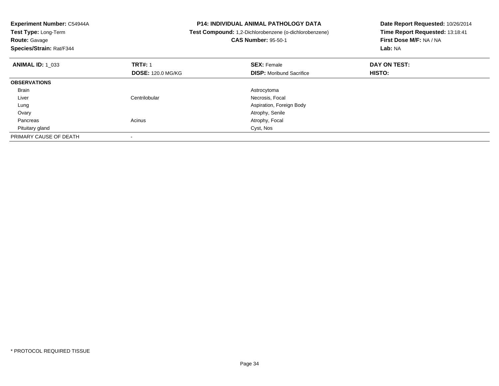| Experiment Number: C54944A<br>Test Type: Long-Term<br><b>Route: Gavage</b><br>Species/Strain: Rat/F344 | <b>P14: INDIVIDUAL ANIMAL PATHOLOGY DATA</b><br>Test Compound: 1,2-Dichlorobenzene (o-dichlorobenzene)<br><b>CAS Number: 95-50-1</b> |                                 | Date Report Requested: 10/26/2014<br>Time Report Requested: 13:18:41<br>First Dose M/F: NA / NA<br>Lab: NA |
|--------------------------------------------------------------------------------------------------------|--------------------------------------------------------------------------------------------------------------------------------------|---------------------------------|------------------------------------------------------------------------------------------------------------|
| <b>ANIMAL ID: 1_033</b>                                                                                | <b>TRT#: 1</b>                                                                                                                       | <b>SEX: Female</b>              | DAY ON TEST:                                                                                               |
|                                                                                                        | <b>DOSE: 120.0 MG/KG</b>                                                                                                             | <b>DISP:</b> Moribund Sacrifice | <b>HISTO:</b>                                                                                              |
| <b>OBSERVATIONS</b>                                                                                    |                                                                                                                                      |                                 |                                                                                                            |
| <b>Brain</b>                                                                                           |                                                                                                                                      | Astrocytoma                     |                                                                                                            |
| Liver                                                                                                  | Centrilobular                                                                                                                        | Necrosis, Focal                 |                                                                                                            |
| Lung                                                                                                   |                                                                                                                                      | Aspiration, Foreign Body        |                                                                                                            |
| Ovary                                                                                                  |                                                                                                                                      | Atrophy, Senile                 |                                                                                                            |
| Pancreas                                                                                               | Acinus                                                                                                                               | Atrophy, Focal                  |                                                                                                            |
| Pituitary gland                                                                                        |                                                                                                                                      | Cyst, Nos                       |                                                                                                            |
| PRIMARY CAUSE OF DEATH                                                                                 |                                                                                                                                      |                                 |                                                                                                            |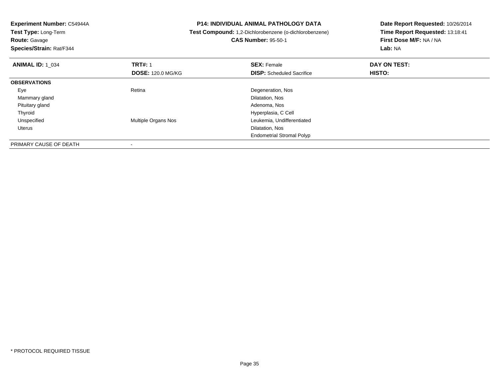**Experiment Number:** C54944A**Test Type:** Long-Term**Route:** Gavage **Species/Strain:** Rat/F344**P14: INDIVIDUAL ANIMAL PATHOLOGY DATA Test Compound:** 1,2-Dichlorobenzene (o-dichlorobenzene)**CAS Number:** 95-50-1**Date Report Requested:** 10/26/2014**Time Report Requested:** 13:18:41**First Dose M/F:** NA / NA**Lab:** NA**ANIMAL ID:** 1\_034**TRT#:** 1 **SEX:** Female **DAY ON TEST: DOSE:** 120.0 MG/KG**DISP:** Scheduled Sacrifice **HISTO: OBSERVATIONS** EyeRetina **Degeneration, Nos**<br>
Diatation, Nos<br>
Dilatation, Nos Mammary glandd Dilatation, Nos Pituitary glandd and the control of the control of the control of the control of the control of the control of the control of the control of the control of the control of the control of the control of the control of the control of the co ThyroidHyperplasia, C Cell<br>Multiple Organs Nos extensions and the Leukemia, Undifferent UnspecifiedLeukemia, Undifferentiated<br>Dilatation, Nos Uteruss and the contract of the contract of the contract of the contract of the contract of the contract of the contract of the contract of the contract of the contract of the contract of the contract of the contract of the cont Endometrial Stromal PolypPRIMARY CAUSE OF DEATH-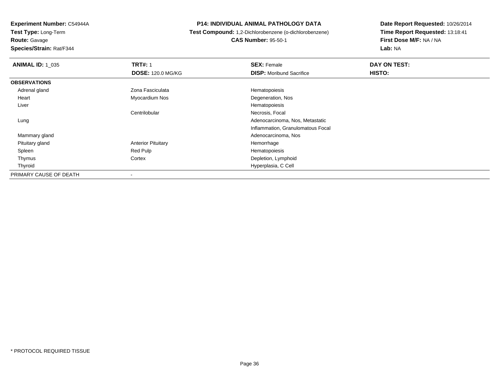**Route:** Gavage

**Species/Strain:** Rat/F344

### **P14: INDIVIDUAL ANIMAL PATHOLOGY DATA**

# **Test Compound:** 1,2-Dichlorobenzene (o-dichlorobenzene)**CAS Number:** 95-50-1

| <b>ANIMAL ID: 1 035</b> | <b>TRT#: 1</b>            | <b>SEX: Female</b>                | DAY ON TEST: |  |
|-------------------------|---------------------------|-----------------------------------|--------------|--|
|                         | <b>DOSE: 120.0 MG/KG</b>  | <b>DISP:</b> Moribund Sacrifice   | HISTO:       |  |
| <b>OBSERVATIONS</b>     |                           |                                   |              |  |
| Adrenal gland           | Zona Fasciculata          | Hematopoiesis                     |              |  |
| Heart                   | Myocardium Nos            | Degeneration, Nos                 |              |  |
| Liver                   |                           | Hematopoiesis                     |              |  |
|                         | Centrilobular             | Necrosis, Focal                   |              |  |
| Lung                    |                           | Adenocarcinoma, Nos, Metastatic   |              |  |
|                         |                           | Inflammation, Granulomatous Focal |              |  |
| Mammary gland           |                           | Adenocarcinoma, Nos               |              |  |
| Pituitary gland         | <b>Anterior Pituitary</b> | Hemorrhage                        |              |  |
| Spleen                  | Red Pulp                  | Hematopoiesis                     |              |  |
| Thymus                  | Cortex                    | Depletion, Lymphoid               |              |  |
| Thyroid                 |                           | Hyperplasia, C Cell               |              |  |
| PRIMARY CAUSE OF DEATH  | $\,$                      |                                   |              |  |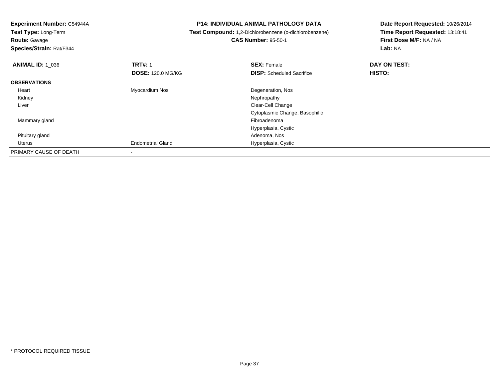**Test Type:** Long-Term**Route:** Gavage

**Species/Strain:** Rat/F344

#### **P14: INDIVIDUAL ANIMAL PATHOLOGY DATA**

# **Test Compound:** 1,2-Dichlorobenzene (o-dichlorobenzene)**CAS Number:** 95-50-1

| <b>ANIMAL ID: 1_036</b> | <b>TRT#: 1</b>           | <b>SEX: Female</b>               | DAY ON TEST: |  |
|-------------------------|--------------------------|----------------------------------|--------------|--|
|                         | <b>DOSE: 120.0 MG/KG</b> | <b>DISP:</b> Scheduled Sacrifice | HISTO:       |  |
| <b>OBSERVATIONS</b>     |                          |                                  |              |  |
| Heart                   | Myocardium Nos           | Degeneration, Nos                |              |  |
| Kidney                  |                          | Nephropathy                      |              |  |
| Liver                   |                          | Clear-Cell Change                |              |  |
|                         |                          | Cytoplasmic Change, Basophilic   |              |  |
| Mammary gland           |                          | Fibroadenoma                     |              |  |
|                         |                          | Hyperplasia, Cystic              |              |  |
| Pituitary gland         |                          | Adenoma, Nos                     |              |  |
| Uterus                  | <b>Endometrial Gland</b> | Hyperplasia, Cystic              |              |  |
| PRIMARY CAUSE OF DEATH  |                          |                                  |              |  |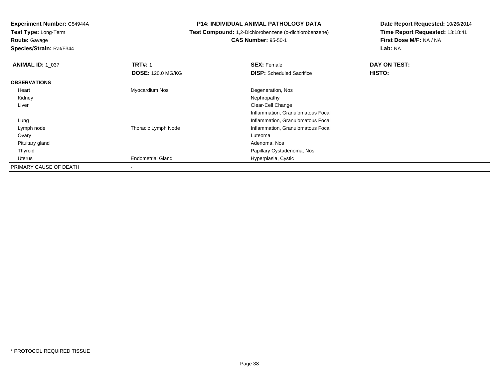**Test Type:** Long-Term**Route:** Gavage

**Species/Strain:** Rat/F344

#### **P14: INDIVIDUAL ANIMAL PATHOLOGY DATA**

# **Test Compound:** 1,2-Dichlorobenzene (o-dichlorobenzene) **CAS Number:** 95-50-1

| <b>ANIMAL ID: 1_037</b> | <b>TRT#: 1</b>           | <b>SEX: Female</b>                | DAY ON TEST: |  |
|-------------------------|--------------------------|-----------------------------------|--------------|--|
|                         | <b>DOSE: 120.0 MG/KG</b> | <b>DISP:</b> Scheduled Sacrifice  | HISTO:       |  |
| <b>OBSERVATIONS</b>     |                          |                                   |              |  |
| Heart                   | Myocardium Nos           | Degeneration, Nos                 |              |  |
| Kidney                  |                          | Nephropathy                       |              |  |
| Liver                   |                          | Clear-Cell Change                 |              |  |
|                         |                          | Inflammation, Granulomatous Focal |              |  |
| Lung                    |                          | Inflammation, Granulomatous Focal |              |  |
| Lymph node              | Thoracic Lymph Node      | Inflammation, Granulomatous Focal |              |  |
| Ovary                   |                          | Luteoma                           |              |  |
| Pituitary gland         |                          | Adenoma, Nos                      |              |  |
| Thyroid                 |                          | Papillary Cystadenoma, Nos        |              |  |
| Uterus                  | <b>Endometrial Gland</b> | Hyperplasia, Cystic               |              |  |
| PRIMARY CAUSE OF DEATH  |                          |                                   |              |  |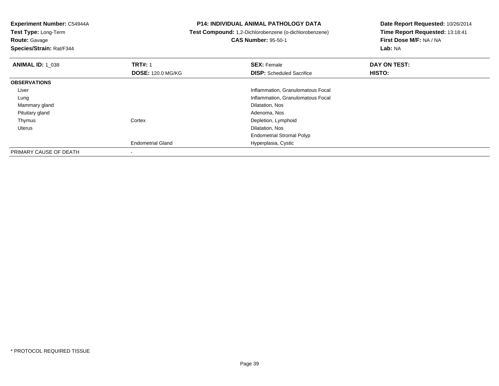**Test Type:** Long-Term**Route:** Gavage

**Species/Strain:** Rat/F344

#### **P14: INDIVIDUAL ANIMAL PATHOLOGY DATA**

**Test Compound:** 1,2-Dichlorobenzene (o-dichlorobenzene)

**CAS Number:** 95-50-1

| <b>ANIMAL ID: 1 038</b> | <b>TRT#: 1</b>           | <b>SEX: Female</b>                | DAY ON TEST:  |  |
|-------------------------|--------------------------|-----------------------------------|---------------|--|
|                         | <b>DOSE: 120.0 MG/KG</b> | <b>DISP:</b> Scheduled Sacrifice  | <b>HISTO:</b> |  |
| <b>OBSERVATIONS</b>     |                          |                                   |               |  |
| Liver                   |                          | Inflammation, Granulomatous Focal |               |  |
| Lung                    |                          | Inflammation, Granulomatous Focal |               |  |
| Mammary gland           |                          | Dilatation, Nos                   |               |  |
| Pituitary gland         |                          | Adenoma, Nos                      |               |  |
| Thymus                  | Cortex                   | Depletion, Lymphoid               |               |  |
| Uterus                  |                          | Dilatation, Nos                   |               |  |
|                         |                          | <b>Endometrial Stromal Polyp</b>  |               |  |
|                         | <b>Endometrial Gland</b> | Hyperplasia, Cystic               |               |  |
| PRIMARY CAUSE OF DEATH  |                          |                                   |               |  |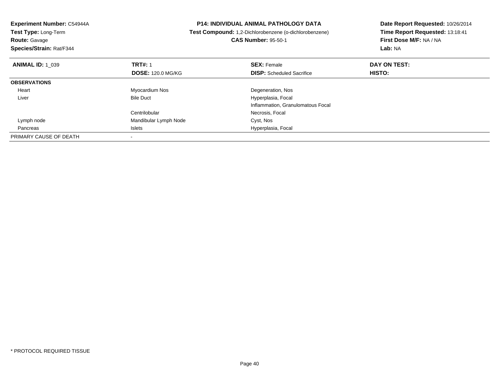| Experiment Number: C54944A                | <b>P14: INDIVIDUAL ANIMAL PATHOLOGY DATA</b><br>Test Compound: 1,2-Dichlorobenzene (o-dichlorobenzene) |                                   | Date Report Requested: 10/26/2014 |
|-------------------------------------------|--------------------------------------------------------------------------------------------------------|-----------------------------------|-----------------------------------|
| <b>Test Type: Long-Term</b>               |                                                                                                        |                                   | Time Report Requested: 13:18:41   |
| <b>Route: Gavage</b>                      |                                                                                                        | <b>CAS Number: 95-50-1</b>        | First Dose M/F: NA / NA           |
| Species/Strain: Rat/F344                  |                                                                                                        |                                   | Lab: NA                           |
| <b>TRT#: 1</b><br><b>ANIMAL ID: 1 039</b> |                                                                                                        | <b>SEX: Female</b>                | DAY ON TEST:                      |
|                                           | <b>DOSE: 120.0 MG/KG</b>                                                                               | <b>DISP:</b> Scheduled Sacrifice  | <b>HISTO:</b>                     |
| <b>OBSERVATIONS</b>                       |                                                                                                        |                                   |                                   |
| Myocardium Nos<br>Heart                   |                                                                                                        | Degeneration, Nos                 |                                   |
| <b>Bile Duct</b><br>Liver                 |                                                                                                        | Hyperplasia, Focal                |                                   |
|                                           |                                                                                                        | Inflammation, Granulomatous Focal |                                   |
| Centrilobular                             |                                                                                                        | Necrosis, Focal                   |                                   |
| Lymph node                                | Mandibular Lymph Node                                                                                  | Cyst, Nos                         |                                   |
| Islets<br>Pancreas                        |                                                                                                        | Hyperplasia, Focal                |                                   |
| PRIMARY CAUSE OF DEATH                    |                                                                                                        |                                   |                                   |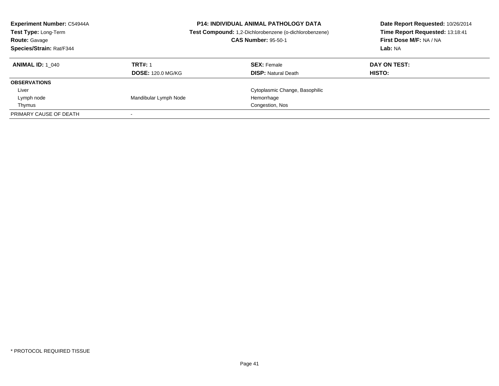| <b>Experiment Number: C54944A</b><br><b>Test Type: Long-Term</b><br><b>Route: Gavage</b><br>Species/Strain: Rat/F344 |                                            | <b>P14: INDIVIDUAL ANIMAL PATHOLOGY DATA</b><br>Test Compound: 1,2-Dichlorobenzene (o-dichlorobenzene)<br><b>CAS Number: 95-50-1</b> | Date Report Requested: 10/26/2014<br>Time Report Requested: 13:18:41<br>First Dose M/F: NA / NA<br>Lab: NA |
|----------------------------------------------------------------------------------------------------------------------|--------------------------------------------|--------------------------------------------------------------------------------------------------------------------------------------|------------------------------------------------------------------------------------------------------------|
| <b>ANIMAL ID:</b> 1 040                                                                                              | <b>TRT#: 1</b><br><b>DOSE: 120.0 MG/KG</b> | <b>SEX:</b> Female<br><b>DISP:</b> Natural Death                                                                                     | DAY ON TEST:<br><b>HISTO:</b>                                                                              |
| <b>OBSERVATIONS</b>                                                                                                  |                                            |                                                                                                                                      |                                                                                                            |
| Liver                                                                                                                |                                            | Cytoplasmic Change, Basophilic                                                                                                       |                                                                                                            |
| Lymph node                                                                                                           | Mandibular Lymph Node                      | Hemorrhage                                                                                                                           |                                                                                                            |
| Thymus                                                                                                               |                                            | Congestion, Nos                                                                                                                      |                                                                                                            |
| PRIMARY CAUSE OF DEATH                                                                                               |                                            |                                                                                                                                      |                                                                                                            |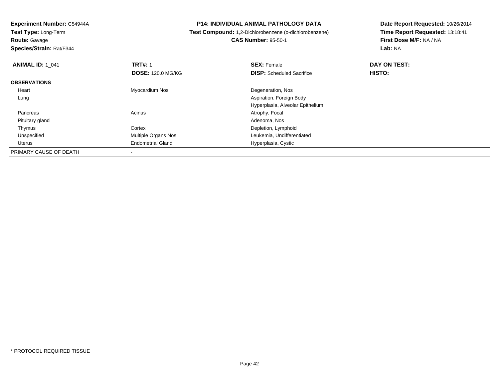**Route:** Gavage

**Species/Strain:** Rat/F344

#### **P14: INDIVIDUAL ANIMAL PATHOLOGY DATA**

# **Test Compound:** 1,2-Dichlorobenzene (o-dichlorobenzene)**CAS Number:** 95-50-1

| <b>ANIMAL ID: 1 041</b> | <b>TRT#: 1</b><br><b>DOSE: 120.0 MG/KG</b> | <b>SEX: Female</b><br><b>DISP:</b> Scheduled Sacrifice | DAY ON TEST:<br>HISTO: |  |
|-------------------------|--------------------------------------------|--------------------------------------------------------|------------------------|--|
| <b>OBSERVATIONS</b>     |                                            |                                                        |                        |  |
| Heart                   | Myocardium Nos                             | Degeneration, Nos                                      |                        |  |
| Lung                    |                                            | Aspiration, Foreign Body                               |                        |  |
|                         |                                            | Hyperplasia, Alveolar Epithelium                       |                        |  |
| Pancreas                | Acinus                                     | Atrophy, Focal                                         |                        |  |
| Pituitary gland         |                                            | Adenoma, Nos                                           |                        |  |
| Thymus                  | Cortex                                     | Depletion, Lymphoid                                    |                        |  |
| Unspecified             | Multiple Organs Nos                        | Leukemia, Undifferentiated                             |                        |  |
| Uterus                  | <b>Endometrial Gland</b>                   | Hyperplasia, Cystic                                    |                        |  |
| PRIMARY CAUSE OF DEATH  |                                            |                                                        |                        |  |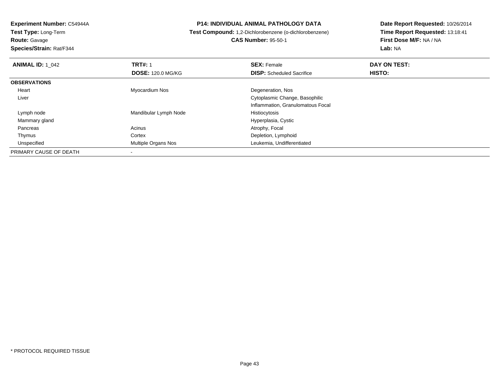**Route:** Gavage

**Species/Strain:** Rat/F344

#### **P14: INDIVIDUAL ANIMAL PATHOLOGY DATA**

## **Test Compound:** 1,2-Dichlorobenzene (o-dichlorobenzene)**CAS Number:** 95-50-1

| <b>ANIMAL ID: 1 042</b> | <b>TRT#: 1</b>             | <b>SEX: Female</b>                | DAY ON TEST:  |  |
|-------------------------|----------------------------|-----------------------------------|---------------|--|
|                         | <b>DOSE: 120.0 MG/KG</b>   | <b>DISP:</b> Scheduled Sacrifice  | <b>HISTO:</b> |  |
| <b>OBSERVATIONS</b>     |                            |                                   |               |  |
| Heart                   | Myocardium Nos             | Degeneration, Nos                 |               |  |
| Liver                   |                            | Cytoplasmic Change, Basophilic    |               |  |
|                         |                            | Inflammation, Granulomatous Focal |               |  |
| Lymph node              | Mandibular Lymph Node      | Histiocytosis                     |               |  |
| Mammary gland           |                            | Hyperplasia, Cystic               |               |  |
| Pancreas                | Acinus                     | Atrophy, Focal                    |               |  |
| Thymus                  | Cortex                     | Depletion, Lymphoid               |               |  |
| Unspecified             | <b>Multiple Organs Nos</b> | Leukemia, Undifferentiated        |               |  |
| PRIMARY CAUSE OF DEATH  |                            |                                   |               |  |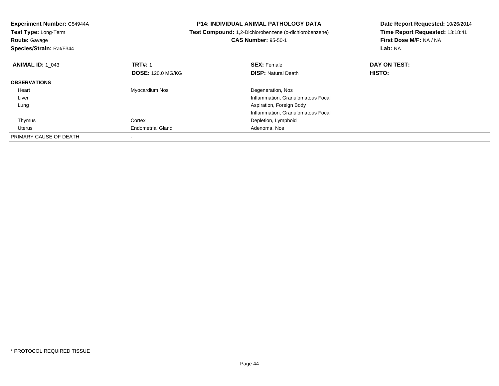| Experiment Number: C54944A<br>Test Type: Long-Term<br><b>Route: Gavage</b><br>Species/Strain: Rat/F344 |                          | <b>P14: INDIVIDUAL ANIMAL PATHOLOGY DATA</b><br>Test Compound: 1,2-Dichlorobenzene (o-dichlorobenzene)<br><b>CAS Number: 95-50-1</b> | Date Report Requested: 10/26/2014<br>Time Report Requested: 13:18:41<br>First Dose M/F: NA / NA<br>Lab: NA |
|--------------------------------------------------------------------------------------------------------|--------------------------|--------------------------------------------------------------------------------------------------------------------------------------|------------------------------------------------------------------------------------------------------------|
| <b>ANIMAL ID: 1 043</b>                                                                                | <b>TRT#: 1</b>           | <b>SEX: Female</b>                                                                                                                   | DAY ON TEST:                                                                                               |
|                                                                                                        | <b>DOSE: 120.0 MG/KG</b> | <b>DISP: Natural Death</b>                                                                                                           | HISTO:                                                                                                     |
| <b>OBSERVATIONS</b>                                                                                    |                          |                                                                                                                                      |                                                                                                            |
| Heart                                                                                                  | Myocardium Nos           | Degeneration, Nos                                                                                                                    |                                                                                                            |
| Liver                                                                                                  |                          | Inflammation, Granulomatous Focal                                                                                                    |                                                                                                            |
| Lung                                                                                                   |                          | Aspiration, Foreign Body                                                                                                             |                                                                                                            |
|                                                                                                        |                          | Inflammation, Granulomatous Focal                                                                                                    |                                                                                                            |
| Thymus                                                                                                 | Cortex                   | Depletion, Lymphoid                                                                                                                  |                                                                                                            |
| Uterus                                                                                                 | <b>Endometrial Gland</b> | Adenoma, Nos                                                                                                                         |                                                                                                            |
| PRIMARY CAUSE OF DEATH                                                                                 |                          |                                                                                                                                      |                                                                                                            |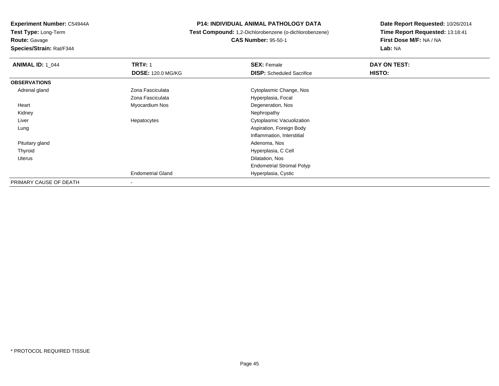**Route:** Gavage

**Species/Strain:** Rat/F344

#### **P14: INDIVIDUAL ANIMAL PATHOLOGY DATA**

 **Test Compound:** 1,2-Dichlorobenzene (o-dichlorobenzene)**CAS Number:** 95-50-1

| <b>ANIMAL ID: 1 044</b> | <b>TRT#: 1</b>           | <b>SEX: Female</b>               | DAY ON TEST: |
|-------------------------|--------------------------|----------------------------------|--------------|
|                         | <b>DOSE: 120.0 MG/KG</b> | <b>DISP:</b> Scheduled Sacrifice | HISTO:       |
| <b>OBSERVATIONS</b>     |                          |                                  |              |
| Adrenal gland           | Zona Fasciculata         | Cytoplasmic Change, Nos          |              |
|                         | Zona Fasciculata         | Hyperplasia, Focal               |              |
| Heart                   | Myocardium Nos           | Degeneration, Nos                |              |
| Kidney                  |                          | Nephropathy                      |              |
| Liver                   | Hepatocytes              | Cytoplasmic Vacuolization        |              |
| Lung                    |                          | Aspiration, Foreign Body         |              |
|                         |                          | Inflammation, Interstitial       |              |
| Pituitary gland         |                          | Adenoma, Nos                     |              |
| Thyroid                 |                          | Hyperplasia, C Cell              |              |
| Uterus                  |                          | Dilatation, Nos                  |              |
|                         |                          | <b>Endometrial Stromal Polyp</b> |              |
|                         | <b>Endometrial Gland</b> | Hyperplasia, Cystic              |              |
| PRIMARY CAUSE OF DEATH  | $\sim$                   |                                  |              |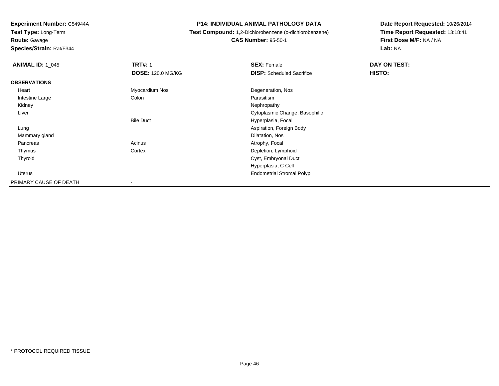**Route:** Gavage

**Species/Strain:** Rat/F344

#### **P14: INDIVIDUAL ANIMAL PATHOLOGY DATA**

**Test Compound:** 1,2-Dichlorobenzene (o-dichlorobenzene)

**CAS Number:** 95-50-1

| <b>ANIMAL ID: 1 045</b> | <b>TRT#: 1</b>           | <b>SEX: Female</b>               | DAY ON TEST: |
|-------------------------|--------------------------|----------------------------------|--------------|
|                         | <b>DOSE: 120.0 MG/KG</b> | <b>DISP:</b> Scheduled Sacrifice | HISTO:       |
| <b>OBSERVATIONS</b>     |                          |                                  |              |
| Heart                   | Myocardium Nos           | Degeneration, Nos                |              |
| Intestine Large         | Colon                    | Parasitism                       |              |
| Kidney                  |                          | Nephropathy                      |              |
| Liver                   |                          | Cytoplasmic Change, Basophilic   |              |
|                         | <b>Bile Duct</b>         | Hyperplasia, Focal               |              |
| Lung                    |                          | Aspiration, Foreign Body         |              |
| Mammary gland           |                          | Dilatation, Nos                  |              |
| Pancreas                | Acinus                   | Atrophy, Focal                   |              |
| Thymus                  | Cortex                   | Depletion, Lymphoid              |              |
| Thyroid                 |                          | Cyst, Embryonal Duct             |              |
|                         |                          | Hyperplasia, C Cell              |              |
| Uterus                  |                          | <b>Endometrial Stromal Polyp</b> |              |
| PRIMARY CAUSE OF DEATH  | $\overline{\phantom{a}}$ |                                  |              |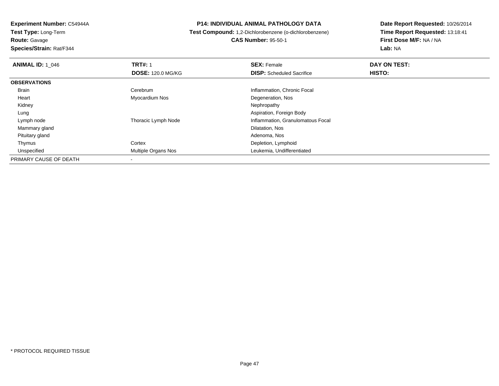**Experiment Number:** C54944A**Test Type:** Long-Term**Route:** Gavage

**Species/Strain:** Rat/F344

**P14: INDIVIDUAL ANIMAL PATHOLOGY DATA**

**Test Compound:** 1,2-Dichlorobenzene (o-dichlorobenzene)

**CAS Number:** 95-50-1

| <b>ANIMAL ID: 1 046</b> | <b>TRT#: 1</b>           | <b>SEX: Female</b>                | DAY ON TEST: |  |
|-------------------------|--------------------------|-----------------------------------|--------------|--|
|                         | <b>DOSE: 120.0 MG/KG</b> | <b>DISP:</b> Scheduled Sacrifice  | HISTO:       |  |
| <b>OBSERVATIONS</b>     |                          |                                   |              |  |
| Brain                   | Cerebrum                 | Inflammation, Chronic Focal       |              |  |
| Heart                   | Myocardium Nos           | Degeneration, Nos                 |              |  |
| Kidney                  |                          | Nephropathy                       |              |  |
| Lung                    |                          | Aspiration, Foreign Body          |              |  |
| Lymph node              | Thoracic Lymph Node      | Inflammation, Granulomatous Focal |              |  |
| Mammary gland           |                          | Dilatation, Nos                   |              |  |
| Pituitary gland         |                          | Adenoma, Nos                      |              |  |
| Thymus                  | Cortex                   | Depletion, Lymphoid               |              |  |
| Unspecified             | Multiple Organs Nos      | Leukemia, Undifferentiated        |              |  |
| PRIMARY CAUSE OF DEATH  | $\overline{\phantom{a}}$ |                                   |              |  |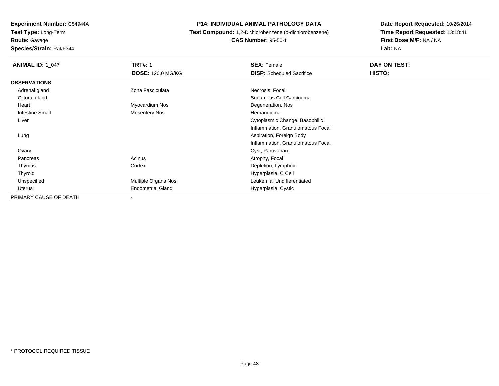**Route:** Gavage

**Species/Strain:** Rat/F344

#### **P14: INDIVIDUAL ANIMAL PATHOLOGY DATA**

## **Test Compound:** 1,2-Dichlorobenzene (o-dichlorobenzene)**CAS Number:** 95-50-1

| <b>ANIMAL ID: 1_047</b> | <b>TRT#: 1</b>           | <b>SEX: Female</b>                | DAY ON TEST:  |  |
|-------------------------|--------------------------|-----------------------------------|---------------|--|
|                         | <b>DOSE: 120.0 MG/KG</b> | <b>DISP:</b> Scheduled Sacrifice  | <b>HISTO:</b> |  |
| <b>OBSERVATIONS</b>     |                          |                                   |               |  |
| Adrenal gland           | Zona Fasciculata         | Necrosis, Focal                   |               |  |
| Clitoral gland          |                          | Squamous Cell Carcinoma           |               |  |
| Heart                   | Myocardium Nos           | Degeneration, Nos                 |               |  |
| Intestine Small         | <b>Mesentery Nos</b>     | Hemangioma                        |               |  |
| Liver                   |                          | Cytoplasmic Change, Basophilic    |               |  |
|                         |                          | Inflammation, Granulomatous Focal |               |  |
| Lung                    |                          | Aspiration, Foreign Body          |               |  |
|                         |                          | Inflammation, Granulomatous Focal |               |  |
| Ovary                   |                          | Cyst, Parovarian                  |               |  |
| Pancreas                | Acinus                   | Atrophy, Focal                    |               |  |
| Thymus                  | Cortex                   | Depletion, Lymphoid               |               |  |
| Thyroid                 |                          | Hyperplasia, C Cell               |               |  |
| Unspecified             | Multiple Organs Nos      | Leukemia, Undifferentiated        |               |  |
| Uterus                  | <b>Endometrial Gland</b> | Hyperplasia, Cystic               |               |  |
| PRIMARY CAUSE OF DEATH  | $\overline{\phantom{a}}$ |                                   |               |  |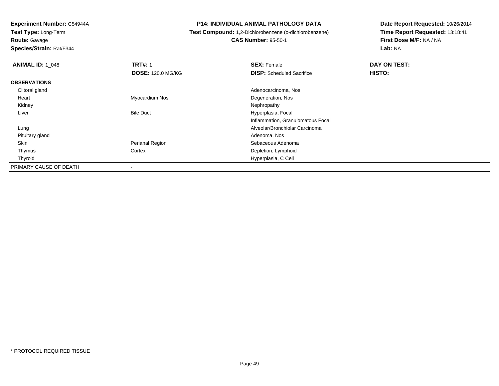**Test Type:** Long-Term**Route:** Gavage

**Species/Strain:** Rat/F344

#### **P14: INDIVIDUAL ANIMAL PATHOLOGY DATA**

# **Test Compound:** 1,2-Dichlorobenzene (o-dichlorobenzene)

**CAS Number:** 95-50-1

| <b>ANIMAL ID: 1 048</b> | <b>TRT#: 1</b>           | <b>SEX: Female</b>                | DAY ON TEST:  |
|-------------------------|--------------------------|-----------------------------------|---------------|
|                         | <b>DOSE: 120.0 MG/KG</b> | <b>DISP:</b> Scheduled Sacrifice  | <b>HISTO:</b> |
| <b>OBSERVATIONS</b>     |                          |                                   |               |
| Clitoral gland          |                          | Adenocarcinoma, Nos               |               |
| Heart                   | Myocardium Nos           | Degeneration, Nos                 |               |
| Kidney                  |                          | Nephropathy                       |               |
| Liver                   | <b>Bile Duct</b>         | Hyperplasia, Focal                |               |
|                         |                          | Inflammation, Granulomatous Focal |               |
| Lung                    |                          | Alveolar/Bronchiolar Carcinoma    |               |
| Pituitary gland         |                          | Adenoma, Nos                      |               |
| Skin                    | Perianal Region          | Sebaceous Adenoma                 |               |
| Thymus                  | Cortex                   | Depletion, Lymphoid               |               |
| Thyroid                 |                          | Hyperplasia, C Cell               |               |
| PRIMARY CAUSE OF DEATH  | $\overline{\phantom{a}}$ |                                   |               |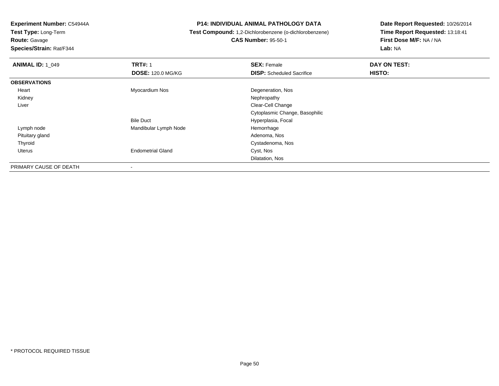**Route:** Gavage

**Species/Strain:** Rat/F344

#### **P14: INDIVIDUAL ANIMAL PATHOLOGY DATA**

 **Test Compound:** 1,2-Dichlorobenzene (o-dichlorobenzene)**CAS Number:** 95-50-1

| <b>ANIMAL ID: 1_049</b> | <b>TRT#: 1</b>           | <b>SEX: Female</b>               | DAY ON TEST: |
|-------------------------|--------------------------|----------------------------------|--------------|
|                         | <b>DOSE: 120.0 MG/KG</b> | <b>DISP:</b> Scheduled Sacrifice | HISTO:       |
| <b>OBSERVATIONS</b>     |                          |                                  |              |
| Heart                   | Myocardium Nos           | Degeneration, Nos                |              |
| Kidney                  |                          | Nephropathy                      |              |
| Liver                   |                          | Clear-Cell Change                |              |
|                         |                          | Cytoplasmic Change, Basophilic   |              |
|                         | <b>Bile Duct</b>         | Hyperplasia, Focal               |              |
| Lymph node              | Mandibular Lymph Node    | Hemorrhage                       |              |
| Pituitary gland         |                          | Adenoma, Nos                     |              |
| Thyroid                 |                          | Cystadenoma, Nos                 |              |
| Uterus                  | <b>Endometrial Gland</b> | Cyst, Nos                        |              |
|                         |                          | Dilatation, Nos                  |              |
| PRIMARY CAUSE OF DEATH  | $\blacksquare$           |                                  |              |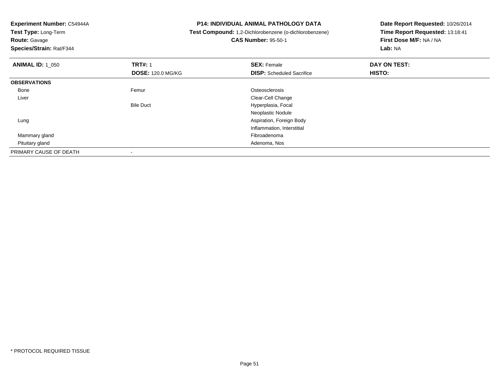**Experiment Number:** C54944A**Test Type:** Long-Term**Route:** Gavage **Species/Strain:** Rat/F344**P14: INDIVIDUAL ANIMAL PATHOLOGY DATA Test Compound:** 1,2-Dichlorobenzene (o-dichlorobenzene)**CAS Number:** 95-50-1**Date Report Requested:** 10/26/2014**Time Report Requested:** 13:18:41**First Dose M/F:** NA / NA**Lab:** NA**ANIMAL ID:** 1\_050**C TRT#:** 1 **SEX:** Female **DAY ON TEST: DOSE:** 120.0 MG/KG**DISP:** Scheduled Sacrifice **HISTO: OBSERVATIONS** Bonee and the settlement of the Femur and the settlement of the Stephen Stephen Stephen Stephen Stephen Stephen Stephen Stephen Stephen Stephen Stephen Stephen Stephen Stephen Stephen Stephen Stephen Stephen Stephen Stephen St Liver Clear-Cell Changet **Hyperplasia, Focal** Bile DuctNeoplastic Nodule Aspiration, Foreign Body LungInflammation, Interstitial Mammary glandd and the control of the control of the control of the control of the control of the control of the control of the control of the control of the control of the control of the control of the control of the control of the co Pituitary glandd and the contract of the contract of the contract of the contract of the contract of the contract of the contract of the contract of the contract of the contract of the contract of the contract of the contract of the cont PRIMARY CAUSE OF DEATH-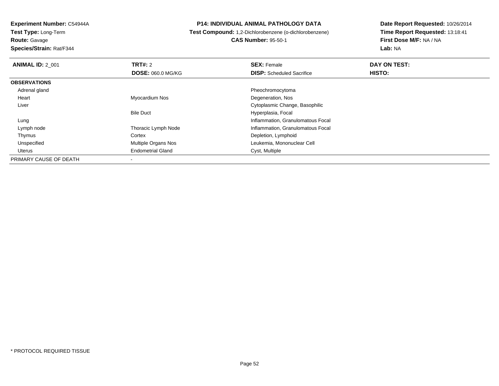**Test Type:** Long-Term**Route:** Gavage

**Species/Strain:** Rat/F344

#### **P14: INDIVIDUAL ANIMAL PATHOLOGY DATA**

 **Test Compound:** 1,2-Dichlorobenzene (o-dichlorobenzene)**CAS Number:** 95-50-1

| <b>ANIMAL ID: 2 001</b> | TRT#: 2                  | <b>SEX: Female</b>                | DAY ON TEST: |  |
|-------------------------|--------------------------|-----------------------------------|--------------|--|
|                         | <b>DOSE: 060.0 MG/KG</b> | <b>DISP:</b> Scheduled Sacrifice  | HISTO:       |  |
| <b>OBSERVATIONS</b>     |                          |                                   |              |  |
| Adrenal gland           |                          | Pheochromocytoma                  |              |  |
| Heart                   | Myocardium Nos           | Degeneration, Nos                 |              |  |
| Liver                   |                          | Cytoplasmic Change, Basophilic    |              |  |
|                         | <b>Bile Duct</b>         | Hyperplasia, Focal                |              |  |
| Lung                    |                          | Inflammation, Granulomatous Focal |              |  |
| Lymph node              | Thoracic Lymph Node      | Inflammation, Granulomatous Focal |              |  |
| Thymus                  | Cortex                   | Depletion, Lymphoid               |              |  |
| Unspecified             | Multiple Organs Nos      | Leukemia, Mononuclear Cell        |              |  |
| Uterus                  | <b>Endometrial Gland</b> | Cyst, Multiple                    |              |  |
| PRIMARY CAUSE OF DEATH  |                          |                                   |              |  |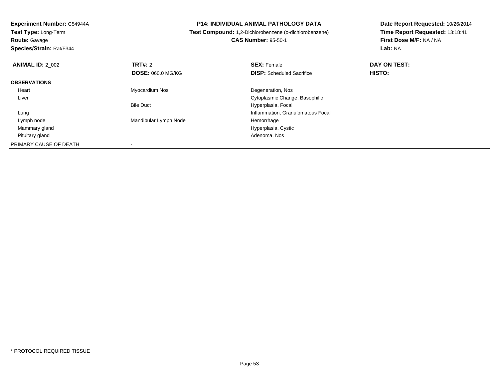**Route:** Gavage

**Species/Strain:** Rat/F344

#### **P14: INDIVIDUAL ANIMAL PATHOLOGY DATA**

 **Test Compound:** 1,2-Dichlorobenzene (o-dichlorobenzene)**CAS Number:** 95-50-1

| <b>ANIMAL ID: 2 002</b> | <b>TRT#:</b> 2<br><b>DOSE: 060.0 MG/KG</b> | <b>SEX: Female</b><br><b>DISP:</b> Scheduled Sacrifice | DAY ON TEST:<br>HISTO: |  |
|-------------------------|--------------------------------------------|--------------------------------------------------------|------------------------|--|
|                         |                                            |                                                        |                        |  |
| <b>OBSERVATIONS</b>     |                                            |                                                        |                        |  |
| Heart                   | Myocardium Nos                             | Degeneration, Nos                                      |                        |  |
| Liver                   |                                            | Cytoplasmic Change, Basophilic                         |                        |  |
|                         | <b>Bile Duct</b>                           | Hyperplasia, Focal                                     |                        |  |
| Lung                    |                                            | Inflammation, Granulomatous Focal                      |                        |  |
| Lymph node              | Mandibular Lymph Node                      | Hemorrhage                                             |                        |  |
| Mammary gland           |                                            | Hyperplasia, Cystic                                    |                        |  |
| Pituitary gland         |                                            | Adenoma, Nos                                           |                        |  |
| PRIMARY CAUSE OF DEATH  |                                            |                                                        |                        |  |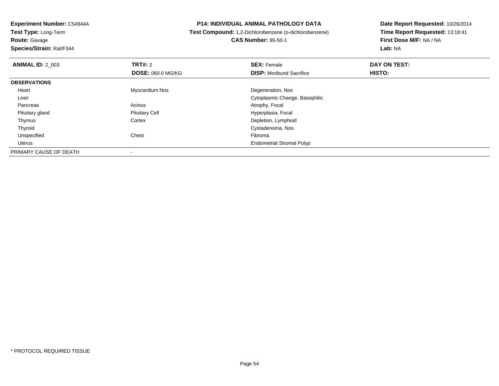**Experiment Number:** C54944A**Test Type:** Long-Term**Route:** Gavage **Species/Strain:** Rat/F344**P14: INDIVIDUAL ANIMAL PATHOLOGY DATA Test Compound:** 1,2-Dichlorobenzene (o-dichlorobenzene)**CAS Number:** 95-50-1**Date Report Requested:** 10/26/2014**Time Report Requested:** 13:18:41**First Dose M/F:** NA / NA**Lab:** NA**ANIMAL ID: 2 003 TRT#:** 2 **SEX:** Female **DAY ON TEST: DOSE:** 060.0 MG/KG**DISP:** Moribund Sacrifice **HISTO: OBSERVATIONS** Heart Myocardium Nos Degeneration, Nos Liver Cytoplasmic Change, Basophilic PancreasAcinus Acinus Atrophy, Focal<br>Pituitary Cell Communications and Atrophy, Focal Pituitary Cell Pituitary glandPituitary Cell **Exercise Secure 19 and Secure 20 and Secure 20 and Secure 20 and Secure 20 and Secure 20 and Secure 20 and Secure 20 and Secure 20 and Secure 20 and Secure 20 and Secure 20 and Secure 20 and Secure 20 and S** Depletion, Lymphoid

Endometrial Stromal Polyp

Cystadenoma, Nos

d Chest Chest Chest Chest Chest Chest Chest Chest Chest Chest Chest Chest Chest Chest Chest Chest Chest Chest Chest Chest Chest Chest Chest Chest Chest Chest Chest Chest Chest Chest Chest Chest Chest Chest Chest Chest Ches

-

Thymus

 ThyroidUnspecified

Uterus

PRIMARY CAUSE OF DEATH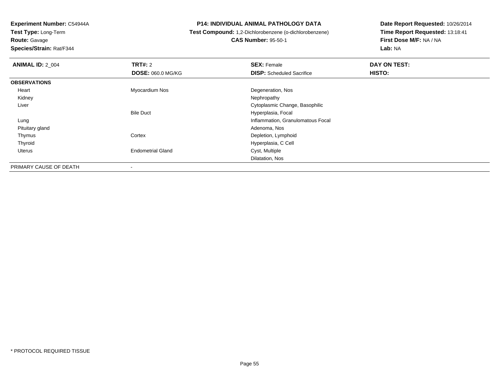**Route:** Gavage

**Species/Strain:** Rat/F344

#### **P14: INDIVIDUAL ANIMAL PATHOLOGY DATA**

## **Test Compound:** 1,2-Dichlorobenzene (o-dichlorobenzene)**CAS Number:** 95-50-1

| <b>ANIMAL ID: 2_004</b> | TRT#: 2                  | <b>SEX: Female</b>                | DAY ON TEST:  |  |
|-------------------------|--------------------------|-----------------------------------|---------------|--|
|                         | <b>DOSE: 060.0 MG/KG</b> | <b>DISP:</b> Scheduled Sacrifice  | <b>HISTO:</b> |  |
| <b>OBSERVATIONS</b>     |                          |                                   |               |  |
| Heart                   | Myocardium Nos           | Degeneration, Nos                 |               |  |
| Kidney                  |                          | Nephropathy                       |               |  |
| Liver                   |                          | Cytoplasmic Change, Basophilic    |               |  |
|                         | <b>Bile Duct</b>         | Hyperplasia, Focal                |               |  |
| Lung                    |                          | Inflammation, Granulomatous Focal |               |  |
| Pituitary gland         |                          | Adenoma, Nos                      |               |  |
| Thymus                  | Cortex                   | Depletion, Lymphoid               |               |  |
| Thyroid                 |                          | Hyperplasia, C Cell               |               |  |
| Uterus                  | <b>Endometrial Gland</b> | Cyst, Multiple                    |               |  |
|                         |                          | Dilatation, Nos                   |               |  |
| PRIMARY CAUSE OF DEATH  | -                        |                                   |               |  |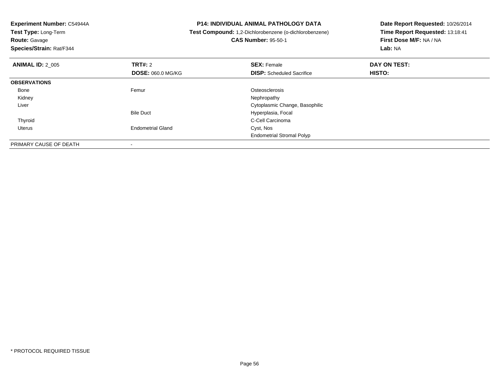**Experiment Number:** C54944A**Test Type:** Long-Term**Route:** Gavage **Species/Strain:** Rat/F344**P14: INDIVIDUAL ANIMAL PATHOLOGY DATA Test Compound:** 1,2-Dichlorobenzene (o-dichlorobenzene)**CAS Number:** 95-50-1**Date Report Requested:** 10/26/2014**Time Report Requested:** 13:18:41**First Dose M/F:** NA / NA**Lab:** NA**ANIMAL ID:** 2\_005**TRT#:** 2 **SEX:** Female **DAY ON TEST: DOSE:** 060.0 MG/KG**DISP:** Scheduled Sacrifice **HISTO: OBSERVATIONS** Bonee and the settlement of the Femur and the settlement of the Stephen Stephen Stephen Stephen Stephen Stephen Stephen Stephen Stephen Stephen Stephen Stephen Stephen Stephen Stephen Stephen Stephen Stephen Stephen Stephen St Kidneyy the control of the control of the control of the control of the control of the control of the control of the control of the control of the control of the control of the control of the control of the control of the contro Liver Cytoplasmic Change, BasophilicBile Duct Hyperplasia, Focal Thyroid C-Cell Carcinoma Uterus Endometrial Gland Cyst, Nos Endometrial Stromal PolypPRIMARY CAUSE OF DEATH-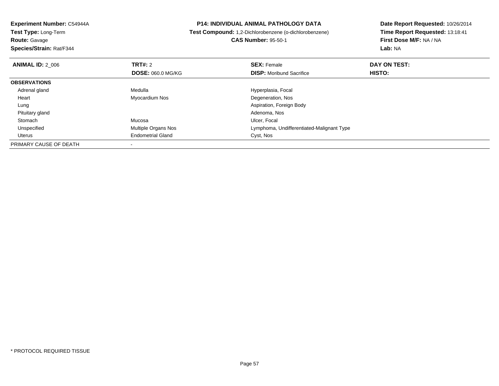| Experiment Number: C54944A | <b>P14: INDIVIDUAL ANIMAL PATHOLOGY DATA</b> |                                                               | Date Report Requested: 10/26/2014 |  |
|----------------------------|----------------------------------------------|---------------------------------------------------------------|-----------------------------------|--|
| Test Type: Long-Term       |                                              | <b>Test Compound:</b> 1,2-Dichlorobenzene (o-dichlorobenzene) | Time Report Requested: 13:18:41   |  |
| <b>Route: Gavage</b>       |                                              | <b>CAS Number: 95-50-1</b>                                    | First Dose M/F: NA / NA           |  |
| Species/Strain: Rat/F344   |                                              |                                                               | Lab: NA                           |  |
| <b>ANIMAL ID: 2 006</b>    | <b>TRT#: 2</b>                               | <b>SEX: Female</b>                                            | DAY ON TEST:                      |  |
|                            | <b>DOSE: 060.0 MG/KG</b>                     | <b>DISP:</b> Moribund Sacrifice                               | <b>HISTO:</b>                     |  |
| <b>OBSERVATIONS</b>        |                                              |                                                               |                                   |  |
| Adrenal gland              | Medulla                                      | Hyperplasia, Focal                                            |                                   |  |
| Heart                      | Myocardium Nos                               | Degeneration, Nos                                             |                                   |  |
| Lung                       |                                              | Aspiration, Foreign Body                                      |                                   |  |
| Pituitary gland            |                                              | Adenoma, Nos                                                  |                                   |  |
| Stomach                    | Mucosa                                       | Ulcer, Focal                                                  |                                   |  |
| Unspecified                | <b>Multiple Organs Nos</b>                   | Lymphoma, Undifferentiated-Malignant Type                     |                                   |  |
| Uterus                     | <b>Endometrial Gland</b>                     | Cyst, Nos                                                     |                                   |  |
| PRIMARY CAUSE OF DEATH     |                                              |                                                               |                                   |  |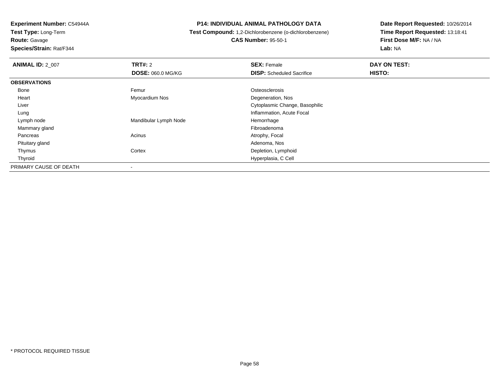**Route:** Gavage

**Species/Strain:** Rat/F344

#### **P14: INDIVIDUAL ANIMAL PATHOLOGY DATA**

**Test Compound:** 1,2-Dichlorobenzene (o-dichlorobenzene)

**CAS Number:** 95-50-1

| <b>ANIMAL ID: 2 007</b> | TRT#: 2                  | <b>SEX: Female</b>               | DAY ON TEST: |  |
|-------------------------|--------------------------|----------------------------------|--------------|--|
|                         | <b>DOSE: 060.0 MG/KG</b> | <b>DISP:</b> Scheduled Sacrifice | HISTO:       |  |
| <b>OBSERVATIONS</b>     |                          |                                  |              |  |
| Bone                    | Femur                    | Osteosclerosis                   |              |  |
| Heart                   | Myocardium Nos           | Degeneration, Nos                |              |  |
| Liver                   |                          | Cytoplasmic Change, Basophilic   |              |  |
| Lung                    |                          | Inflammation, Acute Focal        |              |  |
| Lymph node              | Mandibular Lymph Node    | Hemorrhage                       |              |  |
| Mammary gland           |                          | Fibroadenoma                     |              |  |
| Pancreas                | Acinus                   | Atrophy, Focal                   |              |  |
| Pituitary gland         |                          | Adenoma, Nos                     |              |  |
| Thymus                  | Cortex                   | Depletion, Lymphoid              |              |  |
| Thyroid                 |                          | Hyperplasia, C Cell              |              |  |
| PRIMARY CAUSE OF DEATH  | $\blacksquare$           |                                  |              |  |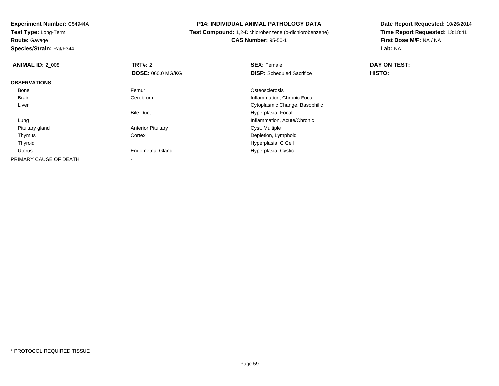**Route:** Gavage

**Species/Strain:** Rat/F344

#### **P14: INDIVIDUAL ANIMAL PATHOLOGY DATA**

 **Test Compound:** 1,2-Dichlorobenzene (o-dichlorobenzene)**CAS Number:** 95-50-1

| <b>ANIMAL ID: 2 008</b> | <b>TRT#: 2</b>            | <b>SEX: Female</b>               | DAY ON TEST: |  |
|-------------------------|---------------------------|----------------------------------|--------------|--|
|                         | <b>DOSE: 060.0 MG/KG</b>  | <b>DISP:</b> Scheduled Sacrifice | HISTO:       |  |
| <b>OBSERVATIONS</b>     |                           |                                  |              |  |
| Bone                    | Femur                     | Osteosclerosis                   |              |  |
| <b>Brain</b>            | Cerebrum                  | Inflammation, Chronic Focal      |              |  |
| Liver                   |                           | Cytoplasmic Change, Basophilic   |              |  |
|                         | <b>Bile Duct</b>          | Hyperplasia, Focal               |              |  |
| Lung                    |                           | Inflammation, Acute/Chronic      |              |  |
| Pituitary gland         | <b>Anterior Pituitary</b> | Cyst, Multiple                   |              |  |
| Thymus                  | Cortex                    | Depletion, Lymphoid              |              |  |
| Thyroid                 |                           | Hyperplasia, C Cell              |              |  |
| Uterus                  | <b>Endometrial Gland</b>  | Hyperplasia, Cystic              |              |  |
| PRIMARY CAUSE OF DEATH  | $\,$                      |                                  |              |  |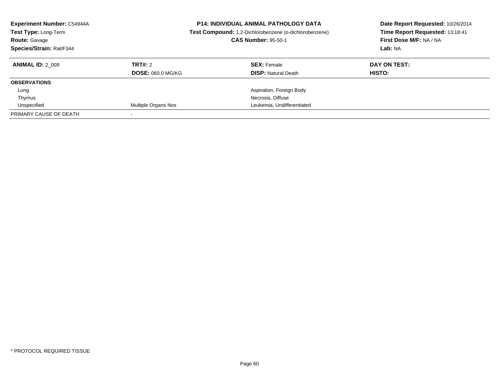| <b>Experiment Number: C54944A</b><br>Test Type: Long-Term<br><b>Route: Gavage</b><br>Species/Strain: Rat/F344 |                          | <b>P14: INDIVIDUAL ANIMAL PATHOLOGY DATA</b><br>Test Compound: 1,2-Dichlorobenzene (o-dichlorobenzene)<br><b>CAS Number: 95-50-1</b> | Date Report Requested: 10/26/2014<br>Time Report Requested: 13:18:41<br>First Dose M/F: NA / NA<br>Lab: NA |
|---------------------------------------------------------------------------------------------------------------|--------------------------|--------------------------------------------------------------------------------------------------------------------------------------|------------------------------------------------------------------------------------------------------------|
| <b>ANIMAL ID: 2 009</b>                                                                                       | TRT#: 2                  | <b>SEX: Female</b>                                                                                                                   | DAY ON TEST:                                                                                               |
|                                                                                                               | <b>DOSE: 060.0 MG/KG</b> | <b>DISP: Natural Death</b>                                                                                                           | HISTO:                                                                                                     |
| <b>OBSERVATIONS</b>                                                                                           |                          |                                                                                                                                      |                                                                                                            |
| Lung                                                                                                          |                          | Aspiration, Foreign Body                                                                                                             |                                                                                                            |
| Thymus                                                                                                        |                          | Necrosis, Diffuse                                                                                                                    |                                                                                                            |
| Unspecified                                                                                                   | Multiple Organs Nos      | Leukemia, Undifferentiated                                                                                                           |                                                                                                            |
| PRIMARY CAUSE OF DEATH                                                                                        |                          |                                                                                                                                      |                                                                                                            |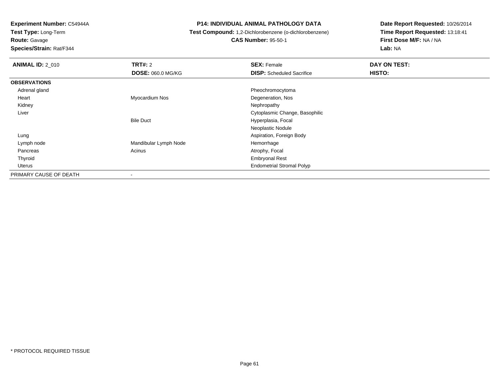**Test Type:** Long-Term

**Route:** Gavage

**Species/Strain:** Rat/F344

#### **P14: INDIVIDUAL ANIMAL PATHOLOGY DATA**

# **Test Compound:** 1,2-Dichlorobenzene (o-dichlorobenzene)**CAS Number:** 95-50-1

| <b>ANIMAL ID: 2_010</b> | TRT#: 2                  | <b>SEX: Female</b>               | DAY ON TEST: |  |
|-------------------------|--------------------------|----------------------------------|--------------|--|
|                         | <b>DOSE: 060.0 MG/KG</b> | <b>DISP:</b> Scheduled Sacrifice | HISTO:       |  |
| <b>OBSERVATIONS</b>     |                          |                                  |              |  |
| Adrenal gland           |                          | Pheochromocytoma                 |              |  |
| Heart                   | Myocardium Nos           | Degeneration, Nos                |              |  |
| Kidney                  |                          | Nephropathy                      |              |  |
| Liver                   |                          | Cytoplasmic Change, Basophilic   |              |  |
|                         | <b>Bile Duct</b>         | Hyperplasia, Focal               |              |  |
|                         |                          | Neoplastic Nodule                |              |  |
| Lung                    |                          | Aspiration, Foreign Body         |              |  |
| Lymph node              | Mandibular Lymph Node    | Hemorrhage                       |              |  |
| Pancreas                | Acinus                   | Atrophy, Focal                   |              |  |
| Thyroid                 |                          | <b>Embryonal Rest</b>            |              |  |
| <b>Uterus</b>           |                          | <b>Endometrial Stromal Polyp</b> |              |  |
| PRIMARY CAUSE OF DEATH  | $\,$                     |                                  |              |  |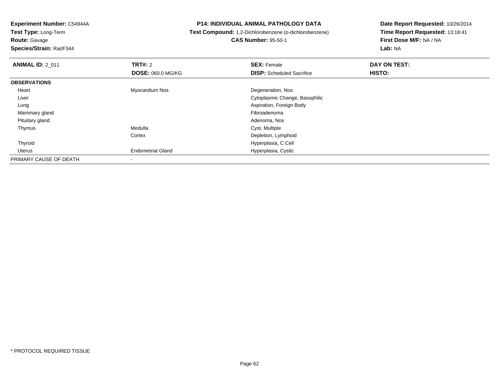**Route:** Gavage

**Species/Strain:** Rat/F344

#### **P14: INDIVIDUAL ANIMAL PATHOLOGY DATA**

#### **Test Compound:** 1,2-Dichlorobenzene (o-dichlorobenzene)**CAS Number:** 95-50-1

| <b>ANIMAL ID: 2 011</b> | TRT#: 2<br><b>DOSE: 060.0 MG/KG</b> | <b>SEX: Female</b><br><b>DISP:</b> Scheduled Sacrifice | DAY ON TEST:<br>HISTO: |  |
|-------------------------|-------------------------------------|--------------------------------------------------------|------------------------|--|
| <b>OBSERVATIONS</b>     |                                     |                                                        |                        |  |
| Heart                   | Myocardium Nos                      | Degeneration, Nos                                      |                        |  |
| Liver                   |                                     | Cytoplasmic Change, Basophilic                         |                        |  |
| Lung                    |                                     | Aspiration, Foreign Body                               |                        |  |
| Mammary gland           |                                     | Fibroadenoma                                           |                        |  |
| Pituitary gland         |                                     | Adenoma, Nos                                           |                        |  |
| Thymus                  | Medulla                             | Cyst, Multiple                                         |                        |  |
|                         | Cortex                              | Depletion, Lymphoid                                    |                        |  |
| Thyroid                 |                                     | Hyperplasia, C Cell                                    |                        |  |
| Uterus                  | <b>Endometrial Gland</b>            | Hyperplasia, Cystic                                    |                        |  |
| PRIMARY CAUSE OF DEATH  | $\,$                                |                                                        |                        |  |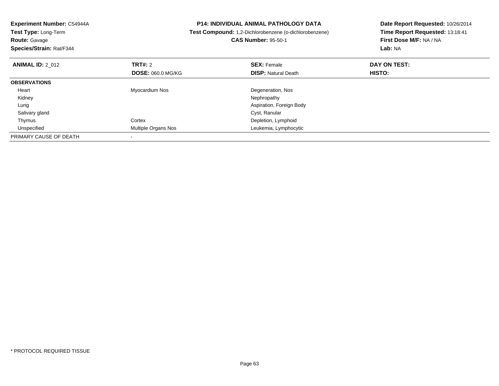| Experiment Number: C54944A<br>Test Type: Long-Term<br><b>Route: Gavage</b><br>Species/Strain: Rat/F344 |                          | <b>P14: INDIVIDUAL ANIMAL PATHOLOGY DATA</b><br>Test Compound: 1,2-Dichlorobenzene (o-dichlorobenzene)<br><b>CAS Number: 95-50-1</b> | Date Report Requested: 10/26/2014<br>Time Report Requested: 13:18:41<br>First Dose M/F: NA / NA<br>Lab: NA |
|--------------------------------------------------------------------------------------------------------|--------------------------|--------------------------------------------------------------------------------------------------------------------------------------|------------------------------------------------------------------------------------------------------------|
| <b>ANIMAL ID: 2 012</b>                                                                                | TRT#: 2                  | <b>SEX: Female</b>                                                                                                                   | DAY ON TEST:                                                                                               |
|                                                                                                        | <b>DOSE: 060.0 MG/KG</b> | <b>DISP: Natural Death</b>                                                                                                           | HISTO:                                                                                                     |
| <b>OBSERVATIONS</b>                                                                                    |                          |                                                                                                                                      |                                                                                                            |
| Heart                                                                                                  | Myocardium Nos           | Degeneration, Nos                                                                                                                    |                                                                                                            |
| Kidney                                                                                                 |                          | Nephropathy                                                                                                                          |                                                                                                            |
| Lung                                                                                                   |                          | Aspiration, Foreign Body                                                                                                             |                                                                                                            |
| Salivary gland                                                                                         |                          | Cyst, Ranular                                                                                                                        |                                                                                                            |
| Thymus                                                                                                 | Cortex                   | Depletion, Lymphoid                                                                                                                  |                                                                                                            |
| Unspecified                                                                                            | Multiple Organs Nos      | Leukemia, Lymphocytic                                                                                                                |                                                                                                            |
| PRIMARY CAUSE OF DEATH                                                                                 |                          |                                                                                                                                      |                                                                                                            |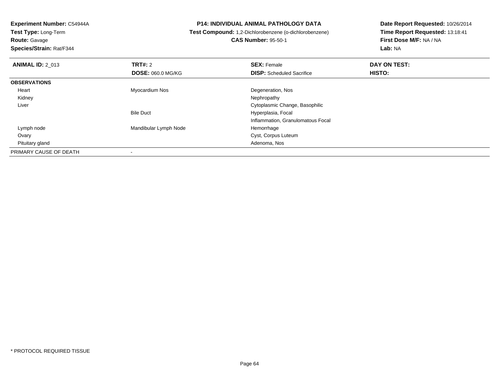**Route:** Gavage

**Species/Strain:** Rat/F344

#### **P14: INDIVIDUAL ANIMAL PATHOLOGY DATA**

 **Test Compound:** 1,2-Dichlorobenzene (o-dichlorobenzene)**CAS Number:** 95-50-1

| <b>ANIMAL ID: 2 013</b> | TRT#: 2                  | <b>SEX: Female</b>                | DAY ON TEST: |  |
|-------------------------|--------------------------|-----------------------------------|--------------|--|
|                         | <b>DOSE: 060.0 MG/KG</b> | <b>DISP:</b> Scheduled Sacrifice  | HISTO:       |  |
| <b>OBSERVATIONS</b>     |                          |                                   |              |  |
| Heart                   | Myocardium Nos           | Degeneration, Nos                 |              |  |
| Kidney                  |                          | Nephropathy                       |              |  |
| Liver                   |                          | Cytoplasmic Change, Basophilic    |              |  |
|                         | <b>Bile Duct</b>         | Hyperplasia, Focal                |              |  |
|                         |                          | Inflammation, Granulomatous Focal |              |  |
| Lymph node              | Mandibular Lymph Node    | Hemorrhage                        |              |  |
| Ovary                   |                          | Cyst, Corpus Luteum               |              |  |
| Pituitary gland         |                          | Adenoma, Nos                      |              |  |
| PRIMARY CAUSE OF DEATH  |                          |                                   |              |  |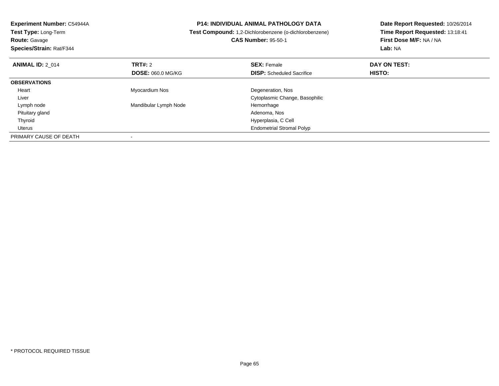| <b>Experiment Number: C54944A</b><br>Test Type: Long-Term<br><b>Route: Gavage</b><br>Species/Strain: Rat/F344 |                          | <b>P14: INDIVIDUAL ANIMAL PATHOLOGY DATA</b><br>Test Compound: 1,2-Dichlorobenzene (o-dichlorobenzene)<br><b>CAS Number: 95-50-1</b> | Date Report Requested: 10/26/2014<br>Time Report Requested: 13:18:41<br>First Dose M/F: NA / NA<br>Lab: NA |
|---------------------------------------------------------------------------------------------------------------|--------------------------|--------------------------------------------------------------------------------------------------------------------------------------|------------------------------------------------------------------------------------------------------------|
| <b>ANIMAL ID: 2 014</b>                                                                                       | TRT#: 2                  | <b>SEX: Female</b>                                                                                                                   | DAY ON TEST:                                                                                               |
|                                                                                                               | <b>DOSE: 060.0 MG/KG</b> | <b>DISP:</b> Scheduled Sacrifice                                                                                                     | HISTO:                                                                                                     |
| <b>OBSERVATIONS</b>                                                                                           |                          |                                                                                                                                      |                                                                                                            |
| Heart                                                                                                         | Myocardium Nos           | Degeneration, Nos                                                                                                                    |                                                                                                            |
| Liver                                                                                                         |                          | Cytoplasmic Change, Basophilic                                                                                                       |                                                                                                            |
| Lymph node                                                                                                    | Mandibular Lymph Node    | Hemorrhage                                                                                                                           |                                                                                                            |
| Pituitary gland                                                                                               |                          | Adenoma, Nos                                                                                                                         |                                                                                                            |
| Thyroid                                                                                                       |                          | Hyperplasia, C Cell                                                                                                                  |                                                                                                            |
| Uterus                                                                                                        |                          | <b>Endometrial Stromal Polyp</b>                                                                                                     |                                                                                                            |
| PRIMARY CAUSE OF DEATH                                                                                        |                          |                                                                                                                                      |                                                                                                            |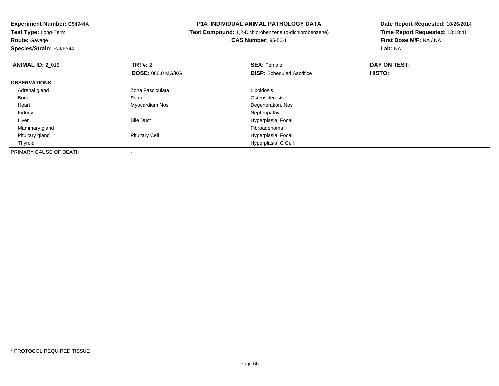**Route:** Gavage

**Species/Strain:** Rat/F344

#### **P14: INDIVIDUAL ANIMAL PATHOLOGY DATA**

 **Test Compound:** 1,2-Dichlorobenzene (o-dichlorobenzene)**CAS Number:** 95-50-1

| <b>ANIMAL ID: 2 015</b> | TRT#: 2                  | <b>SEX: Female</b>               | DAY ON TEST: |  |
|-------------------------|--------------------------|----------------------------------|--------------|--|
|                         | <b>DOSE: 060.0 MG/KG</b> | <b>DISP:</b> Scheduled Sacrifice | HISTO:       |  |
| <b>OBSERVATIONS</b>     |                          |                                  |              |  |
| Adrenal gland           | Zona Fasciculata         | Lipoidosis                       |              |  |
| Bone                    | Femur                    | Osteosclerosis                   |              |  |
| Heart                   | Myocardium Nos           | Degeneration, Nos                |              |  |
| Kidney                  |                          | Nephropathy                      |              |  |
| Liver                   | <b>Bile Duct</b>         | Hyperplasia, Focal               |              |  |
| Mammary gland           |                          | Fibroadenoma                     |              |  |
| Pituitary gland         | <b>Pituitary Cell</b>    | Hyperplasia, Focal               |              |  |
| Thyroid                 |                          | Hyperplasia, C Cell              |              |  |
| PRIMARY CAUSE OF DEATH  |                          |                                  |              |  |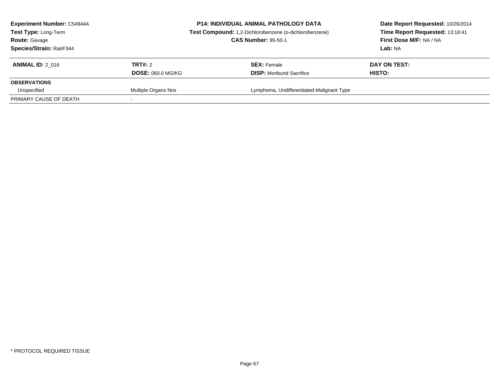| Experiment Number: C54944A<br><b>Test Type: Long-Term</b><br><b>Route: Gavage</b><br>Species/Strain: Rat/F344 |                                     | <b>P14: INDIVIDUAL ANIMAL PATHOLOGY DATA</b><br>Test Compound: 1,2-Dichlorobenzene (o-dichlorobenzene)<br><b>CAS Number: 95-50-1</b> | Date Report Requested: 10/26/2014<br>Time Report Requested: 13:18:41<br>First Dose M/F: NA / NA<br><b>Lab: NA</b> |  |
|---------------------------------------------------------------------------------------------------------------|-------------------------------------|--------------------------------------------------------------------------------------------------------------------------------------|-------------------------------------------------------------------------------------------------------------------|--|
| <b>ANIMAL ID: 2 016</b>                                                                                       | TRT#: 2<br><b>DOSE: 060.0 MG/KG</b> | <b>SEX: Female</b><br><b>DISP:</b> Moribund Sacrifice                                                                                | DAY ON TEST:<br><b>HISTO:</b>                                                                                     |  |
| <b>OBSERVATIONS</b>                                                                                           |                                     |                                                                                                                                      |                                                                                                                   |  |
| Unspecified<br>PRIMARY CAUSE OF DEATH                                                                         | Multiple Organs Nos                 | Lymphoma, Undifferentiated-Malignant Type                                                                                            |                                                                                                                   |  |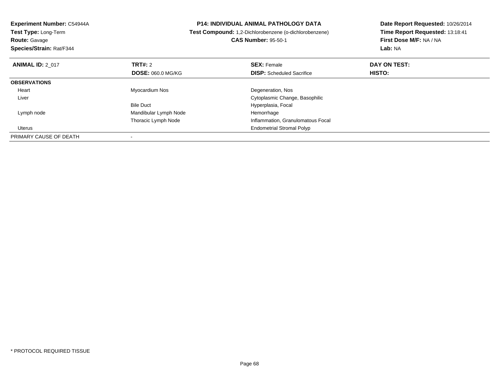| <b>P14: INDIVIDUAL ANIMAL PATHOLOGY DATA</b><br>Experiment Number: C54944A<br>Test Compound: 1,2-Dichlorobenzene (o-dichlorobenzene)<br><b>Test Type: Long-Term</b> |                          |                                   | Date Report Requested: 10/26/2014 |  |
|---------------------------------------------------------------------------------------------------------------------------------------------------------------------|--------------------------|-----------------------------------|-----------------------------------|--|
|                                                                                                                                                                     |                          |                                   | Time Report Requested: 13:18:41   |  |
| <b>Route: Gavage</b>                                                                                                                                                |                          | <b>CAS Number: 95-50-1</b>        | First Dose M/F: NA / NA           |  |
| Species/Strain: Rat/F344                                                                                                                                            |                          |                                   | Lab: NA                           |  |
| <b>ANIMAL ID: 2 017</b>                                                                                                                                             | <b>TRT#: 2</b>           | <b>SEX: Female</b>                | DAY ON TEST:                      |  |
|                                                                                                                                                                     | <b>DOSE: 060.0 MG/KG</b> | <b>DISP:</b> Scheduled Sacrifice  | HISTO:                            |  |
| <b>OBSERVATIONS</b>                                                                                                                                                 |                          |                                   |                                   |  |
| Heart                                                                                                                                                               | Myocardium Nos           | Degeneration, Nos                 |                                   |  |
| Liver                                                                                                                                                               |                          | Cytoplasmic Change, Basophilic    |                                   |  |
|                                                                                                                                                                     | <b>Bile Duct</b>         | Hyperplasia, Focal                |                                   |  |
| Lymph node                                                                                                                                                          | Mandibular Lymph Node    | Hemorrhage                        |                                   |  |
|                                                                                                                                                                     | Thoracic Lymph Node      | Inflammation, Granulomatous Focal |                                   |  |
| Uterus                                                                                                                                                              |                          | <b>Endometrial Stromal Polyp</b>  |                                   |  |
| PRIMARY CAUSE OF DEATH                                                                                                                                              |                          |                                   |                                   |  |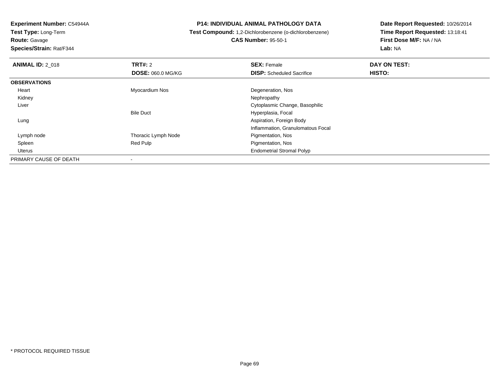**Route:** Gavage

**Species/Strain:** Rat/F344

#### **P14: INDIVIDUAL ANIMAL PATHOLOGY DATA**

 **Test Compound:** 1,2-Dichlorobenzene (o-dichlorobenzene)**CAS Number:** 95-50-1

| <b>ANIMAL ID: 2 018</b> | TRT#: 2                  | <b>SEX: Female</b>                | DAY ON TEST: |  |
|-------------------------|--------------------------|-----------------------------------|--------------|--|
|                         | <b>DOSE: 060.0 MG/KG</b> | <b>DISP:</b> Scheduled Sacrifice  | HISTO:       |  |
| <b>OBSERVATIONS</b>     |                          |                                   |              |  |
| Heart                   | Myocardium Nos           | Degeneration, Nos                 |              |  |
| Kidney                  |                          | Nephropathy                       |              |  |
| Liver                   |                          | Cytoplasmic Change, Basophilic    |              |  |
|                         | <b>Bile Duct</b>         | Hyperplasia, Focal                |              |  |
| Lung                    |                          | Aspiration, Foreign Body          |              |  |
|                         |                          | Inflammation, Granulomatous Focal |              |  |
| Lymph node              | Thoracic Lymph Node      | Pigmentation, Nos                 |              |  |
| Spleen                  | Red Pulp                 | Pigmentation, Nos                 |              |  |
| Uterus                  |                          | <b>Endometrial Stromal Polyp</b>  |              |  |
| PRIMARY CAUSE OF DEATH  |                          |                                   |              |  |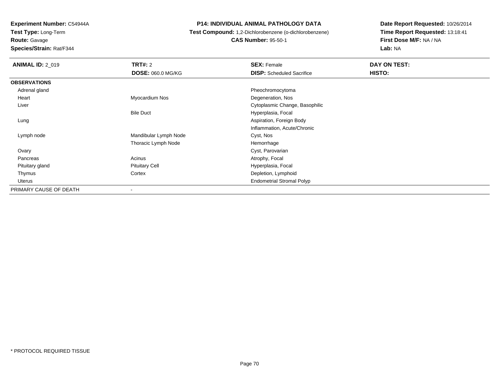**Test Type:** Long-Term**Route:** Gavage

**Species/Strain:** Rat/F344

#### **P14: INDIVIDUAL ANIMAL PATHOLOGY DATA**

 **Test Compound:** 1,2-Dichlorobenzene (o-dichlorobenzene)**CAS Number:** 95-50-1

| <b>ANIMAL ID: 2_019</b> | <b>TRT#: 2</b>        | <b>SEX: Female</b>               | DAY ON TEST: |  |
|-------------------------|-----------------------|----------------------------------|--------------|--|
|                         | DOSE: 060.0 MG/KG     | <b>DISP:</b> Scheduled Sacrifice | HISTO:       |  |
| <b>OBSERVATIONS</b>     |                       |                                  |              |  |
| Adrenal gland           |                       | Pheochromocytoma                 |              |  |
| Heart                   | Myocardium Nos        | Degeneration, Nos                |              |  |
| Liver                   |                       | Cytoplasmic Change, Basophilic   |              |  |
|                         | <b>Bile Duct</b>      | Hyperplasia, Focal               |              |  |
| Lung                    |                       | Aspiration, Foreign Body         |              |  |
|                         |                       | Inflammation, Acute/Chronic      |              |  |
| Lymph node              | Mandibular Lymph Node | Cyst, Nos                        |              |  |
|                         | Thoracic Lymph Node   | Hemorrhage                       |              |  |
| Ovary                   |                       | Cyst, Parovarian                 |              |  |
| Pancreas                | Acinus                | Atrophy, Focal                   |              |  |
| Pituitary gland         | <b>Pituitary Cell</b> | Hyperplasia, Focal               |              |  |
| Thymus                  | Cortex                | Depletion, Lymphoid              |              |  |
| Uterus                  |                       | <b>Endometrial Stromal Polyp</b> |              |  |
| PRIMARY CAUSE OF DEATH  |                       |                                  |              |  |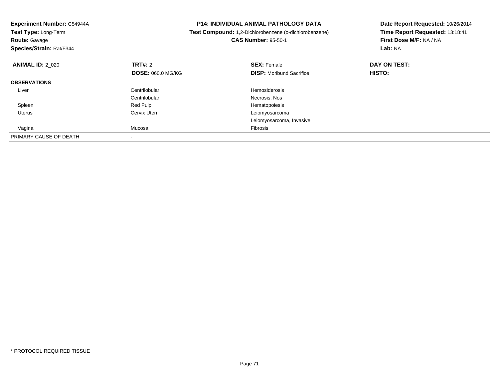| Experiment Number: C54944A<br>Test Type: Long-Term<br><b>Route: Gavage</b><br>Species/Strain: Rat/F344 |                          | <b>P14: INDIVIDUAL ANIMAL PATHOLOGY DATA</b><br>Test Compound: 1,2-Dichlorobenzene (o-dichlorobenzene)<br><b>CAS Number: 95-50-1</b> | Date Report Requested: 10/26/2014<br>Time Report Requested: 13:18:41<br>First Dose M/F: NA / NA<br>Lab: NA |
|--------------------------------------------------------------------------------------------------------|--------------------------|--------------------------------------------------------------------------------------------------------------------------------------|------------------------------------------------------------------------------------------------------------|
| <b>ANIMAL ID: 2 020</b>                                                                                | <b>TRT#: 2</b>           | <b>SEX: Female</b>                                                                                                                   | DAY ON TEST:                                                                                               |
|                                                                                                        | <b>DOSE: 060.0 MG/KG</b> | <b>DISP:</b> Moribund Sacrifice                                                                                                      | <b>HISTO:</b>                                                                                              |
| <b>OBSERVATIONS</b>                                                                                    |                          |                                                                                                                                      |                                                                                                            |
| Liver                                                                                                  | Centrilobular            | <b>Hemosiderosis</b>                                                                                                                 |                                                                                                            |
|                                                                                                        | Centrilobular            | Necrosis, Nos                                                                                                                        |                                                                                                            |
| Spleen                                                                                                 | Red Pulp                 | Hematopoiesis                                                                                                                        |                                                                                                            |
| Uterus                                                                                                 | Cervix Uteri             | Leiomyosarcoma                                                                                                                       |                                                                                                            |
|                                                                                                        |                          | Leiomyosarcoma, Invasive                                                                                                             |                                                                                                            |
| Vagina                                                                                                 | Mucosa                   | Fibrosis                                                                                                                             |                                                                                                            |
| PRIMARY CAUSE OF DEATH                                                                                 |                          |                                                                                                                                      |                                                                                                            |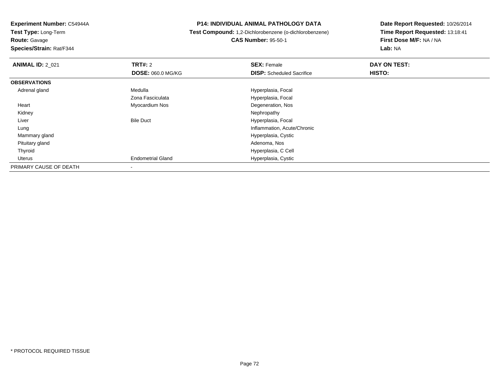**Test Type:** Long-Term

**Route:** Gavage

**Species/Strain:** Rat/F344

#### **P14: INDIVIDUAL ANIMAL PATHOLOGY DATA**

 **Test Compound:** 1,2-Dichlorobenzene (o-dichlorobenzene)**CAS Number:** 95-50-1

| <b>ANIMAL ID: 2_021</b> | TRT#: 2                  | <b>SEX: Female</b>               | DAY ON TEST: |  |
|-------------------------|--------------------------|----------------------------------|--------------|--|
|                         | DOSE: 060.0 MG/KG        | <b>DISP:</b> Scheduled Sacrifice | HISTO:       |  |
| <b>OBSERVATIONS</b>     |                          |                                  |              |  |
| Adrenal gland           | Medulla                  | Hyperplasia, Focal               |              |  |
|                         | Zona Fasciculata         | Hyperplasia, Focal               |              |  |
| Heart                   | Myocardium Nos           | Degeneration, Nos                |              |  |
| Kidney                  |                          | Nephropathy                      |              |  |
| Liver                   | <b>Bile Duct</b>         | Hyperplasia, Focal               |              |  |
| Lung                    |                          | Inflammation, Acute/Chronic      |              |  |
| Mammary gland           |                          | Hyperplasia, Cystic              |              |  |
| Pituitary gland         |                          | Adenoma, Nos                     |              |  |
| Thyroid                 |                          | Hyperplasia, C Cell              |              |  |
| Uterus                  | <b>Endometrial Gland</b> | Hyperplasia, Cystic              |              |  |
| PRIMARY CAUSE OF DEATH  | $\overline{\phantom{a}}$ |                                  |              |  |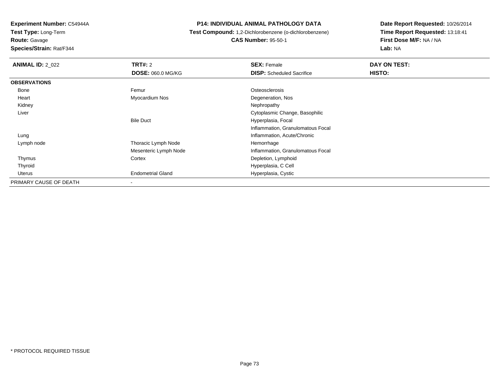**Route:** Gavage

**Species/Strain:** Rat/F344

#### **P14: INDIVIDUAL ANIMAL PATHOLOGY DATA**

 **Test Compound:** 1,2-Dichlorobenzene (o-dichlorobenzene)**CAS Number:** 95-50-1

| <b>ANIMAL ID: 2 022</b> | <b>TRT#:</b> 2           | <b>SEX: Female</b>                | DAY ON TEST: |
|-------------------------|--------------------------|-----------------------------------|--------------|
|                         | DOSE: 060.0 MG/KG        | <b>DISP:</b> Scheduled Sacrifice  | HISTO:       |
| <b>OBSERVATIONS</b>     |                          |                                   |              |
| Bone                    | Femur                    | Osteosclerosis                    |              |
| Heart                   | Myocardium Nos           | Degeneration, Nos                 |              |
| Kidney                  |                          | Nephropathy                       |              |
| Liver                   |                          | Cytoplasmic Change, Basophilic    |              |
|                         | <b>Bile Duct</b>         | Hyperplasia, Focal                |              |
|                         |                          | Inflammation, Granulomatous Focal |              |
| Lung                    |                          | Inflammation, Acute/Chronic       |              |
| Lymph node              | Thoracic Lymph Node      | Hemorrhage                        |              |
|                         | Mesenteric Lymph Node    | Inflammation, Granulomatous Focal |              |
| Thymus                  | Cortex                   | Depletion, Lymphoid               |              |
| Thyroid                 |                          | Hyperplasia, C Cell               |              |
| Uterus                  | <b>Endometrial Gland</b> | Hyperplasia, Cystic               |              |
| PRIMARY CAUSE OF DEATH  |                          |                                   |              |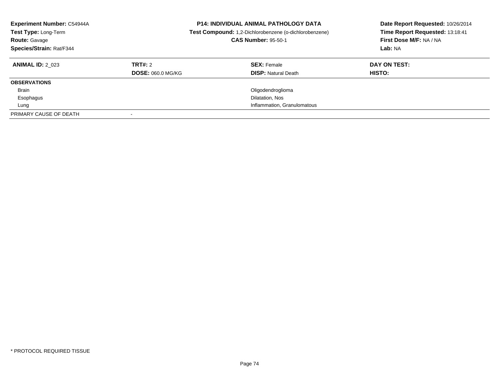| <b>Experiment Number: C54944A</b><br>Test Type: Long-Term<br><b>Route: Gavage</b><br>Species/Strain: Rat/F344 |                          | <b>P14: INDIVIDUAL ANIMAL PATHOLOGY DATA</b><br>Test Compound: 1,2-Dichlorobenzene (o-dichlorobenzene)<br><b>CAS Number: 95-50-1</b> | Date Report Requested: 10/26/2014<br>Time Report Requested: 13:18:41<br>First Dose M/F: NA / NA<br>Lab: NA |
|---------------------------------------------------------------------------------------------------------------|--------------------------|--------------------------------------------------------------------------------------------------------------------------------------|------------------------------------------------------------------------------------------------------------|
| <b>ANIMAL ID: 2 023</b>                                                                                       | TRT#: 2                  | <b>SEX: Female</b>                                                                                                                   | DAY ON TEST:                                                                                               |
|                                                                                                               | <b>DOSE: 060.0 MG/KG</b> | <b>DISP: Natural Death</b>                                                                                                           | HISTO:                                                                                                     |
| <b>OBSERVATIONS</b>                                                                                           |                          |                                                                                                                                      |                                                                                                            |
| <b>Brain</b>                                                                                                  |                          | Oligodendroglioma                                                                                                                    |                                                                                                            |
| Esophagus                                                                                                     |                          | Dilatation, Nos                                                                                                                      |                                                                                                            |
| Lung                                                                                                          |                          | Inflammation, Granulomatous                                                                                                          |                                                                                                            |
| PRIMARY CAUSE OF DEATH                                                                                        |                          |                                                                                                                                      |                                                                                                            |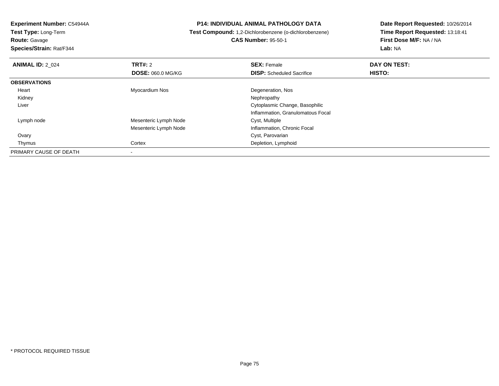**Route:** Gavage

**Species/Strain:** Rat/F344

#### **P14: INDIVIDUAL ANIMAL PATHOLOGY DATA**

## **Test Compound:** 1,2-Dichlorobenzene (o-dichlorobenzene)**CAS Number:** 95-50-1

| <b>ANIMAL ID: 2 024</b> | TRT#: 2                  | <b>SEX: Female</b>                | DAY ON TEST: |  |
|-------------------------|--------------------------|-----------------------------------|--------------|--|
|                         | <b>DOSE: 060.0 MG/KG</b> | <b>DISP:</b> Scheduled Sacrifice  | HISTO:       |  |
| <b>OBSERVATIONS</b>     |                          |                                   |              |  |
| Heart                   | Myocardium Nos           | Degeneration, Nos                 |              |  |
| Kidney                  |                          | Nephropathy                       |              |  |
| Liver                   |                          | Cytoplasmic Change, Basophilic    |              |  |
|                         |                          | Inflammation, Granulomatous Focal |              |  |
| Lymph node              | Mesenteric Lymph Node    | Cyst, Multiple                    |              |  |
|                         | Mesenteric Lymph Node    | Inflammation, Chronic Focal       |              |  |
| Ovary                   |                          | Cyst, Parovarian                  |              |  |
| Thymus                  | Cortex                   | Depletion, Lymphoid               |              |  |
| PRIMARY CAUSE OF DEATH  |                          |                                   |              |  |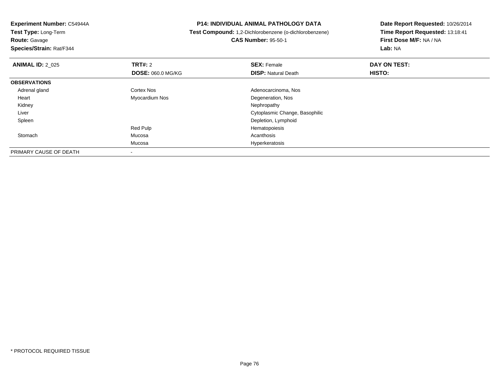**Route:** Gavage

**Species/Strain:** Rat/F344

#### **P14: INDIVIDUAL ANIMAL PATHOLOGY DATA**

**Test Compound:** 1,2-Dichlorobenzene (o-dichlorobenzene)

**CAS Number:** 95-50-1

| <b>ANIMAL ID: 2_025</b> | <b>TRT#: 2</b>           | <b>SEX: Female</b>             | DAY ON TEST: |  |
|-------------------------|--------------------------|--------------------------------|--------------|--|
|                         | <b>DOSE: 060.0 MG/KG</b> | <b>DISP: Natural Death</b>     | HISTO:       |  |
| <b>OBSERVATIONS</b>     |                          |                                |              |  |
| Adrenal gland           | Cortex Nos               | Adenocarcinoma, Nos            |              |  |
| Heart                   | Myocardium Nos           | Degeneration, Nos              |              |  |
| Kidney                  |                          | Nephropathy                    |              |  |
| Liver                   |                          | Cytoplasmic Change, Basophilic |              |  |
| Spleen                  |                          | Depletion, Lymphoid            |              |  |
|                         | Red Pulp                 | Hematopoiesis                  |              |  |
| Stomach                 | Mucosa                   | Acanthosis                     |              |  |
|                         | Mucosa                   | Hyperkeratosis                 |              |  |
| PRIMARY CAUSE OF DEATH  |                          |                                |              |  |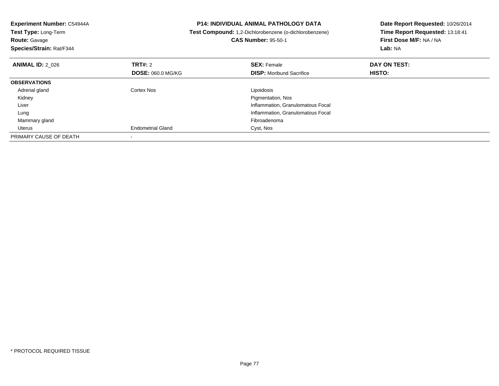| <b>Experiment Number: C54944A</b><br><b>Test Type: Long-Term</b><br><b>Route: Gavage</b><br>Species/Strain: Rat/F344 |                          | <b>P14: INDIVIDUAL ANIMAL PATHOLOGY DATA</b><br>Test Compound: 1,2-Dichlorobenzene (o-dichlorobenzene)<br><b>CAS Number: 95-50-1</b> | Date Report Requested: 10/26/2014<br>Time Report Requested: 13:18:41<br>First Dose M/F: NA / NA<br>Lab: NA |
|----------------------------------------------------------------------------------------------------------------------|--------------------------|--------------------------------------------------------------------------------------------------------------------------------------|------------------------------------------------------------------------------------------------------------|
| <b>ANIMAL ID: 2 026</b>                                                                                              | TRT#: 2                  | <b>SEX: Female</b>                                                                                                                   | DAY ON TEST:                                                                                               |
|                                                                                                                      | <b>DOSE: 060.0 MG/KG</b> | <b>DISP:</b> Moribund Sacrifice                                                                                                      | HISTO:                                                                                                     |
| <b>OBSERVATIONS</b>                                                                                                  |                          |                                                                                                                                      |                                                                                                            |
| Adrenal gland                                                                                                        | Cortex Nos               | Lipoidosis                                                                                                                           |                                                                                                            |
| Kidney                                                                                                               |                          | Pigmentation, Nos                                                                                                                    |                                                                                                            |
| Liver                                                                                                                |                          | Inflammation, Granulomatous Focal                                                                                                    |                                                                                                            |
| Lung                                                                                                                 |                          | Inflammation, Granulomatous Focal                                                                                                    |                                                                                                            |
| Mammary gland                                                                                                        |                          | Fibroadenoma                                                                                                                         |                                                                                                            |
| Uterus                                                                                                               | <b>Endometrial Gland</b> | Cyst, Nos                                                                                                                            |                                                                                                            |
| PRIMARY CAUSE OF DEATH                                                                                               |                          |                                                                                                                                      |                                                                                                            |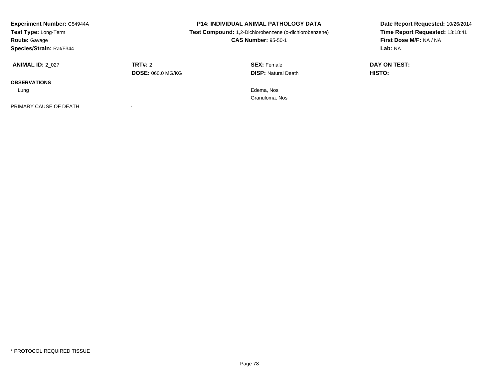| <b>Experiment Number: C54944A</b><br>Test Type: Long-Term<br><b>Route: Gavage</b><br>Species/Strain: Rat/F344 |                                     | <b>P14: INDIVIDUAL ANIMAL PATHOLOGY DATA</b><br>Test Compound: 1,2-Dichlorobenzene (o-dichlorobenzene)<br><b>CAS Number: 95-50-1</b> | Date Report Requested: 10/26/2014<br>Time Report Requested: 13:18:41<br>First Dose M/F: NA / NA<br>Lab: NA |  |
|---------------------------------------------------------------------------------------------------------------|-------------------------------------|--------------------------------------------------------------------------------------------------------------------------------------|------------------------------------------------------------------------------------------------------------|--|
| <b>ANIMAL ID: 2 027</b>                                                                                       | TRT#: 2<br><b>DOSE: 060.0 MG/KG</b> | <b>SEX: Female</b><br><b>DISP:</b> Natural Death                                                                                     | DAY ON TEST:<br>HISTO:                                                                                     |  |
| <b>OBSERVATIONS</b>                                                                                           |                                     |                                                                                                                                      |                                                                                                            |  |
| Lung                                                                                                          |                                     | Edema, Nos                                                                                                                           |                                                                                                            |  |
|                                                                                                               |                                     | Granuloma, Nos                                                                                                                       |                                                                                                            |  |
| PRIMARY CAUSE OF DEATH                                                                                        |                                     |                                                                                                                                      |                                                                                                            |  |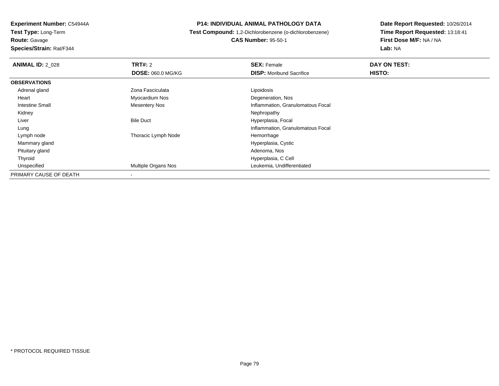**Experiment Number:** C54944A**Test Type:** Long-Term**Route:** Gavage**Species/Strain:** Rat/F344

#### **P14: INDIVIDUAL ANIMAL PATHOLOGY DATA**

 **Test Compound:** 1,2-Dichlorobenzene (o-dichlorobenzene)**CAS Number:** 95-50-1

| <b>ANIMAL ID: 2 028</b> | TRT#: 2                  | <b>SEX: Female</b>                | DAY ON TEST: |  |
|-------------------------|--------------------------|-----------------------------------|--------------|--|
|                         | <b>DOSE: 060.0 MG/KG</b> | <b>DISP:</b> Moribund Sacrifice   | HISTO:       |  |
| <b>OBSERVATIONS</b>     |                          |                                   |              |  |
| Adrenal gland           | Zona Fasciculata         | Lipoidosis                        |              |  |
| Heart                   | Myocardium Nos           | Degeneration, Nos                 |              |  |
| <b>Intestine Small</b>  | <b>Mesentery Nos</b>     | Inflammation, Granulomatous Focal |              |  |
| Kidney                  |                          | Nephropathy                       |              |  |
| Liver                   | <b>Bile Duct</b>         | Hyperplasia, Focal                |              |  |
| Lung                    |                          | Inflammation, Granulomatous Focal |              |  |
| Lymph node              | Thoracic Lymph Node      | Hemorrhage                        |              |  |
| Mammary gland           |                          | Hyperplasia, Cystic               |              |  |
| Pituitary gland         |                          | Adenoma, Nos                      |              |  |
| Thyroid                 |                          | Hyperplasia, C Cell               |              |  |
| Unspecified             | Multiple Organs Nos      | Leukemia, Undifferentiated        |              |  |
| PRIMARY CAUSE OF DEATH  | $\overline{\phantom{a}}$ |                                   |              |  |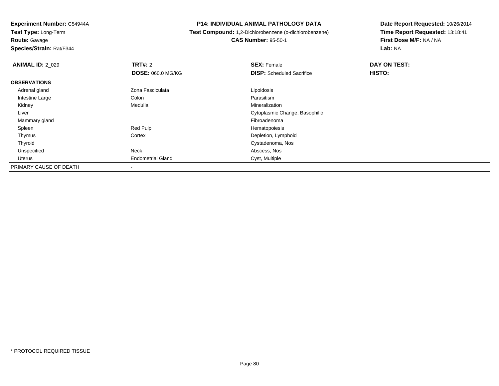**Experiment Number:** C54944A**Test Type:** Long-Term**Route:** Gavage

**Species/Strain:** Rat/F344

### **P14: INDIVIDUAL ANIMAL PATHOLOGY DATA**

# **Test Compound:** 1,2-Dichlorobenzene (o-dichlorobenzene)**CAS Number:** 95-50-1

| <b>ANIMAL ID: 2_029</b> | <b>TRT#: 2</b>           | <b>SEX: Female</b>               | DAY ON TEST: |
|-------------------------|--------------------------|----------------------------------|--------------|
|                         | <b>DOSE: 060.0 MG/KG</b> | <b>DISP:</b> Scheduled Sacrifice | HISTO:       |
| <b>OBSERVATIONS</b>     |                          |                                  |              |
| Adrenal gland           | Zona Fasciculata         | Lipoidosis                       |              |
| Intestine Large         | Colon                    | Parasitism                       |              |
| Kidney                  | Medulla                  | Mineralization                   |              |
| Liver                   |                          | Cytoplasmic Change, Basophilic   |              |
| Mammary gland           |                          | Fibroadenoma                     |              |
| Spleen                  | Red Pulp                 | Hematopoiesis                    |              |
| Thymus                  | Cortex                   | Depletion, Lymphoid              |              |
| Thyroid                 |                          | Cystadenoma, Nos                 |              |
| Unspecified             | Neck                     | Abscess, Nos                     |              |
| Uterus                  | <b>Endometrial Gland</b> | Cyst, Multiple                   |              |
| PRIMARY CAUSE OF DEATH  |                          |                                  |              |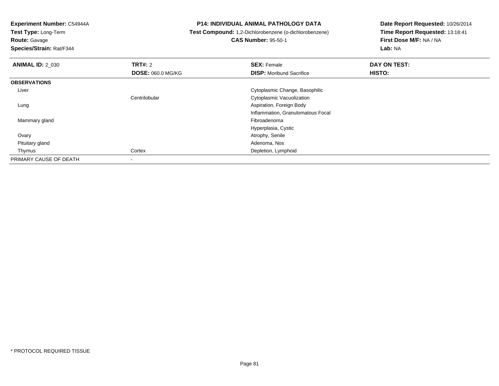**Test Type:** Long-Term

**Route:** Gavage

**Species/Strain:** Rat/F344

#### **P14: INDIVIDUAL ANIMAL PATHOLOGY DATA**

**Test Compound:** 1,2-Dichlorobenzene (o-dichlorobenzene)

# **CAS Number:** 95-50-1

| <b>ANIMAL ID: 2_030</b> | TRT#: 2                  | <b>SEX: Female</b>                | DAY ON TEST: |  |
|-------------------------|--------------------------|-----------------------------------|--------------|--|
|                         | <b>DOSE: 060.0 MG/KG</b> | <b>DISP:</b> Moribund Sacrifice   | HISTO:       |  |
| <b>OBSERVATIONS</b>     |                          |                                   |              |  |
| Liver                   |                          | Cytoplasmic Change, Basophilic    |              |  |
|                         | Centrilobular            | Cytoplasmic Vacuolization         |              |  |
| Lung                    |                          | Aspiration, Foreign Body          |              |  |
|                         |                          | Inflammation, Granulomatous Focal |              |  |
| Mammary gland           |                          | Fibroadenoma                      |              |  |
|                         |                          | Hyperplasia, Cystic               |              |  |
| Ovary                   |                          | Atrophy, Senile                   |              |  |
| Pituitary gland         |                          | Adenoma, Nos                      |              |  |
| Thymus                  | Cortex                   | Depletion, Lymphoid               |              |  |
| PRIMARY CAUSE OF DEATH  |                          |                                   |              |  |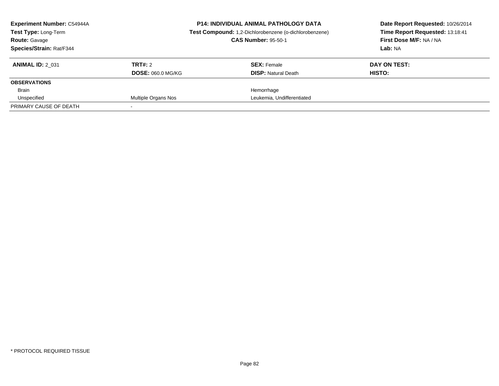| <b>Experiment Number: C54944A</b><br><b>Test Type: Long-Term</b> |                          | <b>P14: INDIVIDUAL ANIMAL PATHOLOGY DATA</b><br>Test Compound: 1,2-Dichlorobenzene (o-dichlorobenzene) | Date Report Requested: 10/26/2014<br>Time Report Requested: 13:18:41 |  |
|------------------------------------------------------------------|--------------------------|--------------------------------------------------------------------------------------------------------|----------------------------------------------------------------------|--|
| <b>Route: Gavage</b>                                             |                          | <b>CAS Number: 95-50-1</b>                                                                             | First Dose M/F: NA / NA                                              |  |
| Species/Strain: Rat/F344                                         |                          |                                                                                                        | Lab: NA                                                              |  |
| <b>ANIMAL ID: 2 031</b>                                          | TRT#: 2                  | <b>SEX:</b> Female                                                                                     | DAY ON TEST:                                                         |  |
|                                                                  | <b>DOSE: 060.0 MG/KG</b> | <b>DISP:</b> Natural Death                                                                             | HISTO:                                                               |  |
| <b>OBSERVATIONS</b>                                              |                          |                                                                                                        |                                                                      |  |
| Brain                                                            |                          | Hemorrhage                                                                                             |                                                                      |  |
| Unspecified                                                      | Multiple Organs Nos      | Leukemia, Undifferentiated                                                                             |                                                                      |  |
| PRIMARY CAUSE OF DEATH                                           |                          |                                                                                                        |                                                                      |  |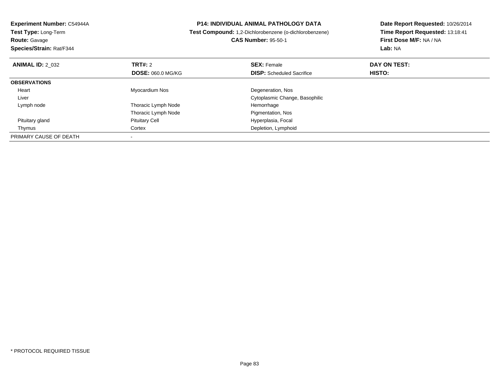| Experiment Number: C54944A<br>Test Type: Long-Term<br><b>Route: Gavage</b><br>Species/Strain: Rat/F344 |                          | <b>P14: INDIVIDUAL ANIMAL PATHOLOGY DATA</b><br>Test Compound: 1,2-Dichlorobenzene (o-dichlorobenzene)<br><b>CAS Number: 95-50-1</b> | Date Report Requested: 10/26/2014<br>Time Report Requested: 13:18:41<br>First Dose M/F: NA / NA<br>Lab: NA |
|--------------------------------------------------------------------------------------------------------|--------------------------|--------------------------------------------------------------------------------------------------------------------------------------|------------------------------------------------------------------------------------------------------------|
| <b>ANIMAL ID: 2 032</b>                                                                                | TRT#: 2                  | <b>SEX: Female</b>                                                                                                                   | DAY ON TEST:                                                                                               |
|                                                                                                        | <b>DOSE: 060.0 MG/KG</b> | <b>DISP:</b> Scheduled Sacrifice                                                                                                     | HISTO:                                                                                                     |
| <b>OBSERVATIONS</b>                                                                                    |                          |                                                                                                                                      |                                                                                                            |
| Heart                                                                                                  | Myocardium Nos           | Degeneration, Nos                                                                                                                    |                                                                                                            |
| Liver                                                                                                  |                          | Cytoplasmic Change, Basophilic                                                                                                       |                                                                                                            |
| Lymph node                                                                                             | Thoracic Lymph Node      | Hemorrhage                                                                                                                           |                                                                                                            |
|                                                                                                        | Thoracic Lymph Node      | Pigmentation, Nos                                                                                                                    |                                                                                                            |
| Pituitary gland                                                                                        | <b>Pituitary Cell</b>    | Hyperplasia, Focal                                                                                                                   |                                                                                                            |
| Thymus                                                                                                 | Cortex                   | Depletion, Lymphoid                                                                                                                  |                                                                                                            |
| PRIMARY CAUSE OF DEATH                                                                                 |                          |                                                                                                                                      |                                                                                                            |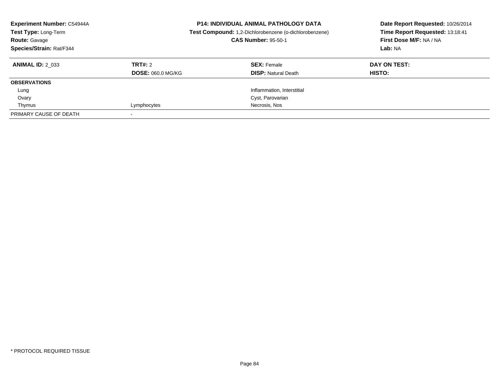| <b>Experiment Number: C54944A</b><br>Test Type: Long-Term<br><b>Route: Gavage</b><br>Species/Strain: Rat/F344 |                          | <b>P14: INDIVIDUAL ANIMAL PATHOLOGY DATA</b><br>Test Compound: 1,2-Dichlorobenzene (o-dichlorobenzene)<br><b>CAS Number: 95-50-1</b> | Date Report Requested: 10/26/2014<br>Time Report Requested: 13:18:41<br>First Dose M/F: NA / NA<br>Lab: NA |  |
|---------------------------------------------------------------------------------------------------------------|--------------------------|--------------------------------------------------------------------------------------------------------------------------------------|------------------------------------------------------------------------------------------------------------|--|
| <b>ANIMAL ID: 2 033</b>                                                                                       | TRT#: 2                  | <b>SEX: Female</b>                                                                                                                   | DAY ON TEST:                                                                                               |  |
|                                                                                                               | <b>DOSE: 060.0 MG/KG</b> | <b>DISP: Natural Death</b>                                                                                                           | HISTO:                                                                                                     |  |
| <b>OBSERVATIONS</b>                                                                                           |                          |                                                                                                                                      |                                                                                                            |  |
| Lung                                                                                                          |                          | Inflammation, Interstitial                                                                                                           |                                                                                                            |  |
| Ovary                                                                                                         |                          | Cyst, Parovarian                                                                                                                     |                                                                                                            |  |
| Thymus                                                                                                        | Lymphocytes              | Necrosis, Nos                                                                                                                        |                                                                                                            |  |
| PRIMARY CAUSE OF DEATH                                                                                        |                          |                                                                                                                                      |                                                                                                            |  |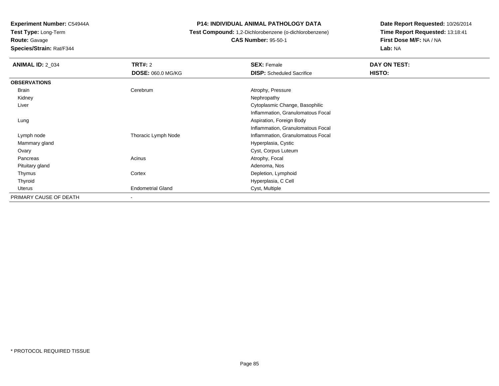**Test Type:** Long-Term**Route:** Gavage

**Species/Strain:** Rat/F344

#### **P14: INDIVIDUAL ANIMAL PATHOLOGY DATA**

# **Test Compound:** 1,2-Dichlorobenzene (o-dichlorobenzene)**CAS Number:** 95-50-1

| <b>ANIMAL ID: 2_034</b> | <b>TRT#: 2</b>           | <b>SEX: Female</b>                | DAY ON TEST: |  |
|-------------------------|--------------------------|-----------------------------------|--------------|--|
|                         | <b>DOSE: 060.0 MG/KG</b> | <b>DISP:</b> Scheduled Sacrifice  | HISTO:       |  |
| <b>OBSERVATIONS</b>     |                          |                                   |              |  |
| <b>Brain</b>            | Cerebrum                 | Atrophy, Pressure                 |              |  |
| Kidney                  |                          | Nephropathy                       |              |  |
| Liver                   |                          | Cytoplasmic Change, Basophilic    |              |  |
|                         |                          | Inflammation, Granulomatous Focal |              |  |
| Lung                    |                          | Aspiration, Foreign Body          |              |  |
|                         |                          | Inflammation, Granulomatous Focal |              |  |
| Lymph node              | Thoracic Lymph Node      | Inflammation, Granulomatous Focal |              |  |
| Mammary gland           |                          | Hyperplasia, Cystic               |              |  |
| Ovary                   |                          | Cyst, Corpus Luteum               |              |  |
| Pancreas                | Acinus                   | Atrophy, Focal                    |              |  |
| Pituitary gland         |                          | Adenoma, Nos                      |              |  |
| Thymus                  | Cortex                   | Depletion, Lymphoid               |              |  |
| Thyroid                 |                          | Hyperplasia, C Cell               |              |  |
| Uterus                  | <b>Endometrial Gland</b> | Cyst, Multiple                    |              |  |
| PRIMARY CAUSE OF DEATH  | ٠                        |                                   |              |  |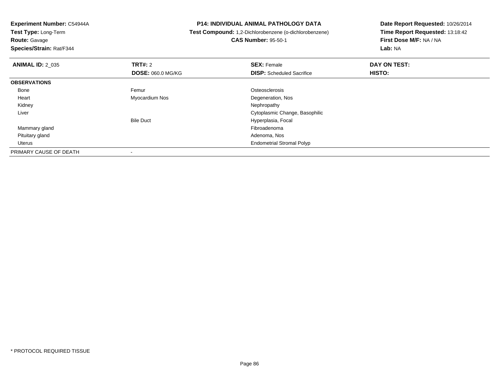**Test Type:** Long-Term**Route:** Gavage

**Species/Strain:** Rat/F344

#### **P14: INDIVIDUAL ANIMAL PATHOLOGY DATA**

 **Test Compound:** 1,2-Dichlorobenzene (o-dichlorobenzene)**CAS Number:** 95-50-1

| <b>ANIMAL ID: 2_035</b> | TRT#: 2                  | <b>SEX: Female</b>               | DAY ON TEST: |  |
|-------------------------|--------------------------|----------------------------------|--------------|--|
|                         | <b>DOSE: 060.0 MG/KG</b> | <b>DISP:</b> Scheduled Sacrifice | HISTO:       |  |
| <b>OBSERVATIONS</b>     |                          |                                  |              |  |
| Bone                    | Femur                    | Osteosclerosis                   |              |  |
| Heart                   | Myocardium Nos           | Degeneration, Nos                |              |  |
| Kidney                  |                          | Nephropathy                      |              |  |
| Liver                   |                          | Cytoplasmic Change, Basophilic   |              |  |
|                         | <b>Bile Duct</b>         | Hyperplasia, Focal               |              |  |
| Mammary gland           |                          | Fibroadenoma                     |              |  |
| Pituitary gland         |                          | Adenoma, Nos                     |              |  |
| Uterus                  |                          | <b>Endometrial Stromal Polyp</b> |              |  |
| PRIMARY CAUSE OF DEATH  |                          |                                  |              |  |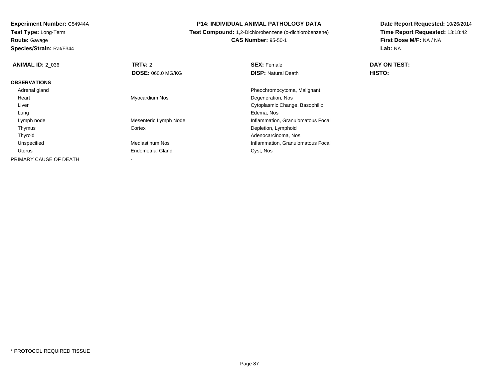**Route:** Gavage

**Species/Strain:** Rat/F344

#### **P14: INDIVIDUAL ANIMAL PATHOLOGY DATA**

**Test Compound:** 1,2-Dichlorobenzene (o-dichlorobenzene)

**CAS Number:** 95-50-1

| <b>ANIMAL ID: 2 036</b> | TRT#: 2                  | <b>SEX: Female</b>                | DAY ON TEST: |  |
|-------------------------|--------------------------|-----------------------------------|--------------|--|
|                         | <b>DOSE: 060.0 MG/KG</b> | <b>DISP: Natural Death</b>        | HISTO:       |  |
| <b>OBSERVATIONS</b>     |                          |                                   |              |  |
| Adrenal gland           |                          | Pheochromocytoma, Malignant       |              |  |
| Heart                   | Myocardium Nos           | Degeneration, Nos                 |              |  |
| Liver                   |                          | Cytoplasmic Change, Basophilic    |              |  |
| Lung                    |                          | Edema, Nos                        |              |  |
| Lymph node              | Mesenteric Lymph Node    | Inflammation, Granulomatous Focal |              |  |
| Thymus                  | Cortex                   | Depletion, Lymphoid               |              |  |
| Thyroid                 |                          | Adenocarcinoma, Nos               |              |  |
| Unspecified             | Mediastinum Nos          | Inflammation, Granulomatous Focal |              |  |
| Uterus                  | <b>Endometrial Gland</b> | Cyst, Nos                         |              |  |
| PRIMARY CAUSE OF DEATH  |                          |                                   |              |  |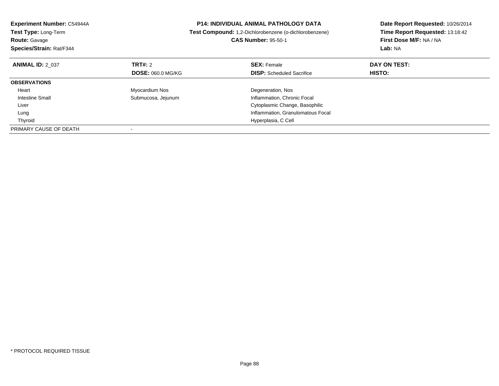| <b>Experiment Number: C54944A</b><br>Test Type: Long-Term<br><b>Route: Gavage</b><br>Species/Strain: Rat/F344 |                          | <b>P14: INDIVIDUAL ANIMAL PATHOLOGY DATA</b><br>Test Compound: 1,2-Dichlorobenzene (o-dichlorobenzene)<br><b>CAS Number: 95-50-1</b> | Date Report Requested: 10/26/2014<br>Time Report Requested: 13:18:42<br>First Dose M/F: NA / NA<br>Lab: NA |
|---------------------------------------------------------------------------------------------------------------|--------------------------|--------------------------------------------------------------------------------------------------------------------------------------|------------------------------------------------------------------------------------------------------------|
| <b>ANIMAL ID: 2 037</b>                                                                                       | <b>TRT#: 2</b>           | <b>SEX: Female</b>                                                                                                                   | DAY ON TEST:                                                                                               |
|                                                                                                               | <b>DOSE: 060.0 MG/KG</b> | <b>DISP:</b> Scheduled Sacrifice                                                                                                     | <b>HISTO:</b>                                                                                              |
| <b>OBSERVATIONS</b>                                                                                           |                          |                                                                                                                                      |                                                                                                            |
| Heart                                                                                                         | Myocardium Nos           | Degeneration, Nos                                                                                                                    |                                                                                                            |
| Intestine Small                                                                                               | Submucosa, Jejunum       | Inflammation, Chronic Focal                                                                                                          |                                                                                                            |
| Liver                                                                                                         |                          | Cytoplasmic Change, Basophilic                                                                                                       |                                                                                                            |
| Lung                                                                                                          |                          | Inflammation, Granulomatous Focal                                                                                                    |                                                                                                            |
| Thyroid                                                                                                       |                          | Hyperplasia, C Cell                                                                                                                  |                                                                                                            |
| PRIMARY CAUSE OF DEATH                                                                                        |                          |                                                                                                                                      |                                                                                                            |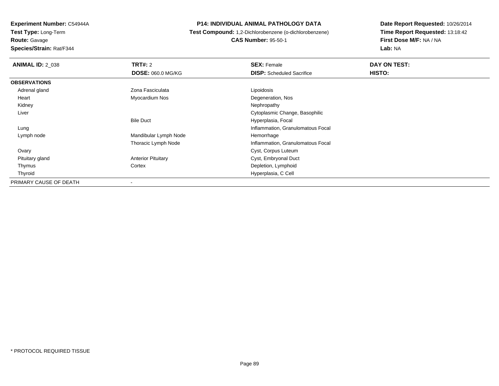**Experiment Number:** C54944A**Test Type:** Long-Term**Route:** Gavage

**Species/Strain:** Rat/F344

#### **P14: INDIVIDUAL ANIMAL PATHOLOGY DATA**

 **Test Compound:** 1,2-Dichlorobenzene (o-dichlorobenzene)**CAS Number:** 95-50-1

| <b>ANIMAL ID: 2 038</b> | TRT#: 2                   | <b>SEX: Female</b>                | DAY ON TEST: |
|-------------------------|---------------------------|-----------------------------------|--------------|
|                         | <b>DOSE: 060.0 MG/KG</b>  | <b>DISP:</b> Scheduled Sacrifice  | HISTO:       |
| <b>OBSERVATIONS</b>     |                           |                                   |              |
| Adrenal gland           | Zona Fasciculata          | Lipoidosis                        |              |
| Heart                   | Myocardium Nos            | Degeneration, Nos                 |              |
| Kidney                  |                           | Nephropathy                       |              |
| Liver                   |                           | Cytoplasmic Change, Basophilic    |              |
|                         | <b>Bile Duct</b>          | Hyperplasia, Focal                |              |
| Lung                    |                           | Inflammation, Granulomatous Focal |              |
| Lymph node              | Mandibular Lymph Node     | Hemorrhage                        |              |
|                         | Thoracic Lymph Node       | Inflammation, Granulomatous Focal |              |
| Ovary                   |                           | Cyst, Corpus Luteum               |              |
| Pituitary gland         | <b>Anterior Pituitary</b> | Cyst, Embryonal Duct              |              |
| Thymus                  | Cortex                    | Depletion, Lymphoid               |              |
| Thyroid                 |                           | Hyperplasia, C Cell               |              |
| PRIMARY CAUSE OF DEATH  |                           |                                   |              |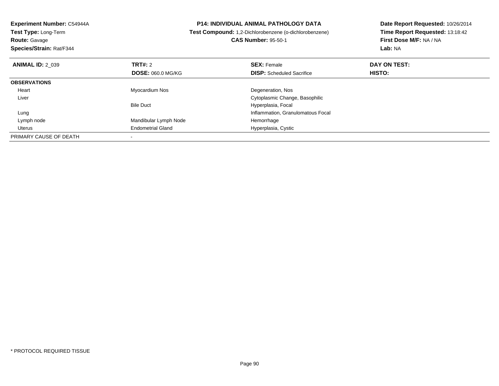| Experiment Number: C54944A  | <b>P14: INDIVIDUAL ANIMAL PATHOLOGY DATA</b><br><b>Test Compound:</b> 1,2-Dichlorobenzene (o-dichlorobenzene) |                                   | Date Report Requested: 10/26/2014 |
|-----------------------------|---------------------------------------------------------------------------------------------------------------|-----------------------------------|-----------------------------------|
| <b>Test Type: Long-Term</b> |                                                                                                               |                                   | Time Report Requested: 13:18:42   |
| <b>Route: Gavage</b>        |                                                                                                               | <b>CAS Number: 95-50-1</b>        | First Dose M/F: NA / NA           |
| Species/Strain: Rat/F344    |                                                                                                               |                                   | Lab: NA                           |
| <b>ANIMAL ID: 2 039</b>     | <b>TRT#: 2</b>                                                                                                | <b>SEX: Female</b>                | DAY ON TEST:                      |
|                             | <b>DOSE: 060.0 MG/KG</b>                                                                                      | <b>DISP:</b> Scheduled Sacrifice  | <b>HISTO:</b>                     |
| <b>OBSERVATIONS</b>         |                                                                                                               |                                   |                                   |
| Heart                       | Myocardium Nos                                                                                                | Degeneration, Nos                 |                                   |
| Liver                       |                                                                                                               | Cytoplasmic Change, Basophilic    |                                   |
|                             | <b>Bile Duct</b>                                                                                              | Hyperplasia, Focal                |                                   |
| Lung                        |                                                                                                               | Inflammation, Granulomatous Focal |                                   |
| Lymph node                  | Mandibular Lymph Node                                                                                         | Hemorrhage                        |                                   |
| Uterus                      | <b>Endometrial Gland</b>                                                                                      | Hyperplasia, Cystic               |                                   |
| PRIMARY CAUSE OF DEATH      |                                                                                                               |                                   |                                   |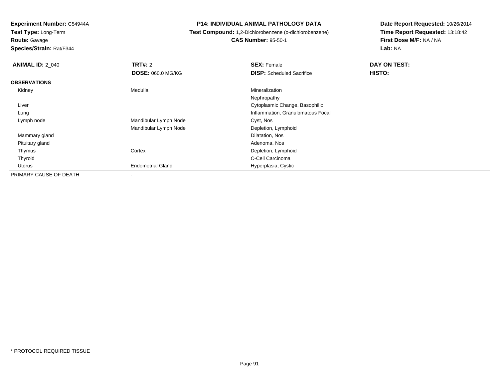**Test Type:** Long-Term

**Route:** Gavage

**Species/Strain:** Rat/F344

#### **P14: INDIVIDUAL ANIMAL PATHOLOGY DATA**

# **Test Compound:** 1,2-Dichlorobenzene (o-dichlorobenzene)**CAS Number:** 95-50-1

| <b>ANIMAL ID: 2 040</b> | TRT#: 2                  | <b>SEX: Female</b>                | DAY ON TEST: |  |
|-------------------------|--------------------------|-----------------------------------|--------------|--|
|                         | <b>DOSE: 060.0 MG/KG</b> | <b>DISP:</b> Scheduled Sacrifice  | HISTO:       |  |
| <b>OBSERVATIONS</b>     |                          |                                   |              |  |
| Kidney                  | Medulla                  | Mineralization                    |              |  |
|                         |                          | Nephropathy                       |              |  |
| Liver                   |                          | Cytoplasmic Change, Basophilic    |              |  |
| Lung                    |                          | Inflammation, Granulomatous Focal |              |  |
| Lymph node              | Mandibular Lymph Node    | Cyst, Nos                         |              |  |
|                         | Mandibular Lymph Node    | Depletion, Lymphoid               |              |  |
| Mammary gland           |                          | Dilatation, Nos                   |              |  |
| Pituitary gland         |                          | Adenoma, Nos                      |              |  |
| Thymus                  | Cortex                   | Depletion, Lymphoid               |              |  |
| Thyroid                 |                          | C-Cell Carcinoma                  |              |  |
| Uterus                  | <b>Endometrial Gland</b> | Hyperplasia, Cystic               |              |  |
| PRIMARY CAUSE OF DEATH  | ۰                        |                                   |              |  |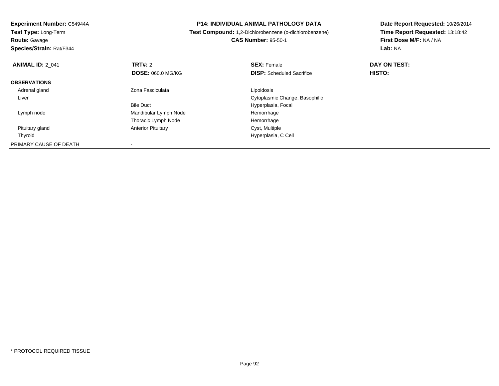| <b>Experiment Number: C54944A</b> |                           | <b>P14: INDIVIDUAL ANIMAL PATHOLOGY DATA</b>           | Date Report Requested: 10/26/2014 |  |
|-----------------------------------|---------------------------|--------------------------------------------------------|-----------------------------------|--|
| Test Type: Long-Term              |                           | Test Compound: 1,2-Dichlorobenzene (o-dichlorobenzene) | Time Report Requested: 13:18:42   |  |
| <b>Route: Gavage</b>              |                           | <b>CAS Number: 95-50-1</b>                             | First Dose M/F: NA / NA           |  |
| Species/Strain: Rat/F344          |                           |                                                        | Lab: NA                           |  |
| <b>ANIMAL ID: 2 041</b>           | <b>TRT#: 2</b>            | <b>SEX: Female</b>                                     | DAY ON TEST:                      |  |
|                                   | <b>DOSE: 060.0 MG/KG</b>  | <b>DISP:</b> Scheduled Sacrifice                       | HISTO:                            |  |
| <b>OBSERVATIONS</b>               |                           |                                                        |                                   |  |
| Adrenal gland                     | Zona Fasciculata          | Lipoidosis                                             |                                   |  |
| Liver                             |                           | Cytoplasmic Change, Basophilic                         |                                   |  |
|                                   | <b>Bile Duct</b>          | Hyperplasia, Focal                                     |                                   |  |
| Lymph node                        | Mandibular Lymph Node     | Hemorrhage                                             |                                   |  |
|                                   | Thoracic Lymph Node       | Hemorrhage                                             |                                   |  |
| Pituitary gland                   | <b>Anterior Pituitary</b> | Cyst, Multiple                                         |                                   |  |
| Thyroid                           |                           | Hyperplasia, C Cell                                    |                                   |  |
| PRIMARY CAUSE OF DEATH            |                           |                                                        |                                   |  |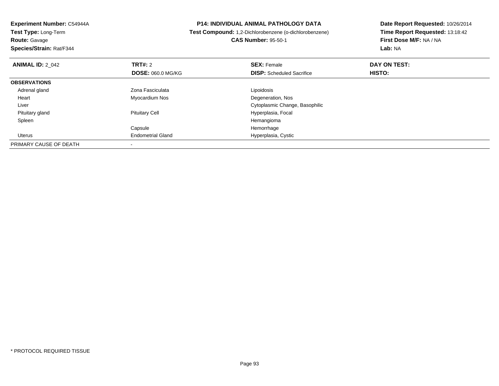| <b>Experiment Number: C54944A</b><br>Test Type: Long-Term |                          | <b>P14: INDIVIDUAL ANIMAL PATHOLOGY DATA</b>           | Date Report Requested: 10/26/2014 |
|-----------------------------------------------------------|--------------------------|--------------------------------------------------------|-----------------------------------|
|                                                           |                          | Test Compound: 1,2-Dichlorobenzene (o-dichlorobenzene) | Time Report Requested: 13:18:42   |
| <b>Route: Gavage</b>                                      |                          | <b>CAS Number: 95-50-1</b>                             | First Dose M/F: NA / NA           |
| Species/Strain: Rat/F344                                  |                          |                                                        | Lab: NA                           |
| <b>ANIMAL ID: 2 042</b>                                   | <b>TRT#: 2</b>           | <b>SEX: Female</b>                                     | DAY ON TEST:                      |
|                                                           | <b>DOSE: 060.0 MG/KG</b> | <b>DISP:</b> Scheduled Sacrifice                       | HISTO:                            |
| <b>OBSERVATIONS</b>                                       |                          |                                                        |                                   |
| Adrenal gland                                             | Zona Fasciculata         | Lipoidosis                                             |                                   |
| Heart                                                     | Myocardium Nos           | Degeneration, Nos                                      |                                   |
| Liver                                                     |                          | Cytoplasmic Change, Basophilic                         |                                   |
| Pituitary gland                                           | <b>Pituitary Cell</b>    | Hyperplasia, Focal                                     |                                   |
| Spleen                                                    |                          | Hemangioma                                             |                                   |
|                                                           | Capsule                  | Hemorrhage                                             |                                   |
| Uterus                                                    | <b>Endometrial Gland</b> | Hyperplasia, Cystic                                    |                                   |
| PRIMARY CAUSE OF DEATH                                    |                          |                                                        |                                   |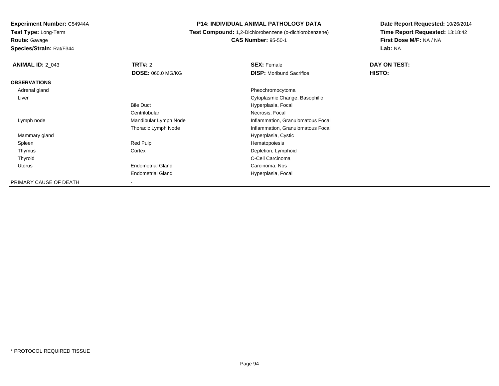**Test Type:** Long-Term

**Route:** Gavage

**Species/Strain:** Rat/F344

#### **P14: INDIVIDUAL ANIMAL PATHOLOGY DATA**

 **Test Compound:** 1,2-Dichlorobenzene (o-dichlorobenzene)**CAS Number:** 95-50-1

| <b>ANIMAL ID: 2 043</b> | TRT#: 2                  | <b>SEX: Female</b>                | DAY ON TEST: |  |
|-------------------------|--------------------------|-----------------------------------|--------------|--|
|                         | <b>DOSE: 060.0 MG/KG</b> | <b>DISP:</b> Moribund Sacrifice   | HISTO:       |  |
| <b>OBSERVATIONS</b>     |                          |                                   |              |  |
| Adrenal gland           |                          | Pheochromocytoma                  |              |  |
| Liver                   |                          | Cytoplasmic Change, Basophilic    |              |  |
|                         | <b>Bile Duct</b>         | Hyperplasia, Focal                |              |  |
|                         | Centrilobular            | Necrosis, Focal                   |              |  |
| Lymph node              | Mandibular Lymph Node    | Inflammation, Granulomatous Focal |              |  |
|                         | Thoracic Lymph Node      | Inflammation, Granulomatous Focal |              |  |
| Mammary gland           |                          | Hyperplasia, Cystic               |              |  |
| Spleen                  | Red Pulp                 | Hematopoiesis                     |              |  |
| Thymus                  | Cortex                   | Depletion, Lymphoid               |              |  |
| Thyroid                 |                          | C-Cell Carcinoma                  |              |  |
| Uterus                  | <b>Endometrial Gland</b> | Carcinoma, Nos                    |              |  |
|                         | <b>Endometrial Gland</b> | Hyperplasia, Focal                |              |  |
| PRIMARY CAUSE OF DEATH  | -                        |                                   |              |  |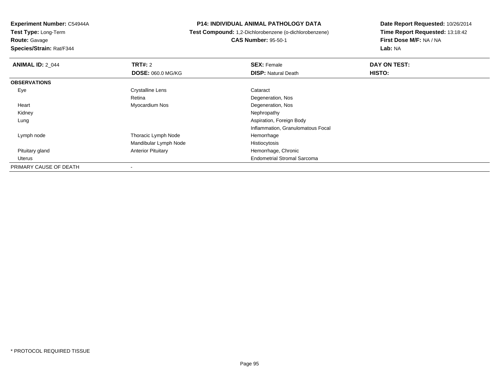**Route:** Gavage

**Species/Strain:** Rat/F344

#### **P14: INDIVIDUAL ANIMAL PATHOLOGY DATA**

 **Test Compound:** 1,2-Dichlorobenzene (o-dichlorobenzene)**CAS Number:** 95-50-1

| <b>ANIMAL ID: 2 044</b> | TRT#: 2                   | <b>SEX: Female</b>                 | DAY ON TEST: |
|-------------------------|---------------------------|------------------------------------|--------------|
|                         | <b>DOSE: 060.0 MG/KG</b>  | <b>DISP: Natural Death</b>         | HISTO:       |
| <b>OBSERVATIONS</b>     |                           |                                    |              |
| Eye                     | <b>Crystalline Lens</b>   | Cataract                           |              |
|                         | Retina                    | Degeneration, Nos                  |              |
| Heart                   | Myocardium Nos            | Degeneration, Nos                  |              |
| Kidney                  |                           | Nephropathy                        |              |
| Lung                    |                           | Aspiration, Foreign Body           |              |
|                         |                           | Inflammation, Granulomatous Focal  |              |
| Lymph node              | Thoracic Lymph Node       | Hemorrhage                         |              |
|                         | Mandibular Lymph Node     | Histiocytosis                      |              |
| Pituitary gland         | <b>Anterior Pituitary</b> | Hemorrhage, Chronic                |              |
| Uterus                  |                           | <b>Endometrial Stromal Sarcoma</b> |              |
| PRIMARY CAUSE OF DEATH  |                           |                                    |              |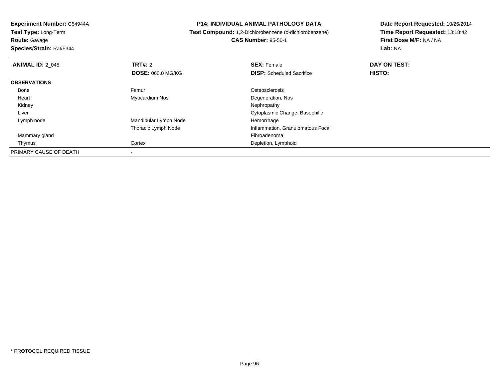**Route:** Gavage

**Species/Strain:** Rat/F344

#### **P14: INDIVIDUAL ANIMAL PATHOLOGY DATA**

 **Test Compound:** 1,2-Dichlorobenzene (o-dichlorobenzene)**CAS Number:** 95-50-1

| <b>ANIMAL ID: 2 045</b> | TRT#: 2                  | <b>SEX: Female</b>                | DAY ON TEST: |  |
|-------------------------|--------------------------|-----------------------------------|--------------|--|
|                         | <b>DOSE: 060.0 MG/KG</b> | <b>DISP:</b> Scheduled Sacrifice  | HISTO:       |  |
| <b>OBSERVATIONS</b>     |                          |                                   |              |  |
| Bone                    | Femur                    | Osteosclerosis                    |              |  |
| Heart                   | Myocardium Nos           | Degeneration, Nos                 |              |  |
| Kidney                  |                          | Nephropathy                       |              |  |
| Liver                   |                          | Cytoplasmic Change, Basophilic    |              |  |
| Lymph node              | Mandibular Lymph Node    | Hemorrhage                        |              |  |
|                         | Thoracic Lymph Node      | Inflammation, Granulomatous Focal |              |  |
| Mammary gland           |                          | Fibroadenoma                      |              |  |
| Thymus                  | Cortex                   | Depletion, Lymphoid               |              |  |
| PRIMARY CAUSE OF DEATH  |                          |                                   |              |  |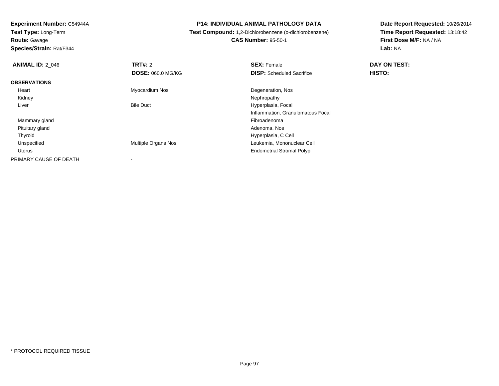**Route:** Gavage

**Species/Strain:** Rat/F344

#### **P14: INDIVIDUAL ANIMAL PATHOLOGY DATA**

 **Test Compound:** 1,2-Dichlorobenzene (o-dichlorobenzene)**CAS Number:** 95-50-1

| <b>ANIMAL ID: 2 046</b> | TRT#: 2                  | <b>SEX: Female</b>                | DAY ON TEST: |  |
|-------------------------|--------------------------|-----------------------------------|--------------|--|
|                         | <b>DOSE: 060.0 MG/KG</b> | <b>DISP:</b> Scheduled Sacrifice  | HISTO:       |  |
| <b>OBSERVATIONS</b>     |                          |                                   |              |  |
| Heart                   | Myocardium Nos           | Degeneration, Nos                 |              |  |
| Kidney                  |                          | Nephropathy                       |              |  |
| Liver                   | <b>Bile Duct</b>         | Hyperplasia, Focal                |              |  |
|                         |                          | Inflammation, Granulomatous Focal |              |  |
| Mammary gland           |                          | Fibroadenoma                      |              |  |
| Pituitary gland         |                          | Adenoma, Nos                      |              |  |
| Thyroid                 |                          | Hyperplasia, C Cell               |              |  |
| Unspecified             | Multiple Organs Nos      | Leukemia, Mononuclear Cell        |              |  |
| Uterus                  |                          | <b>Endometrial Stromal Polyp</b>  |              |  |
| PRIMARY CAUSE OF DEATH  |                          |                                   |              |  |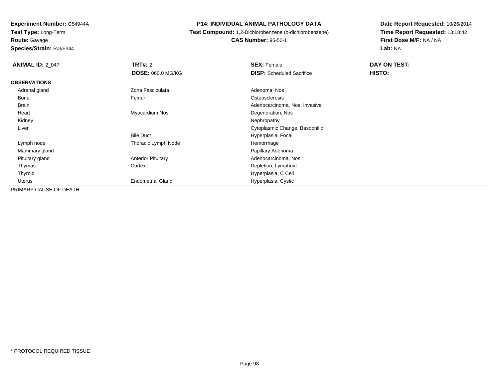**Experiment Number:** C54944A**Test Type:** Long-Term**Route:** Gavage

#### **Species/Strain:** Rat/F344

#### **P14: INDIVIDUAL ANIMAL PATHOLOGY DATA**

 **Test Compound:** 1,2-Dichlorobenzene (o-dichlorobenzene)**CAS Number:** 95-50-1

| <b>ANIMAL ID: 2_047</b> | <b>TRT#: 2</b>            | <b>SEX: Female</b>               | DAY ON TEST: |  |
|-------------------------|---------------------------|----------------------------------|--------------|--|
|                         | <b>DOSE: 060.0 MG/KG</b>  | <b>DISP:</b> Scheduled Sacrifice | HISTO:       |  |
| <b>OBSERVATIONS</b>     |                           |                                  |              |  |
| Adrenal gland           | Zona Fasciculata          | Adenoma, Nos                     |              |  |
| Bone                    | Femur                     | Osteosclerosis                   |              |  |
| Brain                   |                           | Adenocarcinoma, Nos, Invasive    |              |  |
| Heart                   | Myocardium Nos            | Degeneration, Nos                |              |  |
| Kidney                  |                           | Nephropathy                      |              |  |
| Liver                   |                           | Cytoplasmic Change, Basophilic   |              |  |
|                         | <b>Bile Duct</b>          | Hyperplasia, Focal               |              |  |
| Lymph node              | Thoracic Lymph Node       | Hemorrhage                       |              |  |
| Mammary gland           |                           | Papillary Adenoma                |              |  |
| Pituitary gland         | <b>Anterior Pituitary</b> | Adenocarcinoma, Nos              |              |  |
| Thymus                  | Cortex                    | Depletion, Lymphoid              |              |  |
| Thyroid                 |                           | Hyperplasia, C Cell              |              |  |
| Uterus                  | <b>Endometrial Gland</b>  | Hyperplasia, Cystic              |              |  |
| PRIMARY CAUSE OF DEATH  | $\blacksquare$            |                                  |              |  |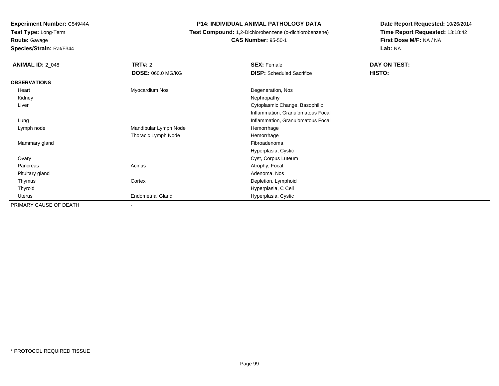**Route:** Gavage

**Species/Strain:** Rat/F344

#### **P14: INDIVIDUAL ANIMAL PATHOLOGY DATA**

## **Test Compound:** 1,2-Dichlorobenzene (o-dichlorobenzene)**CAS Number:** 95-50-1

| <b>ANIMAL ID: 2 048</b> | <b>TRT#: 2</b>           | <b>SEX: Female</b>                | DAY ON TEST: |
|-------------------------|--------------------------|-----------------------------------|--------------|
|                         | DOSE: 060.0 MG/KG        | <b>DISP:</b> Scheduled Sacrifice  | HISTO:       |
| <b>OBSERVATIONS</b>     |                          |                                   |              |
| Heart                   | Myocardium Nos           | Degeneration, Nos                 |              |
| Kidney                  |                          | Nephropathy                       |              |
| Liver                   |                          | Cytoplasmic Change, Basophilic    |              |
|                         |                          | Inflammation, Granulomatous Focal |              |
| Lung                    |                          | Inflammation, Granulomatous Focal |              |
| Lymph node              | Mandibular Lymph Node    | Hemorrhage                        |              |
|                         | Thoracic Lymph Node      | Hemorrhage                        |              |
| Mammary gland           |                          | Fibroadenoma                      |              |
|                         |                          | Hyperplasia, Cystic               |              |
| Ovary                   |                          | Cyst, Corpus Luteum               |              |
| Pancreas                | Acinus                   | Atrophy, Focal                    |              |
| Pituitary gland         |                          | Adenoma, Nos                      |              |
| Thymus                  | Cortex                   | Depletion, Lymphoid               |              |
| Thyroid                 |                          | Hyperplasia, C Cell               |              |
| Uterus                  | <b>Endometrial Gland</b> | Hyperplasia, Cystic               |              |
| PRIMARY CAUSE OF DEATH  | $\overline{\phantom{a}}$ |                                   |              |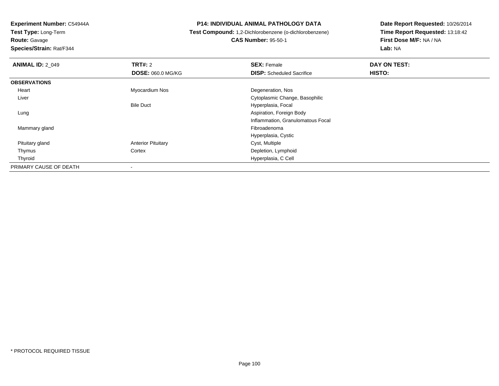**Test Type:** Long-Term**Route:** Gavage

**Species/Strain:** Rat/F344

#### **P14: INDIVIDUAL ANIMAL PATHOLOGY DATA**

## **Test Compound:** 1,2-Dichlorobenzene (o-dichlorobenzene)**CAS Number:** 95-50-1

| <b>ANIMAL ID: 2 049</b> | <b>TRT#: 2</b>            | <b>SEX: Female</b>                | DAY ON TEST: |  |
|-------------------------|---------------------------|-----------------------------------|--------------|--|
|                         | <b>DOSE: 060.0 MG/KG</b>  | <b>DISP:</b> Scheduled Sacrifice  | HISTO:       |  |
| <b>OBSERVATIONS</b>     |                           |                                   |              |  |
| Heart                   | Myocardium Nos            | Degeneration, Nos                 |              |  |
| Liver                   |                           | Cytoplasmic Change, Basophilic    |              |  |
|                         | <b>Bile Duct</b>          | Hyperplasia, Focal                |              |  |
| Lung                    |                           | Aspiration, Foreign Body          |              |  |
|                         |                           | Inflammation, Granulomatous Focal |              |  |
| Mammary gland           |                           | Fibroadenoma                      |              |  |
|                         |                           | Hyperplasia, Cystic               |              |  |
| Pituitary gland         | <b>Anterior Pituitary</b> | Cyst, Multiple                    |              |  |
| Thymus                  | Cortex                    | Depletion, Lymphoid               |              |  |
| Thyroid                 |                           | Hyperplasia, C Cell               |              |  |
| PRIMARY CAUSE OF DEATH  |                           |                                   |              |  |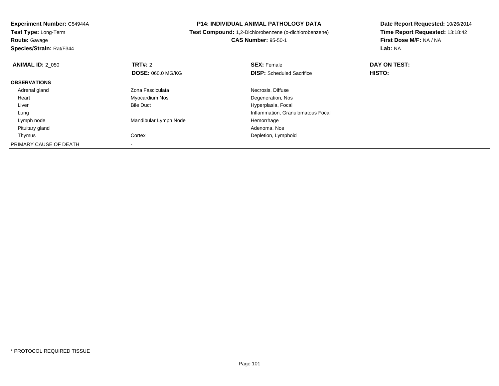**Route:** Gavage

**Species/Strain:** Rat/F344

#### **P14: INDIVIDUAL ANIMAL PATHOLOGY DATA**

 **Test Compound:** 1,2-Dichlorobenzene (o-dichlorobenzene)**CAS Number:** 95-50-1

| <b>ANIMAL ID: 2 050</b> | TRT#: 2                  | <b>SEX: Female</b>                | DAY ON TEST: |  |
|-------------------------|--------------------------|-----------------------------------|--------------|--|
|                         | <b>DOSE: 060.0 MG/KG</b> | <b>DISP:</b> Scheduled Sacrifice  | HISTO:       |  |
| <b>OBSERVATIONS</b>     |                          |                                   |              |  |
| Adrenal gland           | Zona Fasciculata         | Necrosis, Diffuse                 |              |  |
| Heart                   | Myocardium Nos           | Degeneration, Nos                 |              |  |
| Liver                   | <b>Bile Duct</b>         | Hyperplasia, Focal                |              |  |
| Lung                    |                          | Inflammation, Granulomatous Focal |              |  |
| Lymph node              | Mandibular Lymph Node    | Hemorrhage                        |              |  |
| Pituitary gland         |                          | Adenoma, Nos                      |              |  |
| Thymus                  | Cortex                   | Depletion, Lymphoid               |              |  |
| PRIMARY CAUSE OF DEATH  |                          |                                   |              |  |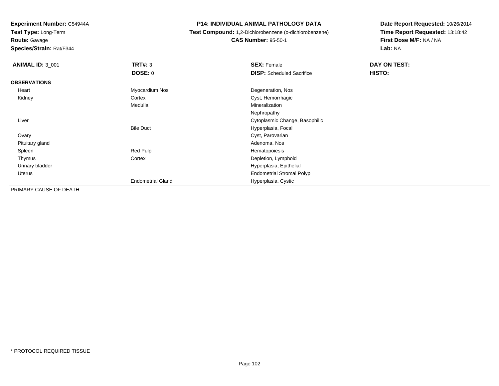**Test Type:** Long-Term

**Route:** Gavage

**Species/Strain:** Rat/F344

#### **P14: INDIVIDUAL ANIMAL PATHOLOGY DATA**

**Test Compound:** 1,2-Dichlorobenzene (o-dichlorobenzene)

**CAS Number:** 95-50-1

| <b>ANIMAL ID: 3_001</b> | TRT#: 3                  | <b>SEX: Female</b>               | DAY ON TEST: |
|-------------------------|--------------------------|----------------------------------|--------------|
|                         | <b>DOSE: 0</b>           | <b>DISP:</b> Scheduled Sacrifice | HISTO:       |
| <b>OBSERVATIONS</b>     |                          |                                  |              |
| Heart                   | Myocardium Nos           | Degeneration, Nos                |              |
| Kidney                  | Cortex                   | Cyst, Hemorrhagic                |              |
|                         | Medulla                  | Mineralization                   |              |
|                         |                          | Nephropathy                      |              |
| Liver                   |                          | Cytoplasmic Change, Basophilic   |              |
|                         | <b>Bile Duct</b>         | Hyperplasia, Focal               |              |
| Ovary                   |                          | Cyst, Parovarian                 |              |
| Pituitary gland         |                          | Adenoma, Nos                     |              |
| Spleen                  | Red Pulp                 | Hematopoiesis                    |              |
| Thymus                  | Cortex                   | Depletion, Lymphoid              |              |
| Urinary bladder         |                          | Hyperplasia, Epithelial          |              |
| Uterus                  |                          | <b>Endometrial Stromal Polyp</b> |              |
|                         | <b>Endometrial Gland</b> | Hyperplasia, Cystic              |              |
| PRIMARY CAUSE OF DEATH  | -                        |                                  |              |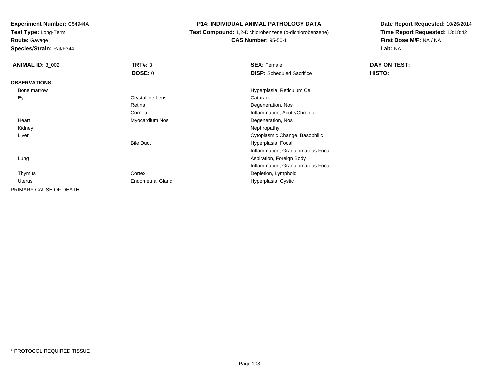**Test Type:** Long-Term

**Route:** Gavage

**Species/Strain:** Rat/F344

#### **P14: INDIVIDUAL ANIMAL PATHOLOGY DATA**

**Test Compound:** 1,2-Dichlorobenzene (o-dichlorobenzene)

**CAS Number:** 95-50-1

| <b>ANIMAL ID: 3_002</b> | TRT#: 3                  | <b>SEX: Female</b>                | DAY ON TEST: |  |
|-------------------------|--------------------------|-----------------------------------|--------------|--|
|                         | <b>DOSE: 0</b>           | <b>DISP:</b> Scheduled Sacrifice  | HISTO:       |  |
| <b>OBSERVATIONS</b>     |                          |                                   |              |  |
| Bone marrow             |                          | Hyperplasia, Reticulum Cell       |              |  |
| Eye                     | <b>Crystalline Lens</b>  | Cataract                          |              |  |
|                         | Retina                   | Degeneration, Nos                 |              |  |
|                         | Cornea                   | Inflammation, Acute/Chronic       |              |  |
| Heart                   | Myocardium Nos           | Degeneration, Nos                 |              |  |
| Kidney                  |                          | Nephropathy                       |              |  |
| Liver                   |                          | Cytoplasmic Change, Basophilic    |              |  |
|                         | <b>Bile Duct</b>         | Hyperplasia, Focal                |              |  |
|                         |                          | Inflammation, Granulomatous Focal |              |  |
| Lung                    |                          | Aspiration, Foreign Body          |              |  |
|                         |                          | Inflammation, Granulomatous Focal |              |  |
| Thymus                  | Cortex                   | Depletion, Lymphoid               |              |  |
| Uterus                  | <b>Endometrial Gland</b> | Hyperplasia, Cystic               |              |  |
| PRIMARY CAUSE OF DEATH  | $\blacksquare$           |                                   |              |  |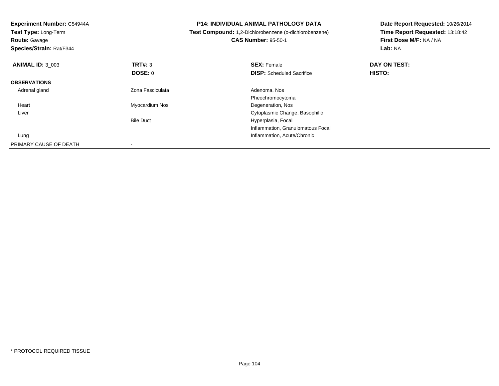| Experiment Number: C54944A<br>Test Type: Long-Term<br><b>Route: Gavage</b><br>Species/Strain: Rat/F344 |                  | <b>P14: INDIVIDUAL ANIMAL PATHOLOGY DATA</b><br>Test Compound: 1,2-Dichlorobenzene (o-dichlorobenzene)<br><b>CAS Number: 95-50-1</b> | Date Report Requested: 10/26/2014<br>Time Report Requested: 13:18:42<br>First Dose M/F: NA / NA<br>Lab: NA |  |
|--------------------------------------------------------------------------------------------------------|------------------|--------------------------------------------------------------------------------------------------------------------------------------|------------------------------------------------------------------------------------------------------------|--|
| <b>ANIMAL ID: 3 003</b>                                                                                | <b>TRT#:</b> 3   | <b>SEX: Female</b>                                                                                                                   | DAY ON TEST:                                                                                               |  |
|                                                                                                        | DOSE: 0          | <b>DISP:</b> Scheduled Sacrifice                                                                                                     | <b>HISTO:</b>                                                                                              |  |
| <b>OBSERVATIONS</b>                                                                                    |                  |                                                                                                                                      |                                                                                                            |  |
| Adrenal gland                                                                                          | Zona Fasciculata | Adenoma, Nos                                                                                                                         |                                                                                                            |  |
|                                                                                                        |                  | Pheochromocytoma                                                                                                                     |                                                                                                            |  |
| Heart                                                                                                  | Myocardium Nos   | Degeneration, Nos                                                                                                                    |                                                                                                            |  |
| Liver                                                                                                  |                  | Cytoplasmic Change, Basophilic                                                                                                       |                                                                                                            |  |
|                                                                                                        | <b>Bile Duct</b> | Hyperplasia, Focal                                                                                                                   |                                                                                                            |  |
|                                                                                                        |                  | Inflammation, Granulomatous Focal                                                                                                    |                                                                                                            |  |
| Lung                                                                                                   |                  | Inflammation, Acute/Chronic                                                                                                          |                                                                                                            |  |
| PRIMARY CAUSE OF DEATH                                                                                 |                  |                                                                                                                                      |                                                                                                            |  |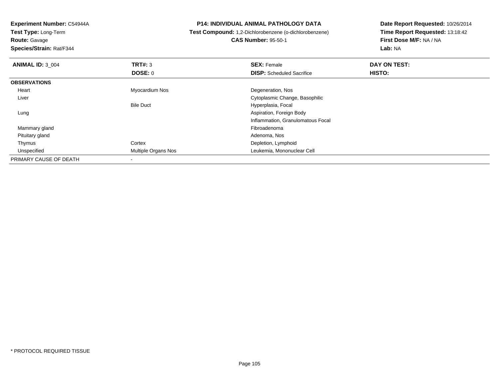**Test Type:** Long-Term

**Route:** Gavage

**Species/Strain:** Rat/F344

**P14: INDIVIDUAL ANIMAL PATHOLOGY DATA**

**Test Compound:** 1,2-Dichlorobenzene (o-dichlorobenzene)

**CAS Number:** 95-50-1

| <b>ANIMAL ID: 3 004</b> | TRT#: 3             | <b>SEX: Female</b>                | DAY ON TEST: |  |
|-------------------------|---------------------|-----------------------------------|--------------|--|
|                         | <b>DOSE: 0</b>      | <b>DISP:</b> Scheduled Sacrifice  | HISTO:       |  |
| <b>OBSERVATIONS</b>     |                     |                                   |              |  |
| Heart                   | Myocardium Nos      | Degeneration, Nos                 |              |  |
| Liver                   |                     | Cytoplasmic Change, Basophilic    |              |  |
|                         | <b>Bile Duct</b>    | Hyperplasia, Focal                |              |  |
| Lung                    |                     | Aspiration, Foreign Body          |              |  |
|                         |                     | Inflammation, Granulomatous Focal |              |  |
| Mammary gland           |                     | Fibroadenoma                      |              |  |
| Pituitary gland         |                     | Adenoma, Nos                      |              |  |
| Thymus                  | Cortex              | Depletion, Lymphoid               |              |  |
| Unspecified             | Multiple Organs Nos | Leukemia, Mononuclear Cell        |              |  |
| PRIMARY CAUSE OF DEATH  |                     |                                   |              |  |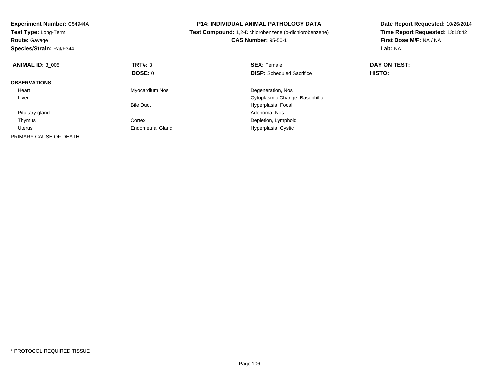| <b>Experiment Number: C54944A</b><br>Test Type: Long-Term<br><b>Route: Gavage</b><br>Species/Strain: Rat/F344 |                          | <b>P14: INDIVIDUAL ANIMAL PATHOLOGY DATA</b><br>Test Compound: 1,2-Dichlorobenzene (o-dichlorobenzene)<br><b>CAS Number: 95-50-1</b> | Date Report Requested: 10/26/2014<br>Time Report Requested: 13:18:42<br>First Dose M/F: NA / NA<br>Lab: NA |
|---------------------------------------------------------------------------------------------------------------|--------------------------|--------------------------------------------------------------------------------------------------------------------------------------|------------------------------------------------------------------------------------------------------------|
| <b>ANIMAL ID: 3 005</b>                                                                                       | TRT#: 3                  | <b>SEX: Female</b>                                                                                                                   | DAY ON TEST:                                                                                               |
|                                                                                                               | DOSE: 0                  | <b>DISP:</b> Scheduled Sacrifice                                                                                                     | HISTO:                                                                                                     |
| <b>OBSERVATIONS</b>                                                                                           |                          |                                                                                                                                      |                                                                                                            |
| Heart                                                                                                         | Myocardium Nos           | Degeneration, Nos                                                                                                                    |                                                                                                            |
| Liver                                                                                                         |                          | Cytoplasmic Change, Basophilic                                                                                                       |                                                                                                            |
|                                                                                                               | <b>Bile Duct</b>         | Hyperplasia, Focal                                                                                                                   |                                                                                                            |
| Pituitary gland                                                                                               |                          | Adenoma, Nos                                                                                                                         |                                                                                                            |
| Thymus                                                                                                        | Cortex                   | Depletion, Lymphoid                                                                                                                  |                                                                                                            |
| Uterus                                                                                                        | <b>Endometrial Gland</b> | Hyperplasia, Cystic                                                                                                                  |                                                                                                            |
| PRIMARY CAUSE OF DEATH                                                                                        |                          |                                                                                                                                      |                                                                                                            |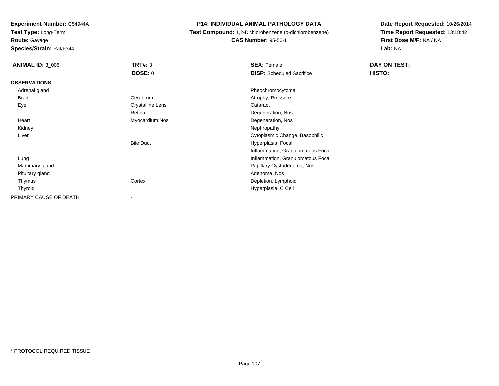**Test Type:** Long-Term

**Route:** Gavage

**Species/Strain:** Rat/F344

#### **P14: INDIVIDUAL ANIMAL PATHOLOGY DATA**

**Test Compound:** 1,2-Dichlorobenzene (o-dichlorobenzene)

**CAS Number:** 95-50-1

| <b>ANIMAL ID: 3_006</b> | <b>TRT#: 3</b>           | <b>SEX: Female</b>                | DAY ON TEST:  |
|-------------------------|--------------------------|-----------------------------------|---------------|
|                         | <b>DOSE: 0</b>           | <b>DISP:</b> Scheduled Sacrifice  | <b>HISTO:</b> |
| <b>OBSERVATIONS</b>     |                          |                                   |               |
| Adrenal gland           |                          | Pheochromocytoma                  |               |
| Brain                   | Cerebrum                 | Atrophy, Pressure                 |               |
| Eye                     | <b>Crystalline Lens</b>  | Cataract                          |               |
|                         | Retina                   | Degeneration, Nos                 |               |
| Heart                   | Myocardium Nos           | Degeneration, Nos                 |               |
| Kidney                  |                          | Nephropathy                       |               |
| Liver                   |                          | Cytoplasmic Change, Basophilic    |               |
|                         | <b>Bile Duct</b>         | Hyperplasia, Focal                |               |
|                         |                          | Inflammation, Granulomatous Focal |               |
| Lung                    |                          | Inflammation, Granulomatous Focal |               |
| Mammary gland           |                          | Papillary Cystadenoma, Nos        |               |
| Pituitary gland         |                          | Adenoma, Nos                      |               |
| Thymus                  | Cortex                   | Depletion, Lymphoid               |               |
| Thyroid                 |                          | Hyperplasia, C Cell               |               |
| PRIMARY CAUSE OF DEATH  | $\overline{\phantom{a}}$ |                                   |               |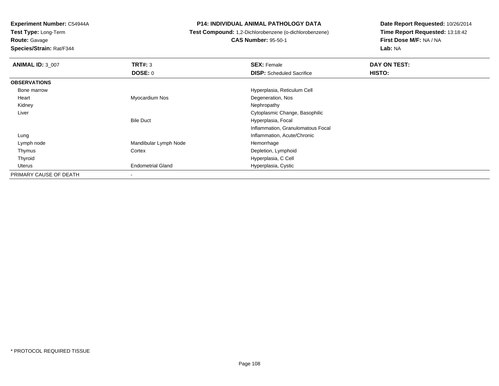**Test Type:** Long-Term

**Route:** Gavage

**Species/Strain:** Rat/F344

#### **P14: INDIVIDUAL ANIMAL PATHOLOGY DATA**

**Test Compound:** 1,2-Dichlorobenzene (o-dichlorobenzene)

**CAS Number:** 95-50-1

| <b>ANIMAL ID: 3 007</b> | TRT#: 3                  | <b>SEX: Female</b>                | DAY ON TEST: |
|-------------------------|--------------------------|-----------------------------------|--------------|
|                         | <b>DOSE: 0</b>           | <b>DISP:</b> Scheduled Sacrifice  | HISTO:       |
| <b>OBSERVATIONS</b>     |                          |                                   |              |
| Bone marrow             |                          | Hyperplasia, Reticulum Cell       |              |
| Heart                   | Myocardium Nos           | Degeneration, Nos                 |              |
| Kidney                  |                          | Nephropathy                       |              |
| Liver                   |                          | Cytoplasmic Change, Basophilic    |              |
|                         | <b>Bile Duct</b>         | Hyperplasia, Focal                |              |
|                         |                          | Inflammation, Granulomatous Focal |              |
| Lung                    |                          | Inflammation, Acute/Chronic       |              |
| Lymph node              | Mandibular Lymph Node    | Hemorrhage                        |              |
| Thymus                  | Cortex                   | Depletion, Lymphoid               |              |
| Thyroid                 |                          | Hyperplasia, C Cell               |              |
| Uterus                  | <b>Endometrial Gland</b> | Hyperplasia, Cystic               |              |
| PRIMARY CAUSE OF DEATH  |                          |                                   |              |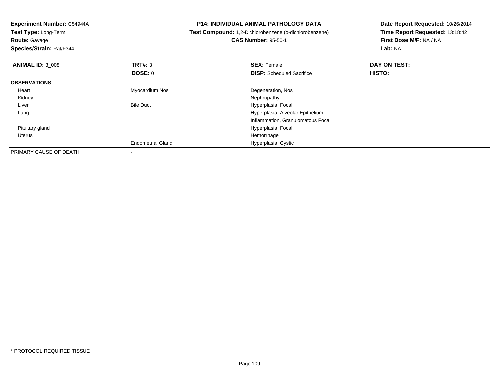**Experiment Number:** C54944A**Test Type:** Long-Term**Route:** Gavage **Species/Strain:** Rat/F344**P14: INDIVIDUAL ANIMAL PATHOLOGY DATA Test Compound:** 1,2-Dichlorobenzene (o-dichlorobenzene)**CAS Number:** 95-50-1**Date Report Requested:** 10/26/2014**Time Report Requested:** 13:18:42**First Dose M/F:** NA / NA**Lab:** NA**ANIMAL ID:** 3\_008**REX:** Female **DAY ON TEST: SEX:** Female **SEX:** Female **DOSE:** 0**DISP:** Scheduled Sacrifice **HISTO: OBSERVATIONS** Heart Myocardium Nos Degeneration, Nos Kidneyy the control of the control of the control of the control of the control of the control of the control of the control of the control of the control of the control of the control of the control of the control of the contro LiverBile Duct **Hyperplasia**, Focal Lung Hyperplasia, Alveolar Epithelium Inflammation, Granulomatous Focal Pituitary gland Hyperplasia, Focal Uteruss and the control of the control of the control of the control of the control of the control of the control of the control of the control of the control of the control of the control of the control of the control of the co d Hyperplasia, Cystic Endometrial GlandPRIMARY CAUSE OF DEATH-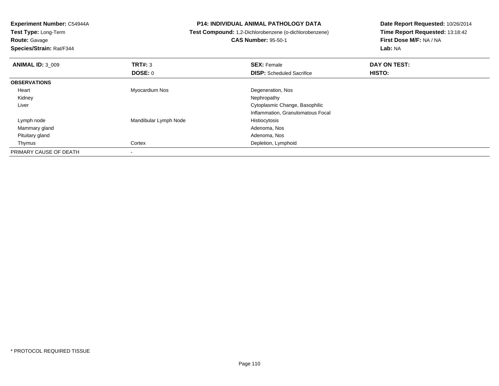**Test Type:** Long-Term

**Route:** Gavage

**Species/Strain:** Rat/F344

**P14: INDIVIDUAL ANIMAL PATHOLOGY DATA**

**Test Compound:** 1,2-Dichlorobenzene (o-dichlorobenzene)

**CAS Number:** 95-50-1

| <b>ANIMAL ID: 3 009</b> | TRT#: 3               | <b>SEX: Female</b>                | DAY ON TEST: |  |
|-------------------------|-----------------------|-----------------------------------|--------------|--|
|                         | <b>DOSE: 0</b>        | <b>DISP:</b> Scheduled Sacrifice  | HISTO:       |  |
| <b>OBSERVATIONS</b>     |                       |                                   |              |  |
| Heart                   | Myocardium Nos        | Degeneration, Nos                 |              |  |
| Kidney                  |                       | Nephropathy                       |              |  |
| Liver                   |                       | Cytoplasmic Change, Basophilic    |              |  |
|                         |                       | Inflammation, Granulomatous Focal |              |  |
| Lymph node              | Mandibular Lymph Node | Histiocytosis                     |              |  |
| Mammary gland           |                       | Adenoma, Nos                      |              |  |
| Pituitary gland         |                       | Adenoma, Nos                      |              |  |
| Thymus                  | Cortex                | Depletion, Lymphoid               |              |  |
| PRIMARY CAUSE OF DEATH  |                       |                                   |              |  |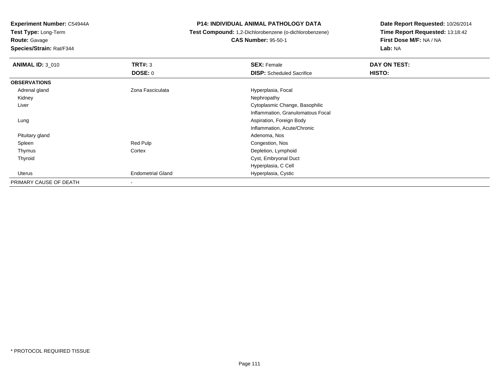**Test Type:** Long-Term

**Route:** Gavage

**Species/Strain:** Rat/F344

## **P14: INDIVIDUAL ANIMAL PATHOLOGY DATA**

**Test Compound:** 1,2-Dichlorobenzene (o-dichlorobenzene)

**CAS Number:** 95-50-1

| <b>ANIMAL ID: 3_010</b> | TRT#: 3                  | <b>SEX: Female</b>                | DAY ON TEST: |  |
|-------------------------|--------------------------|-----------------------------------|--------------|--|
|                         | <b>DOSE: 0</b>           | <b>DISP:</b> Scheduled Sacrifice  | HISTO:       |  |
| <b>OBSERVATIONS</b>     |                          |                                   |              |  |
| Adrenal gland           | Zona Fasciculata         | Hyperplasia, Focal                |              |  |
| Kidney                  |                          | Nephropathy                       |              |  |
| Liver                   |                          | Cytoplasmic Change, Basophilic    |              |  |
|                         |                          | Inflammation, Granulomatous Focal |              |  |
| Lung                    |                          | Aspiration, Foreign Body          |              |  |
|                         |                          | Inflammation, Acute/Chronic       |              |  |
| Pituitary gland         |                          | Adenoma, Nos                      |              |  |
| Spleen                  | Red Pulp                 | Congestion, Nos                   |              |  |
| Thymus                  | Cortex                   | Depletion, Lymphoid               |              |  |
| Thyroid                 |                          | Cyst, Embryonal Duct              |              |  |
|                         |                          | Hyperplasia, C Cell               |              |  |
| Uterus                  | <b>Endometrial Gland</b> | Hyperplasia, Cystic               |              |  |
| PRIMARY CAUSE OF DEATH  |                          |                                   |              |  |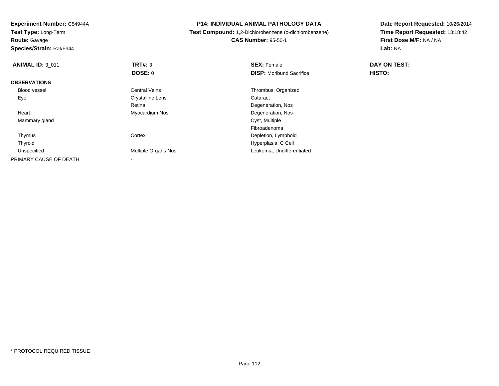**Experiment Number:** C54944A**Test Type:** Long-Term**Route:** Gavage **Species/Strain:** Rat/F344**P14: INDIVIDUAL ANIMAL PATHOLOGY DATA Test Compound:** 1,2-Dichlorobenzene (o-dichlorobenzene)**CAS Number:** 95-50-1**Date Report Requested:** 10/26/2014**Time Report Requested:** 13:18:42**First Dose M/F:** NA / NA**Lab:** NA**ANIMAL ID:** 3\_011**TRT#:** 3 **SEX:** Female **DAY ON TEST: DOSE:** 0**DISP:** Moribund Sacrifice **HISTO: OBSERVATIONS** Blood vessel Central Veins Thrombus, Organized EyeCrystalline Lens Cataract Retina Degeneration, Nos Heart Myocardium Nos Degeneration, Nos Mammary gland Cyst, Multiple Fibroadenomas and the Cortex Cortex Cortex and the Depletion, Lymphoid Thymus Hyperplasia, C Cell Thyroid UnspecifiedMultiple Organs Nos **Leukemia, Undifferentiated** PRIMARY CAUSE OF DEATH-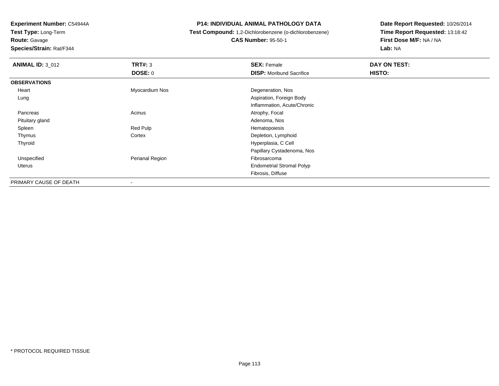**Test Type:** Long-Term**Route:** Gavage

**Species/Strain:** Rat/F344

## **P14: INDIVIDUAL ANIMAL PATHOLOGY DATA**

 **Test Compound:** 1,2-Dichlorobenzene (o-dichlorobenzene)**CAS Number:** 95-50-1

| <b>ANIMAL ID: 3 012</b> | TRT#: 3         | <b>SEX: Female</b>               | DAY ON TEST: |  |
|-------------------------|-----------------|----------------------------------|--------------|--|
|                         | DOSE: 0         | <b>DISP:</b> Moribund Sacrifice  | HISTO:       |  |
| <b>OBSERVATIONS</b>     |                 |                                  |              |  |
| Heart                   | Myocardium Nos  | Degeneration, Nos                |              |  |
| Lung                    |                 | Aspiration, Foreign Body         |              |  |
|                         |                 | Inflammation, Acute/Chronic      |              |  |
| Pancreas                | Acinus          | Atrophy, Focal                   |              |  |
| Pituitary gland         |                 | Adenoma, Nos                     |              |  |
| Spleen                  | Red Pulp        | Hematopoiesis                    |              |  |
| Thymus                  | Cortex          | Depletion, Lymphoid              |              |  |
| Thyroid                 |                 | Hyperplasia, C Cell              |              |  |
|                         |                 | Papillary Cystadenoma, Nos       |              |  |
| Unspecified             | Perianal Region | Fibrosarcoma                     |              |  |
| Uterus                  |                 | <b>Endometrial Stromal Polyp</b> |              |  |
|                         |                 | Fibrosis, Diffuse                |              |  |
| PRIMARY CAUSE OF DEATH  |                 |                                  |              |  |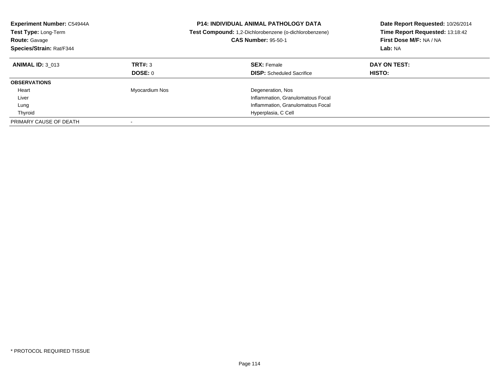| <b>Experiment Number: C54944A</b><br><b>Test Type: Long-Term</b><br><b>Route: Gavage</b><br>Species/Strain: Rat/F344 | <b>P14: INDIVIDUAL ANIMAL PATHOLOGY DATA</b><br>Test Compound: 1,2-Dichlorobenzene (o-dichlorobenzene)<br><b>CAS Number: 95-50-1</b> |                                                                                             | Date Report Requested: 10/26/2014<br>Time Report Requested: 13:18:42<br>First Dose M/F: NA / NA<br>Lab: NA |
|----------------------------------------------------------------------------------------------------------------------|--------------------------------------------------------------------------------------------------------------------------------------|---------------------------------------------------------------------------------------------|------------------------------------------------------------------------------------------------------------|
| <b>ANIMAL ID: 3 013</b>                                                                                              | TRT#: 3<br>DOSE: 0                                                                                                                   | <b>SEX: Female</b><br><b>DISP:</b> Scheduled Sacrifice                                      | DAY ON TEST:<br>HISTO:                                                                                     |
| <b>OBSERVATIONS</b>                                                                                                  |                                                                                                                                      |                                                                                             |                                                                                                            |
| Heart<br>Liver<br>Lung                                                                                               | Myocardium Nos                                                                                                                       | Degeneration, Nos<br>Inflammation, Granulomatous Focal<br>Inflammation, Granulomatous Focal |                                                                                                            |
| Thyroid                                                                                                              |                                                                                                                                      | Hyperplasia, C Cell                                                                         |                                                                                                            |
| PRIMARY CAUSE OF DEATH                                                                                               |                                                                                                                                      |                                                                                             |                                                                                                            |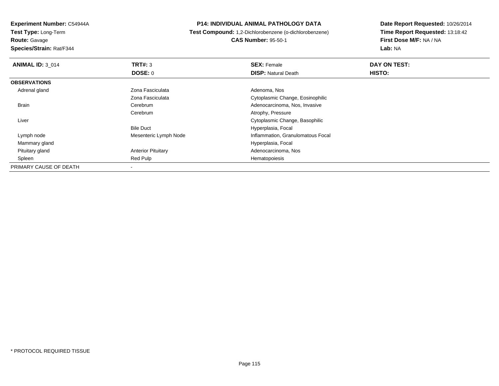**Experiment Number:** C54944A**Test Type:** Long-Term

**Route:** Gavage

**Species/Strain:** Rat/F344

## **P14: INDIVIDUAL ANIMAL PATHOLOGY DATA**

 **Test Compound:** 1,2-Dichlorobenzene (o-dichlorobenzene)**CAS Number:** 95-50-1

| <b>ANIMAL ID: 3 014</b> | TRT#: 3                   | <b>SEX: Female</b>                | DAY ON TEST: |  |
|-------------------------|---------------------------|-----------------------------------|--------------|--|
|                         | <b>DOSE: 0</b>            | <b>DISP: Natural Death</b>        | HISTO:       |  |
| <b>OBSERVATIONS</b>     |                           |                                   |              |  |
| Adrenal gland           | Zona Fasciculata          | Adenoma, Nos                      |              |  |
|                         | Zona Fasciculata          | Cytoplasmic Change, Eosinophilic  |              |  |
| <b>Brain</b>            | Cerebrum                  | Adenocarcinoma, Nos, Invasive     |              |  |
|                         | Cerebrum                  | Atrophy, Pressure                 |              |  |
| Liver                   |                           | Cytoplasmic Change, Basophilic    |              |  |
|                         | <b>Bile Duct</b>          | Hyperplasia, Focal                |              |  |
| Lymph node              | Mesenteric Lymph Node     | Inflammation, Granulomatous Focal |              |  |
| Mammary gland           |                           | Hyperplasia, Focal                |              |  |
| Pituitary gland         | <b>Anterior Pituitary</b> | Adenocarcinoma, Nos               |              |  |
| Spleen                  | Red Pulp                  | Hematopoiesis                     |              |  |
| PRIMARY CAUSE OF DEATH  |                           |                                   |              |  |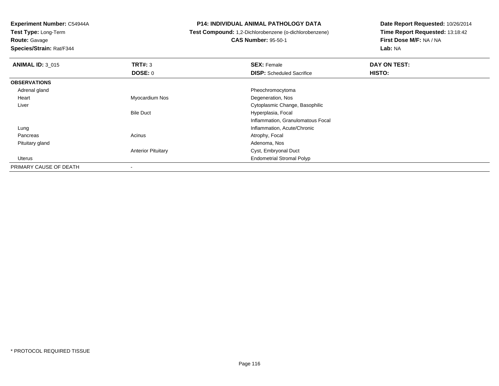**Test Type:** Long-Term

**Route:** Gavage

**Species/Strain:** Rat/F344

## **P14: INDIVIDUAL ANIMAL PATHOLOGY DATA**

**Test Compound:** 1,2-Dichlorobenzene (o-dichlorobenzene)

**CAS Number:** 95-50-1

| <b>ANIMAL ID: 3_015</b> | TRT#: 3                   | <b>SEX: Female</b>                | DAY ON TEST: |  |
|-------------------------|---------------------------|-----------------------------------|--------------|--|
|                         | DOSE: 0                   | <b>DISP:</b> Scheduled Sacrifice  | HISTO:       |  |
| <b>OBSERVATIONS</b>     |                           |                                   |              |  |
| Adrenal gland           |                           | Pheochromocytoma                  |              |  |
| Heart                   | Myocardium Nos            | Degeneration, Nos                 |              |  |
| Liver                   |                           | Cytoplasmic Change, Basophilic    |              |  |
|                         | <b>Bile Duct</b>          | Hyperplasia, Focal                |              |  |
|                         |                           | Inflammation, Granulomatous Focal |              |  |
| Lung                    |                           | Inflammation, Acute/Chronic       |              |  |
| Pancreas                | Acinus                    | Atrophy, Focal                    |              |  |
| Pituitary gland         |                           | Adenoma, Nos                      |              |  |
|                         | <b>Anterior Pituitary</b> | Cyst, Embryonal Duct              |              |  |
| Uterus                  |                           | <b>Endometrial Stromal Polyp</b>  |              |  |
| PRIMARY CAUSE OF DEATH  |                           |                                   |              |  |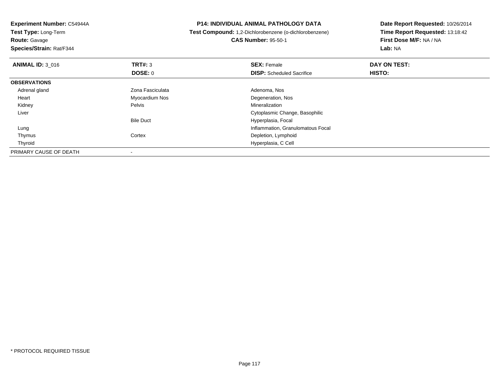**Experiment Number:** C54944A**Test Type:** Long-Term

**Route:** Gavage

**Species/Strain:** Rat/F344

## **P14: INDIVIDUAL ANIMAL PATHOLOGY DATA**

 **Test Compound:** 1,2-Dichlorobenzene (o-dichlorobenzene)**CAS Number:** 95-50-1

| <b>ANIMAL ID: 3 016</b> | TRT#: 3          | <b>SEX: Female</b>                | DAY ON TEST: |  |
|-------------------------|------------------|-----------------------------------|--------------|--|
|                         | DOSE: 0          | <b>DISP:</b> Scheduled Sacrifice  | HISTO:       |  |
| <b>OBSERVATIONS</b>     |                  |                                   |              |  |
| Adrenal gland           | Zona Fasciculata | Adenoma, Nos                      |              |  |
| Heart                   | Myocardium Nos   | Degeneration, Nos                 |              |  |
| Kidney                  | Pelvis           | Mineralization                    |              |  |
| Liver                   |                  | Cytoplasmic Change, Basophilic    |              |  |
|                         | <b>Bile Duct</b> | Hyperplasia, Focal                |              |  |
| Lung                    |                  | Inflammation, Granulomatous Focal |              |  |
| Thymus                  | Cortex           | Depletion, Lymphoid               |              |  |
| Thyroid                 |                  | Hyperplasia, C Cell               |              |  |
| PRIMARY CAUSE OF DEATH  |                  |                                   |              |  |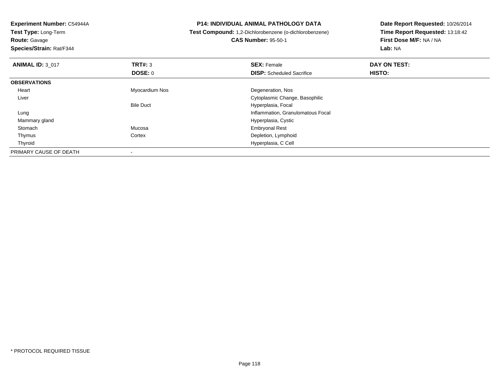**Experiment Number:** C54944A**Test Type:** Long-Term**Route:** Gavage **Species/Strain:** Rat/F344**P14: INDIVIDUAL ANIMAL PATHOLOGY DATA Test Compound:** 1,2-Dichlorobenzene (o-dichlorobenzene)**CAS Number:** 95-50-1**Date Report Requested:** 10/26/2014**Time Report Requested:** 13:18:42**First Dose M/F:** NA / NA**Lab:** NA**ANIMAL ID:** 3\_017 **TRT#:** <sup>3</sup> **SEX:** Female **DAY ON TEST: DOSE:** 0**DISP:** Scheduled Sacrifice **HISTO: OBSERVATIONS** Heart Myocardium Nos Degeneration, Nos Liver Cytoplasmic Change, BasophilicBile Duct Hyperplasia, Focal Lung Inflammation, Granulomatous Focal Mammary glandHyperplasia, Cystic<br>Mucosa **Embryonal Rest**  StomachEmbryonal Rest ThymusCortex **Depletion**, Lymphoid Hyperplasia, C Cell ThyroidPRIMARY CAUSE OF DEATH-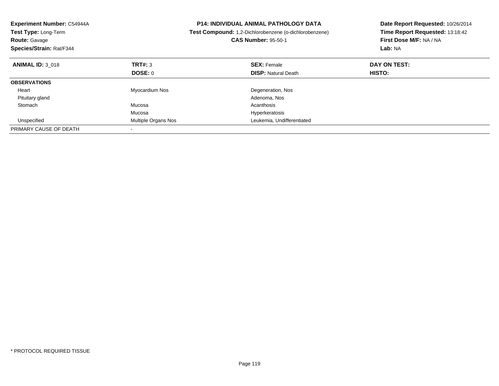| Experiment Number: C54944A<br>Test Type: Long-Term<br><b>Route: Gavage</b><br>Species/Strain: Rat/F344 |                     | <b>P14: INDIVIDUAL ANIMAL PATHOLOGY DATA</b><br>Test Compound: 1,2-Dichlorobenzene (o-dichlorobenzene)<br><b>CAS Number: 95-50-1</b> | Date Report Requested: 10/26/2014<br>Time Report Requested: 13:18:42<br>First Dose M/F: NA / NA<br>Lab: NA |
|--------------------------------------------------------------------------------------------------------|---------------------|--------------------------------------------------------------------------------------------------------------------------------------|------------------------------------------------------------------------------------------------------------|
| <b>ANIMAL ID: 3 018</b>                                                                                | TRT#: 3             | <b>SEX: Female</b>                                                                                                                   | DAY ON TEST:                                                                                               |
|                                                                                                        | DOSE: 0             | <b>DISP:</b> Natural Death                                                                                                           | HISTO:                                                                                                     |
| <b>OBSERVATIONS</b>                                                                                    |                     |                                                                                                                                      |                                                                                                            |
| Heart                                                                                                  | Myocardium Nos      | Degeneration, Nos                                                                                                                    |                                                                                                            |
| Pituitary gland                                                                                        |                     | Adenoma, Nos                                                                                                                         |                                                                                                            |
| Stomach                                                                                                | Mucosa              | Acanthosis                                                                                                                           |                                                                                                            |
|                                                                                                        | Mucosa              | Hyperkeratosis                                                                                                                       |                                                                                                            |
| Unspecified                                                                                            | Multiple Organs Nos | Leukemia, Undifferentiated                                                                                                           |                                                                                                            |
| PRIMARY CAUSE OF DEATH                                                                                 |                     |                                                                                                                                      |                                                                                                            |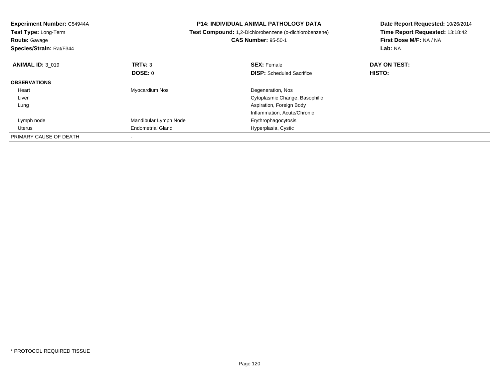| <b>Experiment Number: C54944A</b><br>Test Type: Long-Term<br><b>Route: Gavage</b><br>Species/Strain: Rat/F344 |                          | <b>P14: INDIVIDUAL ANIMAL PATHOLOGY DATA</b><br>Test Compound: 1,2-Dichlorobenzene (o-dichlorobenzene)<br><b>CAS Number: 95-50-1</b> | Date Report Requested: 10/26/2014<br>Time Report Requested: 13:18:42<br>First Dose M/F: NA / NA<br>Lab: NA |
|---------------------------------------------------------------------------------------------------------------|--------------------------|--------------------------------------------------------------------------------------------------------------------------------------|------------------------------------------------------------------------------------------------------------|
| <b>ANIMAL ID: 3 019</b>                                                                                       | TRT#: 3                  | <b>SEX: Female</b>                                                                                                                   | DAY ON TEST:                                                                                               |
|                                                                                                               | DOSE: 0                  | <b>DISP:</b> Scheduled Sacrifice                                                                                                     | HISTO:                                                                                                     |
| <b>OBSERVATIONS</b>                                                                                           |                          |                                                                                                                                      |                                                                                                            |
| Heart                                                                                                         | Myocardium Nos           | Degeneration, Nos                                                                                                                    |                                                                                                            |
| Liver                                                                                                         |                          | Cytoplasmic Change, Basophilic                                                                                                       |                                                                                                            |
| Lung                                                                                                          |                          | Aspiration, Foreign Body                                                                                                             |                                                                                                            |
|                                                                                                               |                          | Inflammation, Acute/Chronic                                                                                                          |                                                                                                            |
| Lymph node                                                                                                    | Mandibular Lymph Node    | Erythrophagocytosis                                                                                                                  |                                                                                                            |
| Uterus                                                                                                        | <b>Endometrial Gland</b> | Hyperplasia, Cystic                                                                                                                  |                                                                                                            |
| PRIMARY CAUSE OF DEATH                                                                                        |                          |                                                                                                                                      |                                                                                                            |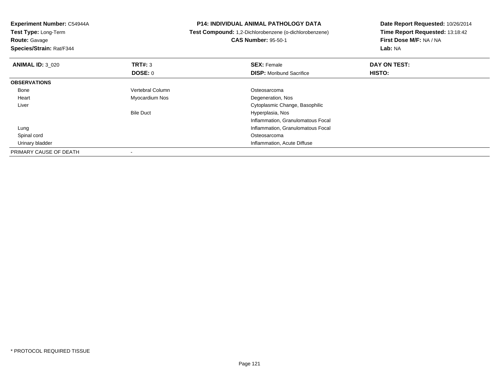| <b>Experiment Number: C54944A</b><br>Test Type: Long-Term |                  | <b>P14: INDIVIDUAL ANIMAL PATHOLOGY DATA</b>                  | Date Report Requested: 10/26/2014 |
|-----------------------------------------------------------|------------------|---------------------------------------------------------------|-----------------------------------|
|                                                           |                  | <b>Test Compound:</b> 1,2-Dichlorobenzene (o-dichlorobenzene) | Time Report Requested: 13:18:42   |
| <b>Route: Gavage</b>                                      |                  | <b>CAS Number: 95-50-1</b>                                    | First Dose M/F: NA / NA           |
| Species/Strain: Rat/F344                                  |                  |                                                               | Lab: NA                           |
| <b>ANIMAL ID: 3 020</b>                                   | TRT#: 3          | <b>SEX: Female</b>                                            | DAY ON TEST:                      |
|                                                           | <b>DOSE: 0</b>   | <b>DISP:</b> Moribund Sacrifice                               | HISTO:                            |
| <b>OBSERVATIONS</b>                                       |                  |                                                               |                                   |
| Bone                                                      | Vertebral Column | Osteosarcoma                                                  |                                   |
| Heart                                                     | Myocardium Nos   | Degeneration, Nos                                             |                                   |
| Liver                                                     |                  | Cytoplasmic Change, Basophilic                                |                                   |
|                                                           | <b>Bile Duct</b> | Hyperplasia, Nos                                              |                                   |
|                                                           |                  | Inflammation, Granulomatous Focal                             |                                   |
| Lung                                                      |                  | Inflammation, Granulomatous Focal                             |                                   |
| Spinal cord                                               |                  | Osteosarcoma                                                  |                                   |
| Urinary bladder                                           |                  | Inflammation, Acute Diffuse                                   |                                   |
| PRIMARY CAUSE OF DEATH                                    |                  |                                                               |                                   |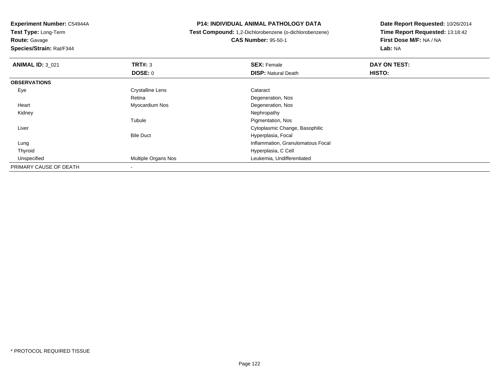**Test Type:** Long-Term

**Route:** Gavage

**Species/Strain:** Rat/F344

## **P14: INDIVIDUAL ANIMAL PATHOLOGY DATA**

 **Test Compound:** 1,2-Dichlorobenzene (o-dichlorobenzene)**CAS Number:** 95-50-1

| <b>ANIMAL ID: 3 021</b> | TRT#: 3                  | <b>SEX: Female</b>                | <b>DAY ON TEST:</b> |  |
|-------------------------|--------------------------|-----------------------------------|---------------------|--|
|                         | <b>DOSE: 0</b>           | <b>DISP: Natural Death</b>        | HISTO:              |  |
| <b>OBSERVATIONS</b>     |                          |                                   |                     |  |
| Eye                     | <b>Crystalline Lens</b>  | Cataract                          |                     |  |
|                         | Retina                   | Degeneration, Nos                 |                     |  |
| Heart                   | Myocardium Nos           | Degeneration, Nos                 |                     |  |
| Kidney                  |                          | Nephropathy                       |                     |  |
|                         | Tubule                   | Pigmentation, Nos                 |                     |  |
| Liver                   |                          | Cytoplasmic Change, Basophilic    |                     |  |
|                         | <b>Bile Duct</b>         | Hyperplasia, Focal                |                     |  |
| Lung                    |                          | Inflammation, Granulomatous Focal |                     |  |
| Thyroid                 |                          | Hyperplasia, C Cell               |                     |  |
| Unspecified             | Multiple Organs Nos      | Leukemia, Undifferentiated        |                     |  |
| PRIMARY CAUSE OF DEATH  | $\overline{\phantom{a}}$ |                                   |                     |  |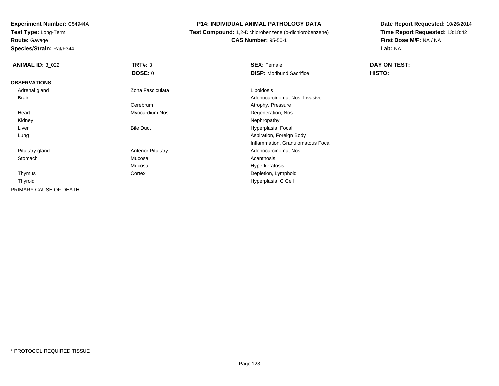**Test Type:** Long-Term

**Route:** Gavage

**Species/Strain:** Rat/F344

## **P14: INDIVIDUAL ANIMAL PATHOLOGY DATA**

 **Test Compound:** 1,2-Dichlorobenzene (o-dichlorobenzene)**CAS Number:** 95-50-1

| <b>ANIMAL ID: 3_022</b> | TRT#: 3                   | <b>SEX: Female</b>                | DAY ON TEST: |  |
|-------------------------|---------------------------|-----------------------------------|--------------|--|
|                         | <b>DOSE: 0</b>            | <b>DISP:</b> Moribund Sacrifice   | HISTO:       |  |
| <b>OBSERVATIONS</b>     |                           |                                   |              |  |
| Adrenal gland           | Zona Fasciculata          | Lipoidosis                        |              |  |
| Brain                   |                           | Adenocarcinoma, Nos, Invasive     |              |  |
|                         | Cerebrum                  | Atrophy, Pressure                 |              |  |
| Heart                   | Myocardium Nos            | Degeneration, Nos                 |              |  |
| Kidney                  |                           | Nephropathy                       |              |  |
| Liver                   | <b>Bile Duct</b>          | Hyperplasia, Focal                |              |  |
| Lung                    |                           | Aspiration, Foreign Body          |              |  |
|                         |                           | Inflammation, Granulomatous Focal |              |  |
| Pituitary gland         | <b>Anterior Pituitary</b> | Adenocarcinoma, Nos               |              |  |
| Stomach                 | Mucosa                    | Acanthosis                        |              |  |
|                         | Mucosa                    | Hyperkeratosis                    |              |  |
| Thymus                  | Cortex                    | Depletion, Lymphoid               |              |  |
| Thyroid                 |                           | Hyperplasia, C Cell               |              |  |
| PRIMARY CAUSE OF DEATH  | $\overline{\phantom{a}}$  |                                   |              |  |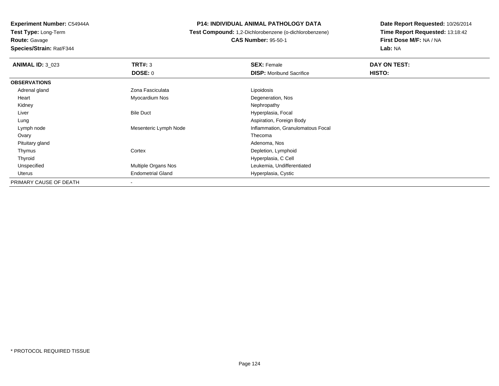**Experiment Number:** C54944A**Test Type:** Long-Term

**Route:** Gavage

**Species/Strain:** Rat/F344

## **P14: INDIVIDUAL ANIMAL PATHOLOGY DATA**

 **Test Compound:** 1,2-Dichlorobenzene (o-dichlorobenzene)**CAS Number:** 95-50-1

| <b>ANIMAL ID: 3_023</b> | TRT#: 3                    | <b>SEX: Female</b>                | DAY ON TEST: |  |
|-------------------------|----------------------------|-----------------------------------|--------------|--|
|                         | <b>DOSE: 0</b>             | <b>DISP:</b> Moribund Sacrifice   | HISTO:       |  |
| <b>OBSERVATIONS</b>     |                            |                                   |              |  |
| Adrenal gland           | Zona Fasciculata           | Lipoidosis                        |              |  |
| Heart                   | Myocardium Nos             | Degeneration, Nos                 |              |  |
| Kidney                  |                            | Nephropathy                       |              |  |
| Liver                   | <b>Bile Duct</b>           | Hyperplasia, Focal                |              |  |
| Lung                    |                            | Aspiration, Foreign Body          |              |  |
| Lymph node              | Mesenteric Lymph Node      | Inflammation, Granulomatous Focal |              |  |
| Ovary                   |                            | Thecoma                           |              |  |
| Pituitary gland         |                            | Adenoma, Nos                      |              |  |
| Thymus                  | Cortex                     | Depletion, Lymphoid               |              |  |
| Thyroid                 |                            | Hyperplasia, C Cell               |              |  |
| Unspecified             | <b>Multiple Organs Nos</b> | Leukemia, Undifferentiated        |              |  |
| Uterus                  | <b>Endometrial Gland</b>   | Hyperplasia, Cystic               |              |  |
| PRIMARY CAUSE OF DEATH  | $\,$                       |                                   |              |  |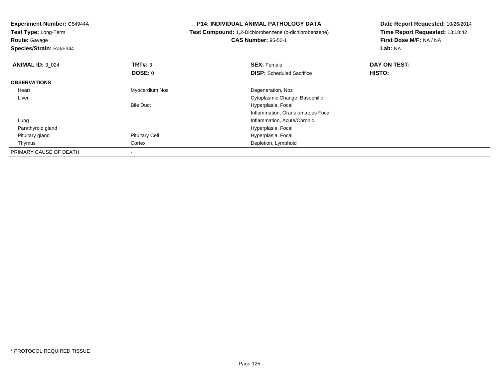| Experiment Number: C54944A<br>Test Type: Long-Term<br><b>Route: Gavage</b><br>Species/Strain: Rat/F344 |                       | <b>P14: INDIVIDUAL ANIMAL PATHOLOGY DATA</b><br><b>Test Compound:</b> 1,2-Dichlorobenzene (o-dichlorobenzene)<br><b>CAS Number: 95-50-1</b> | Date Report Requested: 10/26/2014<br>Time Report Requested: 13:18:42<br>First Dose M/F: NA / NA<br>Lab: NA |
|--------------------------------------------------------------------------------------------------------|-----------------------|---------------------------------------------------------------------------------------------------------------------------------------------|------------------------------------------------------------------------------------------------------------|
| <b>ANIMAL ID: 3 024</b>                                                                                | TRT#: 3               | <b>SEX: Female</b>                                                                                                                          | DAY ON TEST:                                                                                               |
|                                                                                                        | DOSE: 0               | <b>DISP:</b> Scheduled Sacrifice                                                                                                            | HISTO:                                                                                                     |
| <b>OBSERVATIONS</b>                                                                                    |                       |                                                                                                                                             |                                                                                                            |
| Heart                                                                                                  | Myocardium Nos        | Degeneration, Nos                                                                                                                           |                                                                                                            |
| Liver                                                                                                  |                       | Cytoplasmic Change, Basophilic                                                                                                              |                                                                                                            |
|                                                                                                        | <b>Bile Duct</b>      | Hyperplasia, Focal                                                                                                                          |                                                                                                            |
|                                                                                                        |                       | Inflammation, Granulomatous Focal                                                                                                           |                                                                                                            |
| Lung                                                                                                   |                       | Inflammation, Acute/Chronic                                                                                                                 |                                                                                                            |
| Parathyroid gland                                                                                      |                       | Hyperplasia, Focal                                                                                                                          |                                                                                                            |
| Pituitary gland                                                                                        | <b>Pituitary Cell</b> | Hyperplasia, Focal                                                                                                                          |                                                                                                            |
| Thymus                                                                                                 | Cortex                | Depletion, Lymphoid                                                                                                                         |                                                                                                            |
| PRIMARY CAUSE OF DEATH                                                                                 |                       |                                                                                                                                             |                                                                                                            |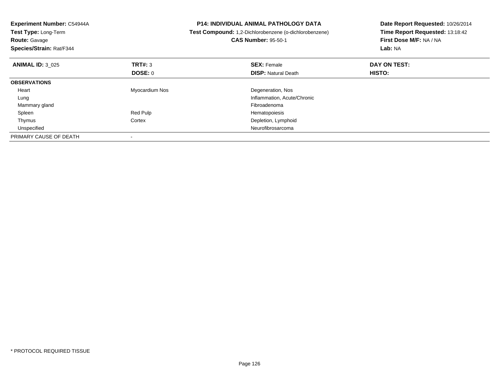| <b>Experiment Number: C54944A</b><br>Test Type: Long-Term<br><b>Route: Gavage</b><br>Species/Strain: Rat/F344 |                | <b>P14: INDIVIDUAL ANIMAL PATHOLOGY DATA</b><br>Test Compound: 1,2-Dichlorobenzene (o-dichlorobenzene)<br><b>CAS Number: 95-50-1</b> | Date Report Requested: 10/26/2014<br>Time Report Requested: 13:18:42<br>First Dose M/F: NA / NA<br>Lab: NA |
|---------------------------------------------------------------------------------------------------------------|----------------|--------------------------------------------------------------------------------------------------------------------------------------|------------------------------------------------------------------------------------------------------------|
| <b>ANIMAL ID: 3 025</b>                                                                                       | TRT#: 3        | <b>SEX: Female</b>                                                                                                                   | DAY ON TEST:                                                                                               |
|                                                                                                               | <b>DOSE: 0</b> | <b>DISP:</b> Natural Death                                                                                                           | HISTO:                                                                                                     |
| <b>OBSERVATIONS</b>                                                                                           |                |                                                                                                                                      |                                                                                                            |
| Heart                                                                                                         | Myocardium Nos | Degeneration, Nos                                                                                                                    |                                                                                                            |
| Lung                                                                                                          |                | Inflammation, Acute/Chronic                                                                                                          |                                                                                                            |
| Mammary gland                                                                                                 |                | Fibroadenoma                                                                                                                         |                                                                                                            |
| Spleen                                                                                                        | Red Pulp       | Hematopoiesis                                                                                                                        |                                                                                                            |
| Thymus                                                                                                        | Cortex         | Depletion, Lymphoid                                                                                                                  |                                                                                                            |
| Unspecified                                                                                                   |                | Neurofibrosarcoma                                                                                                                    |                                                                                                            |
| PRIMARY CAUSE OF DEATH                                                                                        |                |                                                                                                                                      |                                                                                                            |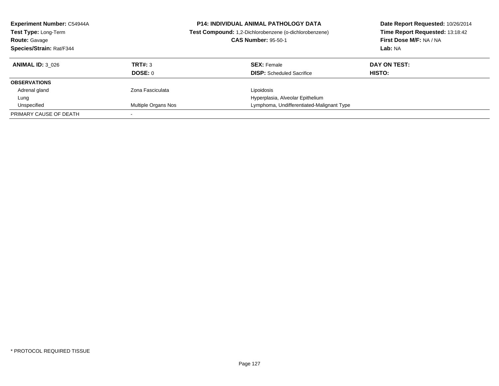| <b>Experiment Number: C54944A</b><br>Test Type: Long-Term<br><b>Route: Gavage</b><br>Species/Strain: Rat/F344 |                            | <b>P14: INDIVIDUAL ANIMAL PATHOLOGY DATA</b><br>Test Compound: 1,2-Dichlorobenzene (o-dichlorobenzene)<br><b>CAS Number: 95-50-1</b> | Date Report Requested: 10/26/2014<br>Time Report Requested: 13:18:42<br>First Dose M/F: NA / NA<br>Lab: NA |
|---------------------------------------------------------------------------------------------------------------|----------------------------|--------------------------------------------------------------------------------------------------------------------------------------|------------------------------------------------------------------------------------------------------------|
| <b>ANIMAL ID: 3 026</b>                                                                                       | TRT#: 3                    | <b>SEX: Female</b>                                                                                                                   | DAY ON TEST:                                                                                               |
|                                                                                                               | DOSE: 0                    | <b>DISP:</b> Scheduled Sacrifice                                                                                                     | HISTO:                                                                                                     |
| <b>OBSERVATIONS</b>                                                                                           |                            |                                                                                                                                      |                                                                                                            |
| Adrenal gland                                                                                                 | Zona Fasciculata           | Lipoidosis                                                                                                                           |                                                                                                            |
| Lung                                                                                                          |                            | Hyperplasia, Alveolar Epithelium                                                                                                     |                                                                                                            |
| Unspecified                                                                                                   | <b>Multiple Organs Nos</b> | Lymphoma, Undifferentiated-Malignant Type                                                                                            |                                                                                                            |
| PRIMARY CAUSE OF DEATH                                                                                        |                            |                                                                                                                                      |                                                                                                            |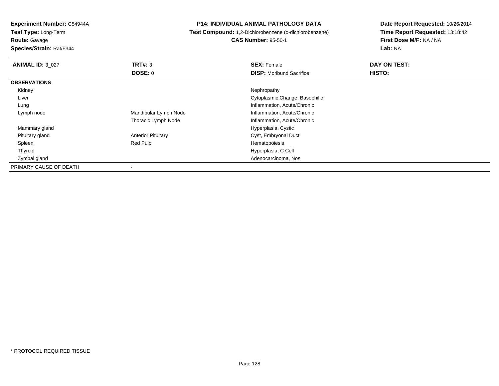**Test Type:** Long-Term

**Route:** Gavage

**Species/Strain:** Rat/F344

## **P14: INDIVIDUAL ANIMAL PATHOLOGY DATA**

**Test Compound:** 1,2-Dichlorobenzene (o-dichlorobenzene)

**CAS Number:** 95-50-1

| <b>ANIMAL ID: 3 027</b> | TRT#: 3                   | <b>SEX: Female</b>              | DAY ON TEST: |
|-------------------------|---------------------------|---------------------------------|--------------|
|                         | DOSE: 0                   | <b>DISP:</b> Moribund Sacrifice | HISTO:       |
| <b>OBSERVATIONS</b>     |                           |                                 |              |
| Kidney                  |                           | Nephropathy                     |              |
| Liver                   |                           | Cytoplasmic Change, Basophilic  |              |
| Lung                    |                           | Inflammation, Acute/Chronic     |              |
| Lymph node              | Mandibular Lymph Node     | Inflammation, Acute/Chronic     |              |
|                         | Thoracic Lymph Node       | Inflammation, Acute/Chronic     |              |
| Mammary gland           |                           | Hyperplasia, Cystic             |              |
| Pituitary gland         | <b>Anterior Pituitary</b> | Cyst, Embryonal Duct            |              |
| Spleen                  | Red Pulp                  | Hematopoiesis                   |              |
| Thyroid                 |                           | Hyperplasia, C Cell             |              |
| Zymbal gland            |                           | Adenocarcinoma, Nos             |              |
| PRIMARY CAUSE OF DEATH  |                           |                                 |              |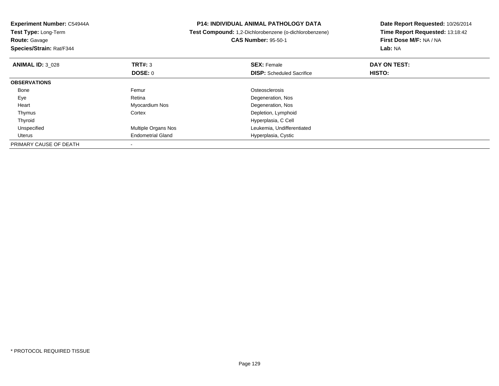| Experiment Number: C54944A<br><b>Test Type: Long-Term</b><br><b>Route: Gavage</b><br>Species/Strain: Rat/F344 |                          | <b>P14: INDIVIDUAL ANIMAL PATHOLOGY DATA</b><br>Test Compound: 1,2-Dichlorobenzene (o-dichlorobenzene)<br><b>CAS Number: 95-50-1</b> | Date Report Requested: 10/26/2014<br>Time Report Requested: 13:18:42<br>First Dose M/F: NA / NA<br><b>Lab: NA</b> |
|---------------------------------------------------------------------------------------------------------------|--------------------------|--------------------------------------------------------------------------------------------------------------------------------------|-------------------------------------------------------------------------------------------------------------------|
| <b>ANIMAL ID: 3 028</b>                                                                                       | TRT#: 3                  | <b>SEX: Female</b>                                                                                                                   | DAY ON TEST:                                                                                                      |
|                                                                                                               | DOSE: 0                  | <b>DISP:</b> Scheduled Sacrifice                                                                                                     | HISTO:                                                                                                            |
| <b>OBSERVATIONS</b>                                                                                           |                          |                                                                                                                                      |                                                                                                                   |
| Bone                                                                                                          | Femur                    | Osteosclerosis                                                                                                                       |                                                                                                                   |
| Eye                                                                                                           | Retina                   | Degeneration, Nos                                                                                                                    |                                                                                                                   |
| Heart                                                                                                         | Myocardium Nos           | Degeneration, Nos                                                                                                                    |                                                                                                                   |
| Thymus                                                                                                        | Cortex                   | Depletion, Lymphoid                                                                                                                  |                                                                                                                   |
| Thyroid                                                                                                       |                          | Hyperplasia, C Cell                                                                                                                  |                                                                                                                   |
| Unspecified                                                                                                   | Multiple Organs Nos      | Leukemia, Undifferentiated                                                                                                           |                                                                                                                   |
| Uterus                                                                                                        | <b>Endometrial Gland</b> | Hyperplasia, Cystic                                                                                                                  |                                                                                                                   |
| PRIMARY CAUSE OF DEATH                                                                                        |                          |                                                                                                                                      |                                                                                                                   |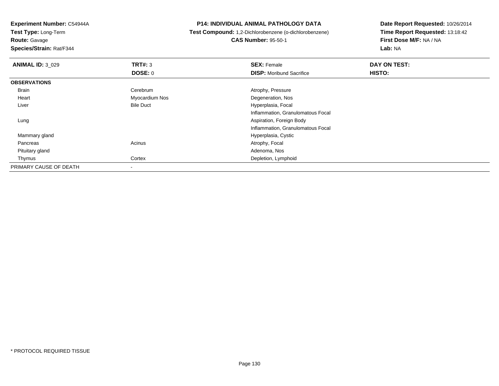**Test Type:** Long-Term

**Route:** Gavage

**Species/Strain:** Rat/F344

## **P14: INDIVIDUAL ANIMAL PATHOLOGY DATA**

 **Test Compound:** 1,2-Dichlorobenzene (o-dichlorobenzene)**CAS Number:** 95-50-1

| <b>ANIMAL ID: 3_029</b> | TRT#: 3                  | <b>SEX: Female</b>                | DAY ON TEST:  |  |
|-------------------------|--------------------------|-----------------------------------|---------------|--|
|                         | DOSE: 0                  | <b>DISP:</b> Moribund Sacrifice   | <b>HISTO:</b> |  |
| <b>OBSERVATIONS</b>     |                          |                                   |               |  |
| Brain                   | Cerebrum                 | Atrophy, Pressure                 |               |  |
| Heart                   | Myocardium Nos           | Degeneration, Nos                 |               |  |
| Liver                   | <b>Bile Duct</b>         | Hyperplasia, Focal                |               |  |
|                         |                          | Inflammation, Granulomatous Focal |               |  |
| Lung                    |                          | Aspiration, Foreign Body          |               |  |
|                         |                          | Inflammation, Granulomatous Focal |               |  |
| Mammary gland           |                          | Hyperplasia, Cystic               |               |  |
| Pancreas                | Acinus                   | Atrophy, Focal                    |               |  |
| Pituitary gland         |                          | Adenoma, Nos                      |               |  |
| Thymus                  | Cortex                   | Depletion, Lymphoid               |               |  |
| PRIMARY CAUSE OF DEATH  | $\overline{\phantom{a}}$ |                                   |               |  |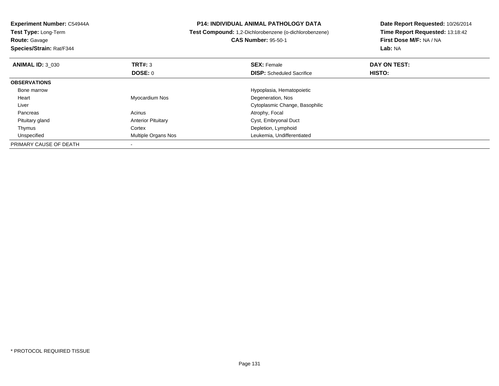| Experiment Number: C54944A<br>Test Type: Long-Term<br><b>Route: Gavage</b><br>Species/Strain: Rat/F344 |                           | <b>P14: INDIVIDUAL ANIMAL PATHOLOGY DATA</b><br>Test Compound: 1,2-Dichlorobenzene (o-dichlorobenzene)<br><b>CAS Number: 95-50-1</b> | Date Report Requested: 10/26/2014<br>Time Report Requested: 13:18:42<br>First Dose M/F: NA / NA<br><b>Lab: NA</b> |
|--------------------------------------------------------------------------------------------------------|---------------------------|--------------------------------------------------------------------------------------------------------------------------------------|-------------------------------------------------------------------------------------------------------------------|
| <b>ANIMAL ID: 3 030</b>                                                                                | TRT#: 3                   | <b>SEX: Female</b>                                                                                                                   | DAY ON TEST:                                                                                                      |
|                                                                                                        | <b>DOSE: 0</b>            | <b>DISP:</b> Scheduled Sacrifice                                                                                                     | <b>HISTO:</b>                                                                                                     |
| <b>OBSERVATIONS</b>                                                                                    |                           |                                                                                                                                      |                                                                                                                   |
| Bone marrow                                                                                            |                           | Hypoplasia, Hematopoietic                                                                                                            |                                                                                                                   |
| Heart                                                                                                  | Myocardium Nos            | Degeneration, Nos                                                                                                                    |                                                                                                                   |
| Liver                                                                                                  |                           | Cytoplasmic Change, Basophilic                                                                                                       |                                                                                                                   |
| Pancreas                                                                                               | Acinus                    | Atrophy, Focal                                                                                                                       |                                                                                                                   |
| Pituitary gland                                                                                        | <b>Anterior Pituitary</b> | Cyst, Embryonal Duct                                                                                                                 |                                                                                                                   |
| Thymus                                                                                                 | Cortex                    | Depletion, Lymphoid                                                                                                                  |                                                                                                                   |
| Unspecified                                                                                            | Multiple Organs Nos       | Leukemia, Undifferentiated                                                                                                           |                                                                                                                   |
| PRIMARY CAUSE OF DEATH                                                                                 |                           |                                                                                                                                      |                                                                                                                   |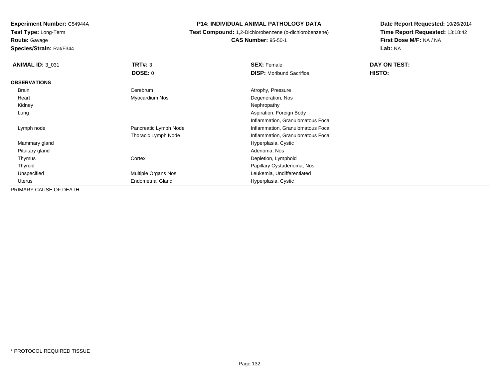**Test Type:** Long-Term

**Route:** Gavage

**Species/Strain:** Rat/F344

## **P14: INDIVIDUAL ANIMAL PATHOLOGY DATA**

 **Test Compound:** 1,2-Dichlorobenzene (o-dichlorobenzene)**CAS Number:** 95-50-1

| <b>ANIMAL ID: 3_031</b> | <b>TRT#: 3</b>           | <b>SEX: Female</b>                | DAY ON TEST: |  |
|-------------------------|--------------------------|-----------------------------------|--------------|--|
|                         | DOSE: 0                  | <b>DISP:</b> Moribund Sacrifice   | HISTO:       |  |
| <b>OBSERVATIONS</b>     |                          |                                   |              |  |
| Brain                   | Cerebrum                 | Atrophy, Pressure                 |              |  |
| Heart                   | Myocardium Nos           | Degeneration, Nos                 |              |  |
| Kidney                  |                          | Nephropathy                       |              |  |
| Lung                    |                          | Aspiration, Foreign Body          |              |  |
|                         |                          | Inflammation, Granulomatous Focal |              |  |
| Lymph node              | Pancreatic Lymph Node    | Inflammation, Granulomatous Focal |              |  |
|                         | Thoracic Lymph Node      | Inflammation, Granulomatous Focal |              |  |
| Mammary gland           |                          | Hyperplasia, Cystic               |              |  |
| Pituitary gland         |                          | Adenoma, Nos                      |              |  |
| Thymus                  | Cortex                   | Depletion, Lymphoid               |              |  |
| Thyroid                 |                          | Papillary Cystadenoma, Nos        |              |  |
| Unspecified             | Multiple Organs Nos      | Leukemia, Undifferentiated        |              |  |
| Uterus                  | <b>Endometrial Gland</b> | Hyperplasia, Cystic               |              |  |
| PRIMARY CAUSE OF DEATH  |                          |                                   |              |  |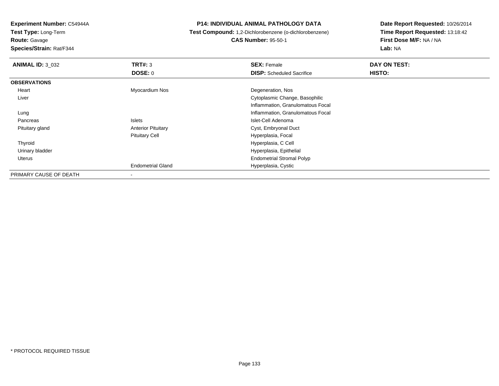**Test Type:** Long-Term

**Route:** Gavage

**Species/Strain:** Rat/F344

## **P14: INDIVIDUAL ANIMAL PATHOLOGY DATA**

# **Test Compound:** 1,2-Dichlorobenzene (o-dichlorobenzene)

**CAS Number:** 95-50-1

| <b>ANIMAL ID: 3 032</b> | TRT#: 3                   | <b>SEX: Female</b>                | DAY ON TEST: |  |
|-------------------------|---------------------------|-----------------------------------|--------------|--|
|                         | DOSE: 0                   | <b>DISP:</b> Scheduled Sacrifice  | HISTO:       |  |
| <b>OBSERVATIONS</b>     |                           |                                   |              |  |
| Heart                   | Myocardium Nos            | Degeneration, Nos                 |              |  |
| Liver                   |                           | Cytoplasmic Change, Basophilic    |              |  |
|                         |                           | Inflammation, Granulomatous Focal |              |  |
| Lung                    |                           | Inflammation, Granulomatous Focal |              |  |
| Pancreas                | <b>Islets</b>             | Islet-Cell Adenoma                |              |  |
| Pituitary gland         | <b>Anterior Pituitary</b> | Cyst, Embryonal Duct              |              |  |
|                         | <b>Pituitary Cell</b>     | Hyperplasia, Focal                |              |  |
| Thyroid                 |                           | Hyperplasia, C Cell               |              |  |
| Urinary bladder         |                           | Hyperplasia, Epithelial           |              |  |
| Uterus                  |                           | <b>Endometrial Stromal Polyp</b>  |              |  |
|                         | <b>Endometrial Gland</b>  | Hyperplasia, Cystic               |              |  |
| PRIMARY CAUSE OF DEATH  | $\blacksquare$            |                                   |              |  |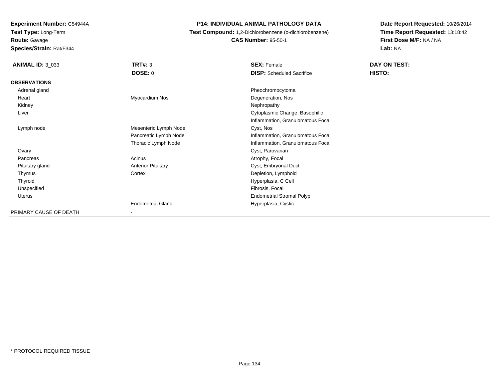**Test Type:** Long-Term

**Route:** Gavage

**Species/Strain:** Rat/F344

## **P14: INDIVIDUAL ANIMAL PATHOLOGY DATA**

**Test Compound:** 1,2-Dichlorobenzene (o-dichlorobenzene)

**CAS Number:** 95-50-1

| <b>ANIMAL ID: 3_033</b> | TRT#: 3                   | <b>SEX: Female</b>                | DAY ON TEST: |
|-------------------------|---------------------------|-----------------------------------|--------------|
|                         | <b>DOSE: 0</b>            | <b>DISP:</b> Scheduled Sacrifice  | HISTO:       |
| <b>OBSERVATIONS</b>     |                           |                                   |              |
| Adrenal gland           |                           | Pheochromocytoma                  |              |
| Heart                   | Myocardium Nos            | Degeneration, Nos                 |              |
| Kidney                  |                           | Nephropathy                       |              |
| Liver                   |                           | Cytoplasmic Change, Basophilic    |              |
|                         |                           | Inflammation, Granulomatous Focal |              |
| Lymph node              | Mesenteric Lymph Node     | Cyst, Nos                         |              |
|                         | Pancreatic Lymph Node     | Inflammation, Granulomatous Focal |              |
|                         | Thoracic Lymph Node       | Inflammation, Granulomatous Focal |              |
| Ovary                   |                           | Cyst, Parovarian                  |              |
| Pancreas                | Acinus                    | Atrophy, Focal                    |              |
| Pituitary gland         | <b>Anterior Pituitary</b> | Cyst, Embryonal Duct              |              |
| Thymus                  | Cortex                    | Depletion, Lymphoid               |              |
| Thyroid                 |                           | Hyperplasia, C Cell               |              |
| Unspecified             |                           | Fibrosis, Focal                   |              |
| Uterus                  |                           | <b>Endometrial Stromal Polyp</b>  |              |
|                         | <b>Endometrial Gland</b>  | Hyperplasia, Cystic               |              |
| PRIMARY CAUSE OF DEATH  | $\overline{\phantom{a}}$  |                                   |              |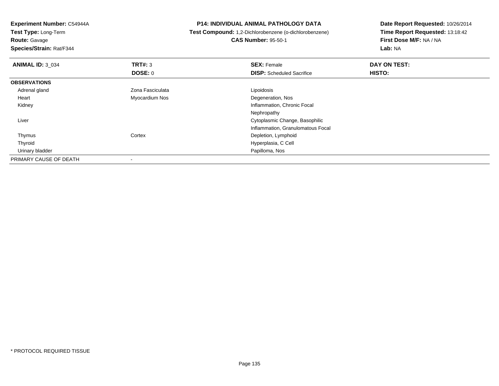**Experiment Number:** C54944A**Test Type:** Long-Term**Route:** Gavage **Species/Strain:** Rat/F344**P14: INDIVIDUAL ANIMAL PATHOLOGY DATA Test Compound:** 1,2-Dichlorobenzene (o-dichlorobenzene)**CAS Number:** 95-50-1**Date Report Requested:** 10/26/2014**Time Report Requested:** 13:18:42**First Dose M/F:** NA / NA**Lab:** NA**ANIMAL ID:** 3\_034**TRT#:** 3 **SEX:** Female **DAY ON TEST: DOSE:** 0**DISP:** Scheduled Sacrifice **HISTO: OBSERVATIONS** Adrenal glandZona Fasciculata **Lipoidosis**  Heart Myocardium Nos Degeneration, Nos Kidney Inflammation, Chronic Focal Nephropathy**Cytoplasmic Change, Basophilic Change, Basophilic Change, Basophilic Change, Basophilic Change, Basophilic Change, Basophilic Change, Basophilic Change, Basophilic Change, Basophilic Change, Basophilic Change, Basophilic**  Liver Inflammation, Granulomatous Focal ThymusCortex Depletion, Lymphoid Hyperplasia, C Cell Thyroid Urinary bladder Papilloma, NosPRIMARY CAUSE OF DEATH-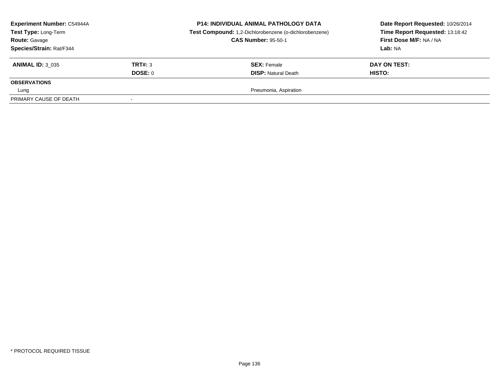| <b>Experiment Number: C54944A</b><br>Test Type: Long-Term<br><b>Route: Gavage</b><br>Species/Strain: Rat/F344 |         | <b>P14: INDIVIDUAL ANIMAL PATHOLOGY DATA</b><br>Test Compound: 1,2-Dichlorobenzene (o-dichlorobenzene)<br><b>CAS Number: 95-50-1</b> | Date Report Requested: 10/26/2014<br>Time Report Requested: 13:18:42<br>First Dose M/F: NA / NA<br><b>Lab: NA</b> |
|---------------------------------------------------------------------------------------------------------------|---------|--------------------------------------------------------------------------------------------------------------------------------------|-------------------------------------------------------------------------------------------------------------------|
| <b>ANIMAL ID: 3 035</b>                                                                                       | TRT#: 3 | <b>SEX: Female</b>                                                                                                                   | DAY ON TEST:                                                                                                      |
| <b>OBSERVATIONS</b>                                                                                           | DOSE: 0 | <b>DISP: Natural Death</b>                                                                                                           | <b>HISTO:</b>                                                                                                     |
| Lung                                                                                                          |         | Pneumonia, Aspiration                                                                                                                |                                                                                                                   |
| PRIMARY CAUSE OF DEATH                                                                                        |         |                                                                                                                                      |                                                                                                                   |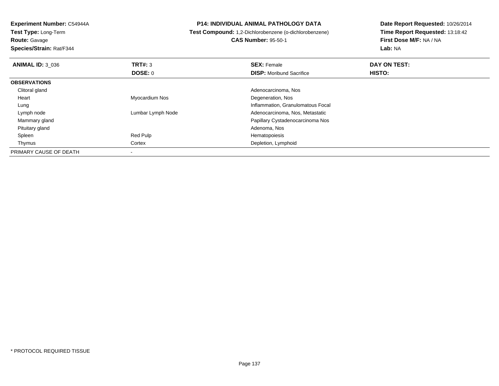**Test Type:** Long-Term**Route:** Gavage

**Species/Strain:** Rat/F344

## **P14: INDIVIDUAL ANIMAL PATHOLOGY DATA**

**Test Compound:** 1,2-Dichlorobenzene (o-dichlorobenzene)

**CAS Number:** 95-50-1

| <b>ANIMAL ID: 3 036</b> | TRT#: 3           | <b>SEX: Female</b>                | DAY ON TEST: |  |
|-------------------------|-------------------|-----------------------------------|--------------|--|
|                         | <b>DOSE: 0</b>    | <b>DISP:</b> Moribund Sacrifice   | HISTO:       |  |
| <b>OBSERVATIONS</b>     |                   |                                   |              |  |
| Clitoral gland          |                   | Adenocarcinoma, Nos               |              |  |
| Heart                   | Myocardium Nos    | Degeneration, Nos                 |              |  |
| Lung                    |                   | Inflammation, Granulomatous Focal |              |  |
| Lymph node              | Lumbar Lymph Node | Adenocarcinoma, Nos, Metastatic   |              |  |
| Mammary gland           |                   | Papillary Cystadenocarcinoma Nos  |              |  |
| Pituitary gland         |                   | Adenoma, Nos                      |              |  |
| Spleen                  | Red Pulp          | Hematopoiesis                     |              |  |
| Thymus                  | Cortex            | Depletion, Lymphoid               |              |  |
| PRIMARY CAUSE OF DEATH  |                   |                                   |              |  |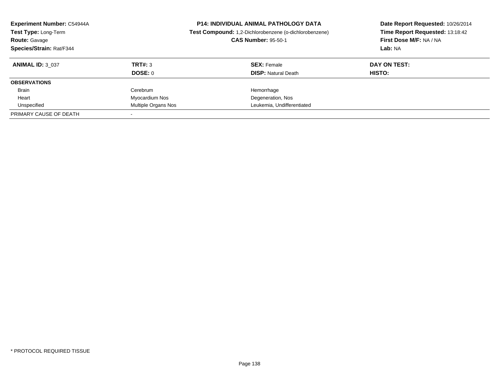| <b>Experiment Number: C54944A</b><br>Test Type: Long-Term<br><b>Route: Gavage</b><br>Species/Strain: Rat/F344 |                     | <b>P14: INDIVIDUAL ANIMAL PATHOLOGY DATA</b><br>Test Compound: 1,2-Dichlorobenzene (o-dichlorobenzene)<br><b>CAS Number: 95-50-1</b> | Date Report Requested: 10/26/2014<br>Time Report Requested: 13:18:42<br>First Dose M/F: NA / NA<br>Lab: NA |  |
|---------------------------------------------------------------------------------------------------------------|---------------------|--------------------------------------------------------------------------------------------------------------------------------------|------------------------------------------------------------------------------------------------------------|--|
| <b>ANIMAL ID: 3 037</b>                                                                                       | TRT#: 3             | <b>SEX: Female</b>                                                                                                                   | DAY ON TEST:                                                                                               |  |
|                                                                                                               | DOSE: 0             | <b>DISP:</b> Natural Death                                                                                                           | HISTO:                                                                                                     |  |
| <b>OBSERVATIONS</b>                                                                                           |                     |                                                                                                                                      |                                                                                                            |  |
| <b>Brain</b>                                                                                                  | Cerebrum            | Hemorrhage                                                                                                                           |                                                                                                            |  |
| Heart                                                                                                         | Myocardium Nos      | Degeneration, Nos                                                                                                                    |                                                                                                            |  |
| Unspecified                                                                                                   | Multiple Organs Nos | Leukemia, Undifferentiated                                                                                                           |                                                                                                            |  |
| PRIMARY CAUSE OF DEATH                                                                                        |                     |                                                                                                                                      |                                                                                                            |  |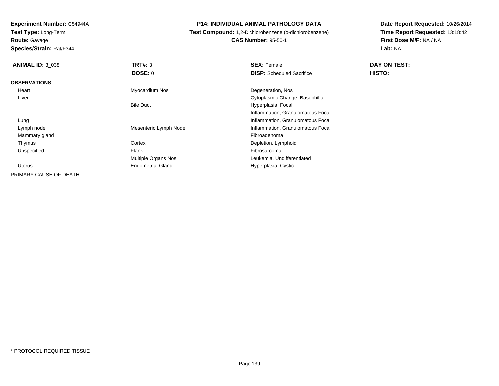**Test Type:** Long-Term

**Route:** Gavage

**Species/Strain:** Rat/F344

## **P14: INDIVIDUAL ANIMAL PATHOLOGY DATA**

**Test Compound:** 1,2-Dichlorobenzene (o-dichlorobenzene)

**CAS Number:** 95-50-1

| <b>ANIMAL ID: 3 038</b> | TRT#: 3                  | <b>SEX: Female</b>                | DAY ON TEST:  |
|-------------------------|--------------------------|-----------------------------------|---------------|
|                         | <b>DOSE: 0</b>           | <b>DISP:</b> Scheduled Sacrifice  | <b>HISTO:</b> |
| <b>OBSERVATIONS</b>     |                          |                                   |               |
| Heart                   | Myocardium Nos           | Degeneration, Nos                 |               |
| Liver                   |                          | Cytoplasmic Change, Basophilic    |               |
|                         | <b>Bile Duct</b>         | Hyperplasia, Focal                |               |
|                         |                          | Inflammation, Granulomatous Focal |               |
| Lung                    |                          | Inflammation, Granulomatous Focal |               |
| Lymph node              | Mesenteric Lymph Node    | Inflammation, Granulomatous Focal |               |
| Mammary gland           |                          | Fibroadenoma                      |               |
| Thymus                  | Cortex                   | Depletion, Lymphoid               |               |
| Unspecified             | Flank                    | Fibrosarcoma                      |               |
|                         | Multiple Organs Nos      | Leukemia, Undifferentiated        |               |
| Uterus                  | <b>Endometrial Gland</b> | Hyperplasia, Cystic               |               |
| PRIMARY CAUSE OF DEATH  | ۰                        |                                   |               |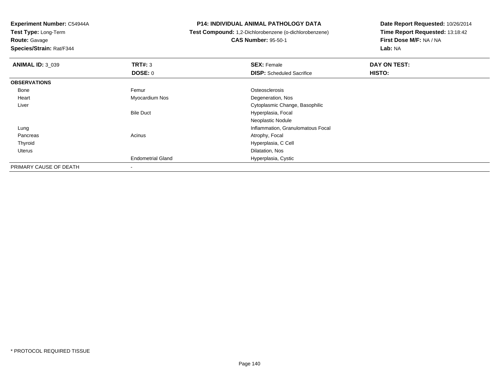**Test Type:** Long-Term

**Route:** Gavage

**Species/Strain:** Rat/F344

## **P14: INDIVIDUAL ANIMAL PATHOLOGY DATA**

**Test Compound:** 1,2-Dichlorobenzene (o-dichlorobenzene)

**CAS Number:** 95-50-1

| <b>ANIMAL ID: 3_039</b> | TRT#: 3                  | <b>SEX: Female</b>                | DAY ON TEST:  |
|-------------------------|--------------------------|-----------------------------------|---------------|
|                         | DOSE: 0                  | <b>DISP:</b> Scheduled Sacrifice  | <b>HISTO:</b> |
| <b>OBSERVATIONS</b>     |                          |                                   |               |
| Bone                    | Femur                    | Osteosclerosis                    |               |
| Heart                   | Myocardium Nos           | Degeneration, Nos                 |               |
| Liver                   |                          | Cytoplasmic Change, Basophilic    |               |
|                         | <b>Bile Duct</b>         | Hyperplasia, Focal                |               |
|                         |                          | Neoplastic Nodule                 |               |
| Lung                    |                          | Inflammation, Granulomatous Focal |               |
| Pancreas                | Acinus                   | Atrophy, Focal                    |               |
| Thyroid                 |                          | Hyperplasia, C Cell               |               |
| Uterus                  |                          | Dilatation, Nos                   |               |
|                         | <b>Endometrial Gland</b> | Hyperplasia, Cystic               |               |
| PRIMARY CAUSE OF DEATH  | $\overline{\phantom{a}}$ |                                   |               |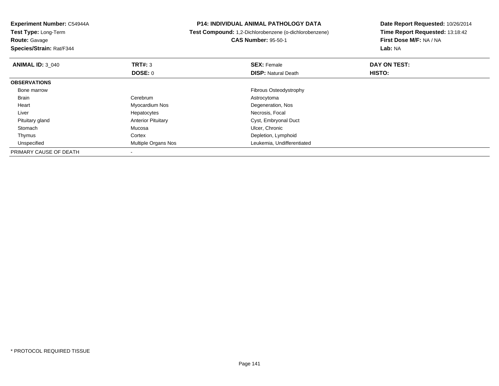**Experiment Number:** C54944A**Test Type:** Long-Term**Route:** Gavage **Species/Strain:** Rat/F344**P14: INDIVIDUAL ANIMAL PATHOLOGY DATA Test Compound:** 1,2-Dichlorobenzene (o-dichlorobenzene)**CAS Number:** 95-50-1**Date Report Requested:** 10/26/2014**Time Report Requested:** 13:18:42**First Dose M/F:** NA / NA**Lab:** NA**ANIMAL ID:** 3\_040**C SEX:** Female **DAY ON TEST: DAY ON TEST: DOSE:** 0**DISP:** Natural Death **HISTO: OBSERVATIONS** Bone marrow Fibrous Osteodystrophy Brain Cerebrum Astrocytoma Heart Myocardium Nos Degeneration, Nos Liver Hepatocytes Necrosis, Focal Pituitary glandAnterior Pituitary **Cyst, Embryonal Duct** Cyst, Embryonal Duct Mucosa **Cyst, Embryonal Duct**  Stomachh and the contract of the Mucosa and the contract of the Ulcer, Chronic units of the Mucosa and the Ulcer, Chronic ThymusCortex **Depletion**, Lymphoid d **Multiple Organs Nos** Leukemia, Undifferentiated UnspecifiedPRIMARY CAUSE OF DEATH-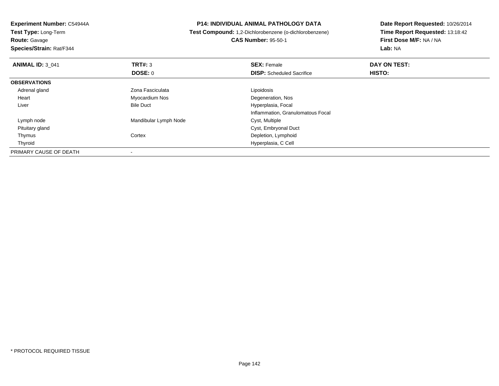**Test Type:** Long-Term

**Route:** Gavage

**Species/Strain:** Rat/F344

## **P14: INDIVIDUAL ANIMAL PATHOLOGY DATA**

 **Test Compound:** 1,2-Dichlorobenzene (o-dichlorobenzene)**CAS Number:** 95-50-1

| <b>ANIMAL ID: 3 041</b> | TRT#: 3               | <b>SEX: Female</b>                | DAY ON TEST: |  |
|-------------------------|-----------------------|-----------------------------------|--------------|--|
|                         | <b>DOSE: 0</b>        | <b>DISP:</b> Scheduled Sacrifice  | HISTO:       |  |
| <b>OBSERVATIONS</b>     |                       |                                   |              |  |
| Adrenal gland           | Zona Fasciculata      | Lipoidosis                        |              |  |
| Heart                   | Myocardium Nos        | Degeneration, Nos                 |              |  |
| Liver                   | <b>Bile Duct</b>      | Hyperplasia, Focal                |              |  |
|                         |                       | Inflammation, Granulomatous Focal |              |  |
| Lymph node              | Mandibular Lymph Node | Cyst, Multiple                    |              |  |
| Pituitary gland         |                       | Cyst, Embryonal Duct              |              |  |
| Thymus                  | Cortex                | Depletion, Lymphoid               |              |  |
| Thyroid                 |                       | Hyperplasia, C Cell               |              |  |
| PRIMARY CAUSE OF DEATH  |                       |                                   |              |  |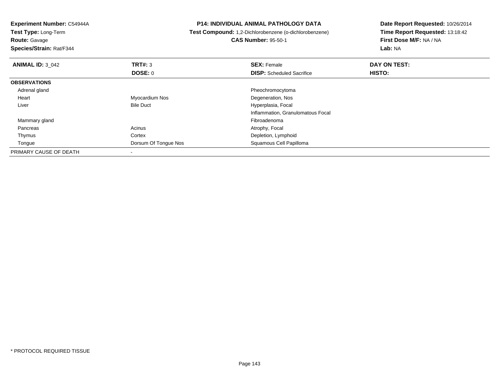**Experiment Number:** C54944A**Test Type:** Long-Term**Route:** Gavage **Species/Strain:** Rat/F344**P14: INDIVIDUAL ANIMAL PATHOLOGY DATA Test Compound:** 1,2-Dichlorobenzene (o-dichlorobenzene)**CAS Number:** 95-50-1**Date Report Requested:** 10/26/2014**Time Report Requested:** 13:18:42**First Dose M/F:** NA / NA**Lab:** NA**ANIMAL ID: 3 042 TRT#:** <sup>3</sup> **SEX:** Female **DAY ON TEST: DOSE:** 0**DISP:** Scheduled Sacrifice **HISTO: OBSERVATIONS** Adrenal gland Pheochromocytoma Heart Myocardium Nos Degeneration, Nos LiverBile Duct **Hyperplasia**, Focal Inflammation, Granulomatous Focal Mammary glandd and the control of the control of the control of the control of the control of the control of the control of the control of the control of the control of the control of the control of the control of the control of the co Pancreass and the contract of the Acinus Acinus and the Acinus Atrophy, Focal and the Atrophy, Focal and the Acinus Acinus Acinus Acinus Acinus Acinus Acinus Acinus Acinus Acinus Acinus Acinus Acinus Acinus Acinus Acinus Acinus Ac ThymusCortex **Depletion**, Lymphoid e and the Constantine Constant Constant Of Tongue Nos and the Constant Constant Constant Constant Constant Constant Constant Constant Constant Constant Constant Constant Constant Constant Constant Constant Constant Constan TonguePRIMARY CAUSE OF DEATH-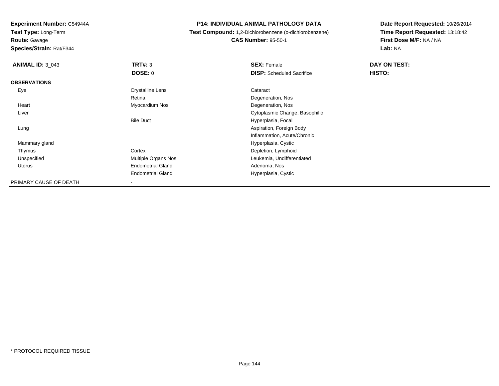**Test Type:** Long-Term

**Route:** Gavage

**Species/Strain:** Rat/F344

## **P14: INDIVIDUAL ANIMAL PATHOLOGY DATA**

 **Test Compound:** 1,2-Dichlorobenzene (o-dichlorobenzene)**CAS Number:** 95-50-1

| <b>ANIMAL ID: 3 043</b> | TRT#: 3                  | <b>SEX: Female</b>               | DAY ON TEST: |  |
|-------------------------|--------------------------|----------------------------------|--------------|--|
|                         | DOSE: 0                  | <b>DISP:</b> Scheduled Sacrifice | HISTO:       |  |
| <b>OBSERVATIONS</b>     |                          |                                  |              |  |
| Eye                     | <b>Crystalline Lens</b>  | Cataract                         |              |  |
|                         | Retina                   | Degeneration, Nos                |              |  |
| Heart                   | Myocardium Nos           | Degeneration, Nos                |              |  |
| Liver                   |                          | Cytoplasmic Change, Basophilic   |              |  |
|                         | <b>Bile Duct</b>         | Hyperplasia, Focal               |              |  |
| Lung                    |                          | Aspiration, Foreign Body         |              |  |
|                         |                          | Inflammation, Acute/Chronic      |              |  |
| Mammary gland           |                          | Hyperplasia, Cystic              |              |  |
| Thymus                  | Cortex                   | Depletion, Lymphoid              |              |  |
| Unspecified             | Multiple Organs Nos      | Leukemia, Undifferentiated       |              |  |
| Uterus                  | <b>Endometrial Gland</b> | Adenoma, Nos                     |              |  |
|                         | <b>Endometrial Gland</b> | Hyperplasia, Cystic              |              |  |
| PRIMARY CAUSE OF DEATH  | $\overline{\phantom{a}}$ |                                  |              |  |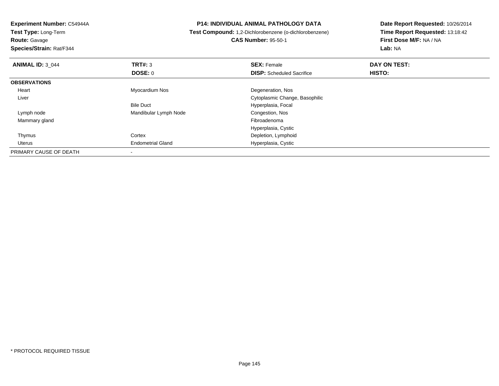**Experiment Number:** C54944A

**Test Type:** Long-Term

**Route:** Gavage

**Species/Strain:** Rat/F344

## **P14: INDIVIDUAL ANIMAL PATHOLOGY DATA**

**Test Compound:** 1,2-Dichlorobenzene (o-dichlorobenzene)

**CAS Number:** 95-50-1

**Date Report Requested:** 10/26/2014 **Time Report Requested:** 13:18:42**First Dose M/F:** NA / NA**Lab:** NA

| <b>ANIMAL ID: 3 044</b> | TRT#: 3                  | <b>SEX: Female</b>               | DAY ON TEST: |  |
|-------------------------|--------------------------|----------------------------------|--------------|--|
|                         | <b>DOSE: 0</b>           | <b>DISP:</b> Scheduled Sacrifice | HISTO:       |  |
| <b>OBSERVATIONS</b>     |                          |                                  |              |  |
| Heart                   | Myocardium Nos           | Degeneration, Nos                |              |  |
| Liver                   |                          | Cytoplasmic Change, Basophilic   |              |  |
|                         | <b>Bile Duct</b>         | Hyperplasia, Focal               |              |  |
| Lymph node              | Mandibular Lymph Node    | Congestion, Nos                  |              |  |
| Mammary gland           |                          | Fibroadenoma                     |              |  |
|                         |                          | Hyperplasia, Cystic              |              |  |
| Thymus                  | Cortex                   | Depletion, Lymphoid              |              |  |
| Uterus                  | <b>Endometrial Gland</b> | Hyperplasia, Cystic              |              |  |
| PRIMARY CAUSE OF DEATH  |                          |                                  |              |  |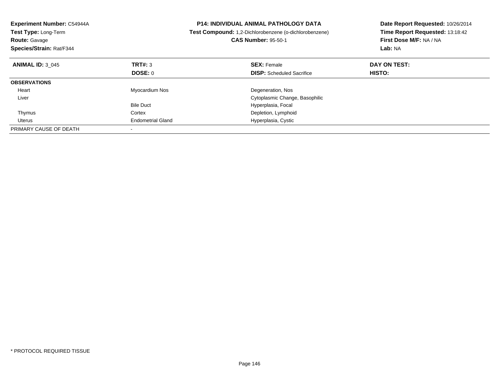| <b>Experiment Number: C54944A</b><br>Test Type: Long-Term<br><b>Route: Gavage</b><br>Species/Strain: Rat/F344 | <b>P14: INDIVIDUAL ANIMAL PATHOLOGY DATA</b><br>Test Compound: 1,2-Dichlorobenzene (o-dichlorobenzene)<br><b>CAS Number: 95-50-1</b> |                                  | Date Report Requested: 10/26/2014<br>Time Report Requested: 13:18:42<br>First Dose M/F: NA / NA<br>Lab: NA |
|---------------------------------------------------------------------------------------------------------------|--------------------------------------------------------------------------------------------------------------------------------------|----------------------------------|------------------------------------------------------------------------------------------------------------|
| <b>ANIMAL ID: 3 045</b>                                                                                       | TRT#: 3                                                                                                                              | <b>SEX: Female</b>               | DAY ON TEST:                                                                                               |
|                                                                                                               | <b>DOSE: 0</b>                                                                                                                       | <b>DISP:</b> Scheduled Sacrifice | HISTO:                                                                                                     |
| <b>OBSERVATIONS</b>                                                                                           |                                                                                                                                      |                                  |                                                                                                            |
| Heart                                                                                                         | Myocardium Nos                                                                                                                       | Degeneration, Nos                |                                                                                                            |
| Liver                                                                                                         |                                                                                                                                      | Cytoplasmic Change, Basophilic   |                                                                                                            |
|                                                                                                               | <b>Bile Duct</b>                                                                                                                     | Hyperplasia, Focal               |                                                                                                            |
| Thymus                                                                                                        | Cortex                                                                                                                               | Depletion, Lymphoid              |                                                                                                            |
| Uterus                                                                                                        | <b>Endometrial Gland</b>                                                                                                             | Hyperplasia, Cystic              |                                                                                                            |
| PRIMARY CAUSE OF DEATH                                                                                        |                                                                                                                                      |                                  |                                                                                                            |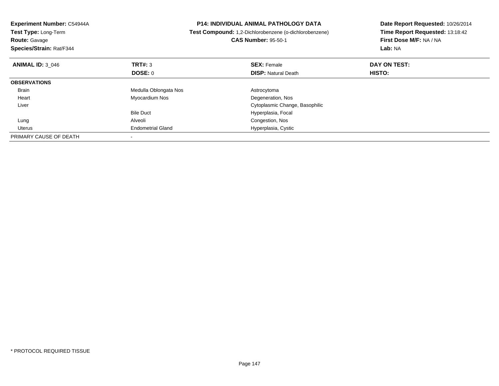| Experiment Number: C54944A<br>Test Type: Long-Term<br><b>Route: Gavage</b><br>Species/Strain: Rat/F344 |                          | <b>P14: INDIVIDUAL ANIMAL PATHOLOGY DATA</b><br>Date Report Requested: 10/26/2014<br>Time Report Requested: 13:18:42<br>Test Compound: 1,2-Dichlorobenzene (o-dichlorobenzene)<br>First Dose M/F: NA / NA<br><b>CAS Number: 95-50-1</b><br>Lab: NA |               |
|--------------------------------------------------------------------------------------------------------|--------------------------|----------------------------------------------------------------------------------------------------------------------------------------------------------------------------------------------------------------------------------------------------|---------------|
| <b>ANIMAL ID: 3 046</b>                                                                                | TRT#: 3                  | <b>SEX: Female</b>                                                                                                                                                                                                                                 | DAY ON TEST:  |
|                                                                                                        | DOSE: 0                  | <b>DISP:</b> Natural Death                                                                                                                                                                                                                         | <b>HISTO:</b> |
| <b>OBSERVATIONS</b>                                                                                    |                          |                                                                                                                                                                                                                                                    |               |
| Brain                                                                                                  | Medulla Oblongata Nos    | Astrocytoma                                                                                                                                                                                                                                        |               |
| Heart                                                                                                  | Myocardium Nos           | Degeneration, Nos                                                                                                                                                                                                                                  |               |
| Liver                                                                                                  |                          | Cytoplasmic Change, Basophilic                                                                                                                                                                                                                     |               |
|                                                                                                        | <b>Bile Duct</b>         | Hyperplasia, Focal                                                                                                                                                                                                                                 |               |
| Lung                                                                                                   | Alveoli                  | Congestion, Nos                                                                                                                                                                                                                                    |               |
| Uterus                                                                                                 | <b>Endometrial Gland</b> | Hyperplasia, Cystic                                                                                                                                                                                                                                |               |
| PRIMARY CAUSE OF DEATH                                                                                 |                          |                                                                                                                                                                                                                                                    |               |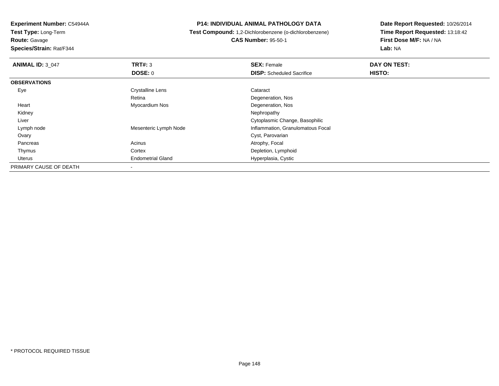**Experiment Number:** C54944A

**Test Type:** Long-Term

**Route:** Gavage

**Species/Strain:** Rat/F344

## **P14: INDIVIDUAL ANIMAL PATHOLOGY DATA**

 **Test Compound:** 1,2-Dichlorobenzene (o-dichlorobenzene)**CAS Number:** 95-50-1

**Date Report Requested:** 10/26/2014 **Time Report Requested:** 13:18:42**First Dose M/F:** NA / NA**Lab:** NA

| <b>ANIMAL ID: 3 047</b> | TRT#: 3                  | <b>SEX: Female</b>                | DAY ON TEST: |  |
|-------------------------|--------------------------|-----------------------------------|--------------|--|
|                         | DOSE: 0                  | <b>DISP:</b> Scheduled Sacrifice  | HISTO:       |  |
| <b>OBSERVATIONS</b>     |                          |                                   |              |  |
| Eye                     | <b>Crystalline Lens</b>  | Cataract                          |              |  |
|                         | Retina                   | Degeneration, Nos                 |              |  |
| Heart                   | Myocardium Nos           | Degeneration, Nos                 |              |  |
| Kidney                  |                          | Nephropathy                       |              |  |
| Liver                   |                          | Cytoplasmic Change, Basophilic    |              |  |
| Lymph node              | Mesenteric Lymph Node    | Inflammation, Granulomatous Focal |              |  |
| Ovary                   |                          | Cyst, Parovarian                  |              |  |
| Pancreas                | Acinus                   | Atrophy, Focal                    |              |  |
| Thymus                  | Cortex                   | Depletion, Lymphoid               |              |  |
| Uterus                  | <b>Endometrial Gland</b> | Hyperplasia, Cystic               |              |  |
| PRIMARY CAUSE OF DEATH  | $\,$                     |                                   |              |  |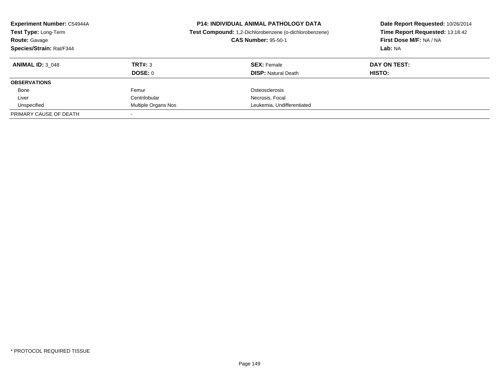| <b>Experiment Number: C54944A</b><br>Test Type: Long-Term<br><b>Route: Gavage</b><br>Species/Strain: Rat/F344 |                     | <b>P14: INDIVIDUAL ANIMAL PATHOLOGY DATA</b><br>Test Compound: 1,2-Dichlorobenzene (o-dichlorobenzene)<br><b>CAS Number: 95-50-1</b> | Date Report Requested: 10/26/2014<br>Time Report Requested: 13:18:42<br>First Dose M/F: NA / NA<br>Lab: NA |  |
|---------------------------------------------------------------------------------------------------------------|---------------------|--------------------------------------------------------------------------------------------------------------------------------------|------------------------------------------------------------------------------------------------------------|--|
| <b>ANIMAL ID: 3 048</b>                                                                                       | TRT#: 3             | <b>SEX: Female</b>                                                                                                                   | DAY ON TEST:                                                                                               |  |
|                                                                                                               | DOSE: 0             | <b>DISP:</b> Natural Death                                                                                                           | HISTO:                                                                                                     |  |
| <b>OBSERVATIONS</b>                                                                                           |                     |                                                                                                                                      |                                                                                                            |  |
| Bone                                                                                                          | Femur               | Osteosclerosis                                                                                                                       |                                                                                                            |  |
| Liver                                                                                                         | Centrilobular       | Necrosis, Focal                                                                                                                      |                                                                                                            |  |
| Unspecified                                                                                                   | Multiple Organs Nos | Leukemia, Undifferentiated                                                                                                           |                                                                                                            |  |
| PRIMARY CAUSE OF DEATH                                                                                        |                     |                                                                                                                                      |                                                                                                            |  |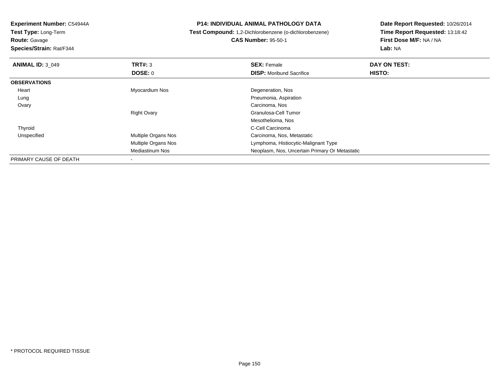**Experiment Number:** C54944A

**Test Type:** Long-Term**Route:** Gavage

**Species/Strain:** Rat/F344

## **P14: INDIVIDUAL ANIMAL PATHOLOGY DATA**

# **Test Compound:** 1,2-Dichlorobenzene (o-dichlorobenzene)**CAS Number:** 95-50-1

**Date Report Requested:** 10/26/2014 **Time Report Requested:** 13:18:42**First Dose M/F:** NA / NA**Lab:** NA

| <b>ANIMAL ID: 3 049</b> | TRT#: 3             | <b>SEX: Female</b>                             | DAY ON TEST: |  |
|-------------------------|---------------------|------------------------------------------------|--------------|--|
|                         | DOSE: 0             | <b>DISP:</b> Moribund Sacrifice                | HISTO:       |  |
| <b>OBSERVATIONS</b>     |                     |                                                |              |  |
| Heart                   | Myocardium Nos      | Degeneration, Nos                              |              |  |
| Lung                    |                     | Pneumonia, Aspiration                          |              |  |
| Ovary                   |                     | Carcinoma, Nos                                 |              |  |
|                         | <b>Right Ovary</b>  | Granulosa-Cell Tumor                           |              |  |
|                         |                     | Mesothelioma, Nos                              |              |  |
| Thyroid                 |                     | C-Cell Carcinoma                               |              |  |
| Unspecified             | Multiple Organs Nos | Carcinoma, Nos, Metastatic                     |              |  |
|                         | Multiple Organs Nos | Lymphoma, Histiocytic-Malignant Type           |              |  |
|                         | Mediastinum Nos     | Neoplasm, Nos, Uncertain Primary Or Metastatic |              |  |
| PRIMARY CAUSE OF DEATH  |                     |                                                |              |  |